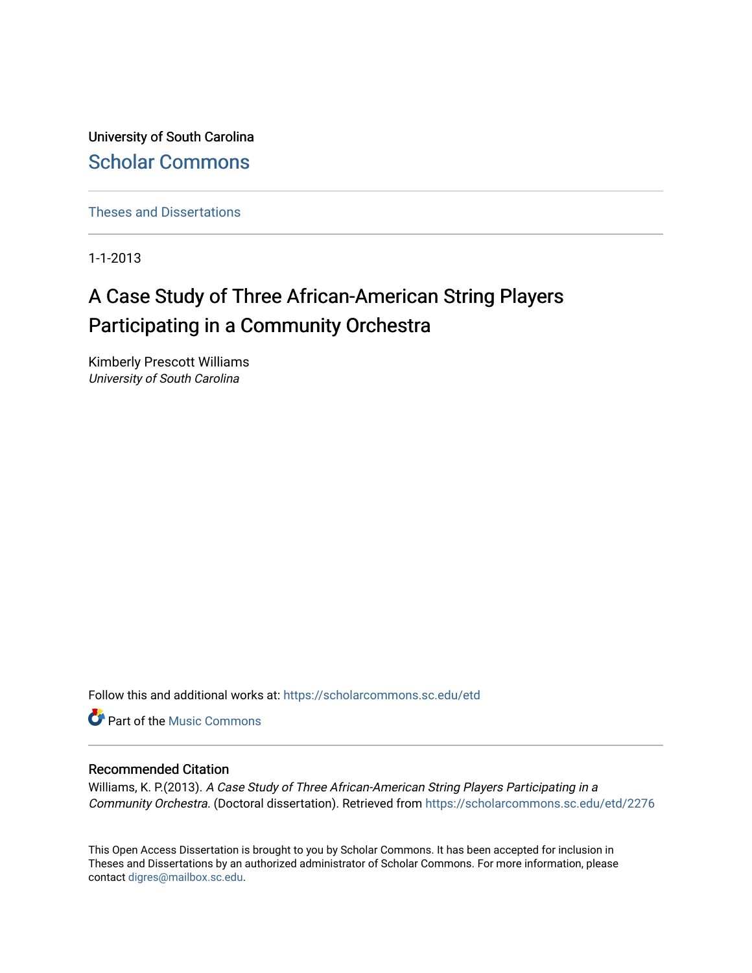University of South Carolina [Scholar Commons](https://scholarcommons.sc.edu/) 

[Theses and Dissertations](https://scholarcommons.sc.edu/etd)

1-1-2013

# A Case Study of Three African-American String Players Participating in a Community Orchestra

Kimberly Prescott Williams University of South Carolina

Follow this and additional works at: [https://scholarcommons.sc.edu/etd](https://scholarcommons.sc.edu/etd?utm_source=scholarcommons.sc.edu%2Fetd%2F2276&utm_medium=PDF&utm_campaign=PDFCoverPages)

**C** Part of the Music Commons

#### Recommended Citation

Williams, K. P.(2013). A Case Study of Three African-American String Players Participating in a Community Orchestra. (Doctoral dissertation). Retrieved from [https://scholarcommons.sc.edu/etd/2276](https://scholarcommons.sc.edu/etd/2276?utm_source=scholarcommons.sc.edu%2Fetd%2F2276&utm_medium=PDF&utm_campaign=PDFCoverPages) 

This Open Access Dissertation is brought to you by Scholar Commons. It has been accepted for inclusion in Theses and Dissertations by an authorized administrator of Scholar Commons. For more information, please contact [digres@mailbox.sc.edu.](mailto:digres@mailbox.sc.edu)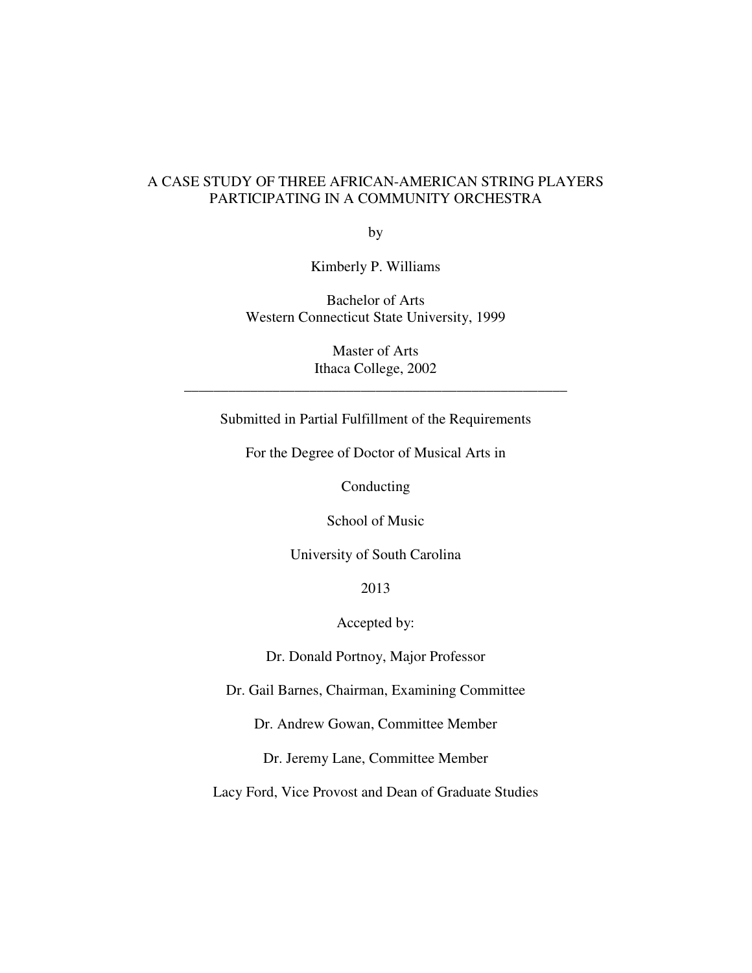#### A CASE STUDY OF THREE AFRICAN-AMERICAN STRING PLAYERS PARTICIPATING IN A COMMUNITY ORCHESTRA

by

Kimberly P. Williams

Bachelor of Arts Western Connecticut State University, 1999

> Master of Arts Ithaca College, 2002

\_\_\_\_\_\_\_\_\_\_\_\_\_\_\_\_\_\_\_\_\_\_\_\_\_\_\_\_\_\_\_\_\_\_\_\_\_\_\_\_\_\_\_\_\_\_\_\_\_\_\_\_

Submitted in Partial Fulfillment of the Requirements

For the Degree of Doctor of Musical Arts in

Conducting

School of Music

University of South Carolina

2013

Accepted by:

Dr. Donald Portnoy, Major Professor

Dr. Gail Barnes, Chairman, Examining Committee

Dr. Andrew Gowan, Committee Member

Dr. Jeremy Lane, Committee Member

Lacy Ford, Vice Provost and Dean of Graduate Studies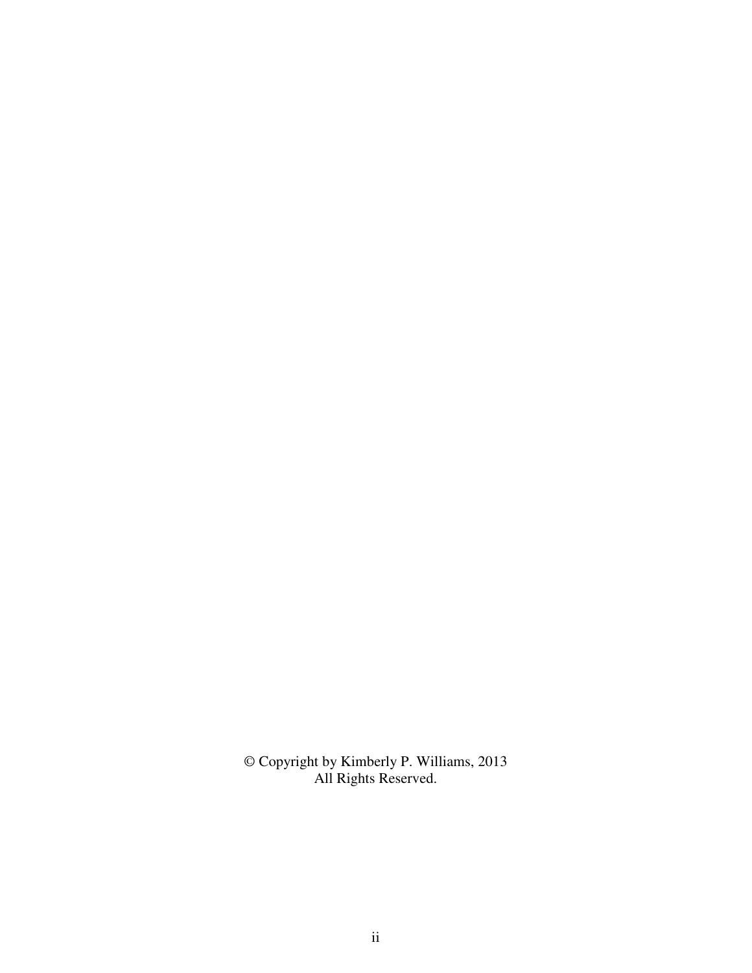© Copyright by Kimberly P. Williams, 2013 All Rights Reserved.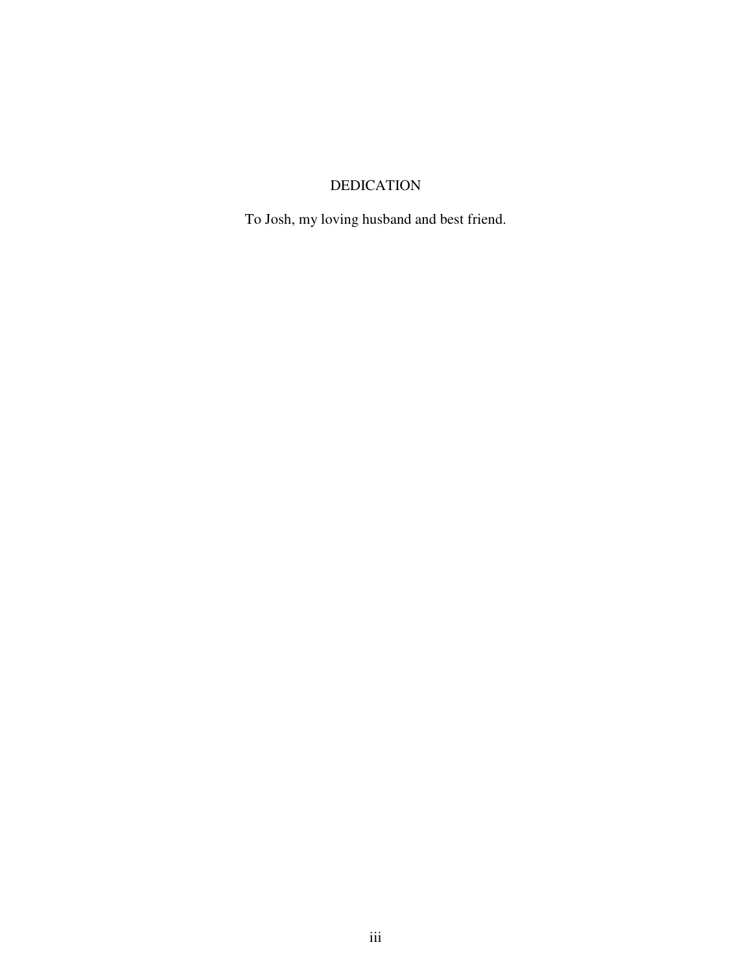### DEDICATION

To Josh, my loving husband and best friend.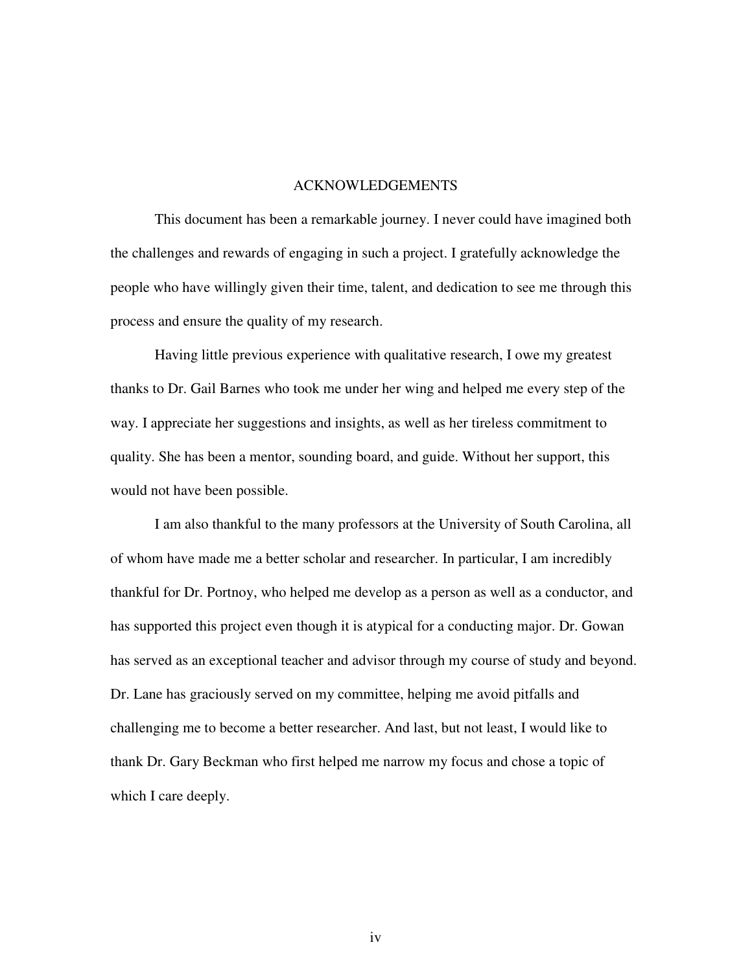#### ACKNOWLEDGEMENTS

 This document has been a remarkable journey. I never could have imagined both the challenges and rewards of engaging in such a project. I gratefully acknowledge the people who have willingly given their time, talent, and dedication to see me through this process and ensure the quality of my research.

Having little previous experience with qualitative research, I owe my greatest thanks to Dr. Gail Barnes who took me under her wing and helped me every step of the way. I appreciate her suggestions and insights, as well as her tireless commitment to quality. She has been a mentor, sounding board, and guide. Without her support, this would not have been possible.

I am also thankful to the many professors at the University of South Carolina, all of whom have made me a better scholar and researcher. In particular, I am incredibly thankful for Dr. Portnoy, who helped me develop as a person as well as a conductor, and has supported this project even though it is atypical for a conducting major. Dr. Gowan has served as an exceptional teacher and advisor through my course of study and beyond. Dr. Lane has graciously served on my committee, helping me avoid pitfalls and challenging me to become a better researcher. And last, but not least, I would like to thank Dr. Gary Beckman who first helped me narrow my focus and chose a topic of which I care deeply.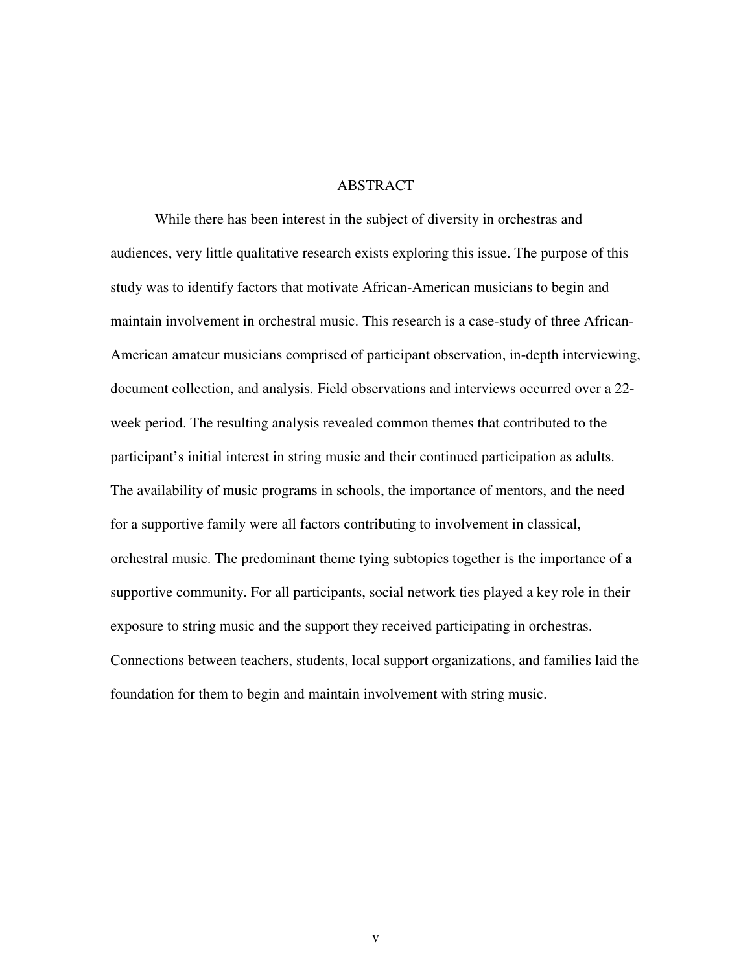#### ABSTRACT

While there has been interest in the subject of diversity in orchestras and audiences, very little qualitative research exists exploring this issue. The purpose of this study was to identify factors that motivate African-American musicians to begin and maintain involvement in orchestral music. This research is a case-study of three African-American amateur musicians comprised of participant observation, in-depth interviewing, document collection, and analysis. Field observations and interviews occurred over a 22 week period. The resulting analysis revealed common themes that contributed to the participant's initial interest in string music and their continued participation as adults. The availability of music programs in schools, the importance of mentors, and the need for a supportive family were all factors contributing to involvement in classical, orchestral music. The predominant theme tying subtopics together is the importance of a supportive community. For all participants, social network ties played a key role in their exposure to string music and the support they received participating in orchestras. Connections between teachers, students, local support organizations, and families laid the foundation for them to begin and maintain involvement with string music.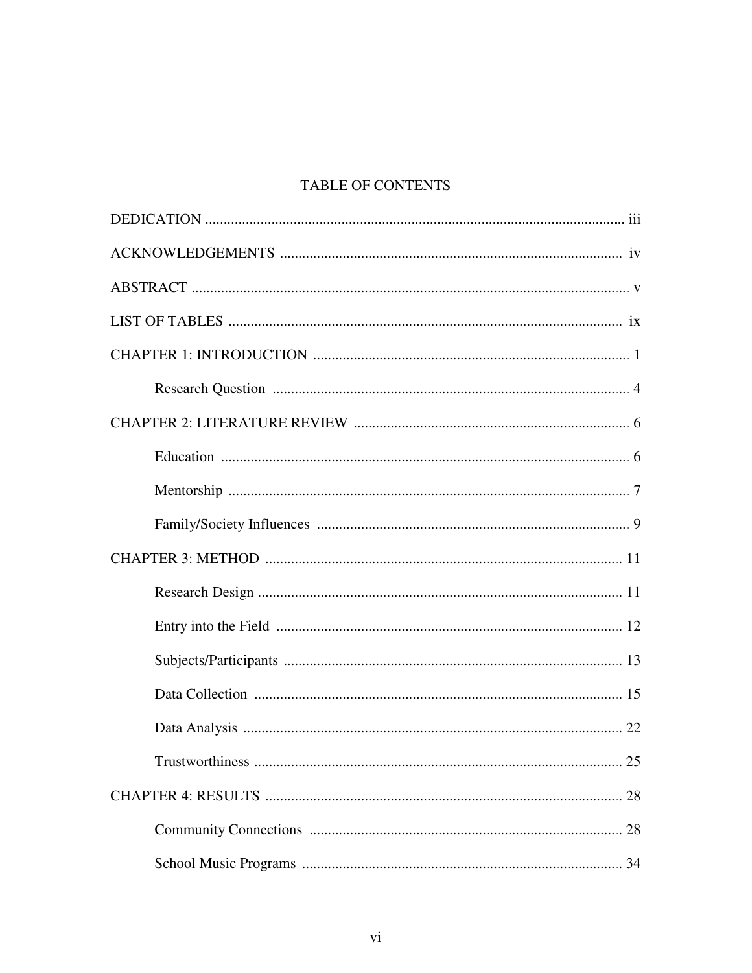### TABLE OF CONTENTS

| .25 |
|-----|
|     |
|     |
|     |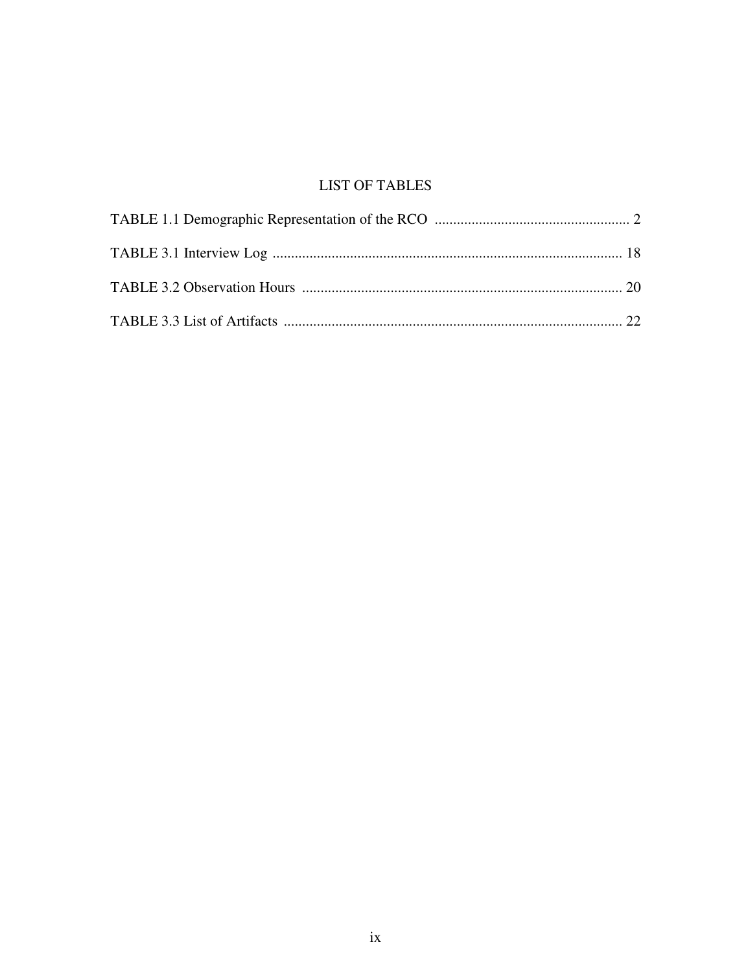## **LIST OF TABLES**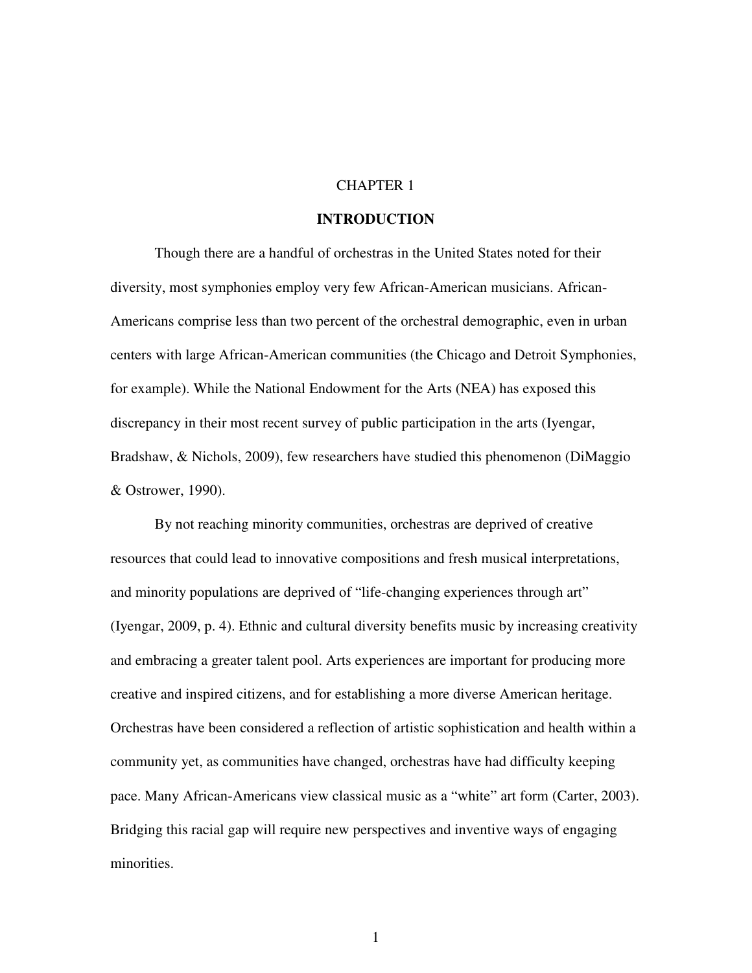#### CHAPTER 1

#### **INTRODUCTION**

Though there are a handful of orchestras in the United States noted for their diversity, most symphonies employ very few African-American musicians. African-Americans comprise less than two percent of the orchestral demographic, even in urban centers with large African-American communities (the Chicago and Detroit Symphonies, for example). While the National Endowment for the Arts (NEA) has exposed this discrepancy in their most recent survey of public participation in the arts (Iyengar, Bradshaw, & Nichols, 2009), few researchers have studied this phenomenon (DiMaggio & Ostrower, 1990).

By not reaching minority communities, orchestras are deprived of creative resources that could lead to innovative compositions and fresh musical interpretations, and minority populations are deprived of "life-changing experiences through art" (Iyengar, 2009, p. 4). Ethnic and cultural diversity benefits music by increasing creativity and embracing a greater talent pool. Arts experiences are important for producing more creative and inspired citizens, and for establishing a more diverse American heritage. Orchestras have been considered a reflection of artistic sophistication and health within a community yet, as communities have changed, orchestras have had difficulty keeping pace. Many African-Americans view classical music as a "white" art form (Carter, 2003). Bridging this racial gap will require new perspectives and inventive ways of engaging minorities.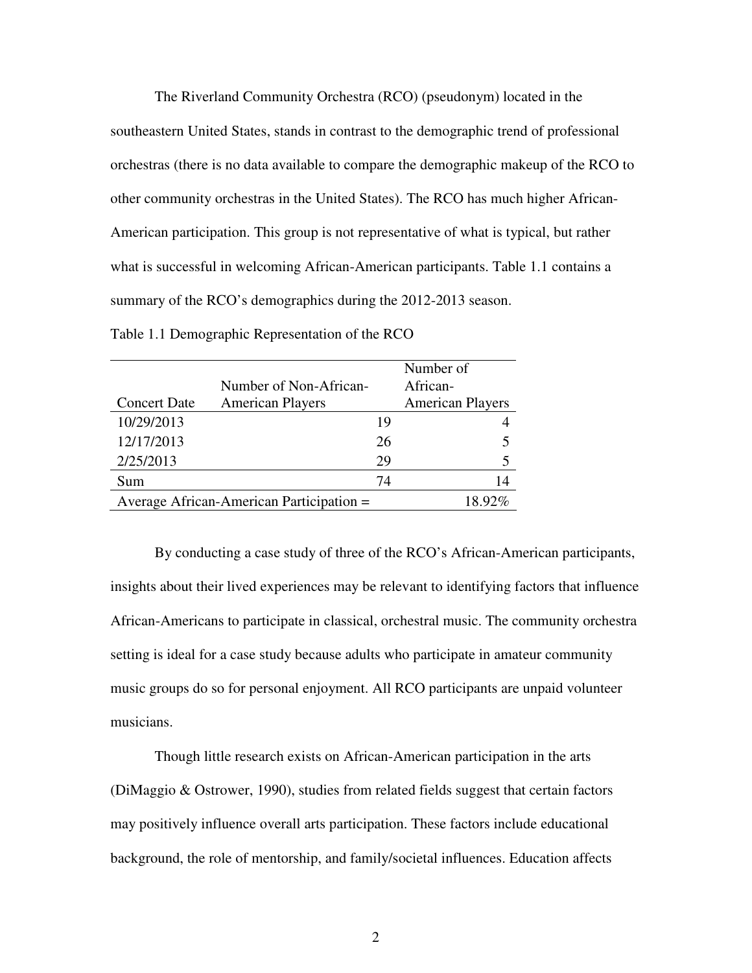The Riverland Community Orchestra (RCO) (pseudonym) located in the southeastern United States, stands in contrast to the demographic trend of professional orchestras (there is no data available to compare the demographic makeup of the RCO to other community orchestras in the United States). The RCO has much higher African-American participation. This group is not representative of what is typical, but rather what is successful in welcoming African-American participants. Table 1.1 contains a summary of the RCO's demographics during the 2012-2013 season.

|                                          |                         |    | Number of               |
|------------------------------------------|-------------------------|----|-------------------------|
|                                          | Number of Non-African-  |    | African-                |
| <b>Concert Date</b>                      | <b>American Players</b> |    | <b>American Players</b> |
| 10/29/2013                               |                         | 19 |                         |
| 12/17/2013                               |                         | 26 |                         |
| 2/25/2013                                |                         | 29 |                         |
| Sum                                      |                         | 74 | 14                      |
| Average African-American Participation = |                         |    | 18.92%                  |

Table 1.1 Demographic Representation of the RCO

 By conducting a case study of three of the RCO's African-American participants, insights about their lived experiences may be relevant to identifying factors that influence African-Americans to participate in classical, orchestral music. The community orchestra setting is ideal for a case study because adults who participate in amateur community music groups do so for personal enjoyment. All RCO participants are unpaid volunteer musicians.

Though little research exists on African-American participation in the arts (DiMaggio & Ostrower, 1990), studies from related fields suggest that certain factors may positively influence overall arts participation. These factors include educational background, the role of mentorship, and family/societal influences. Education affects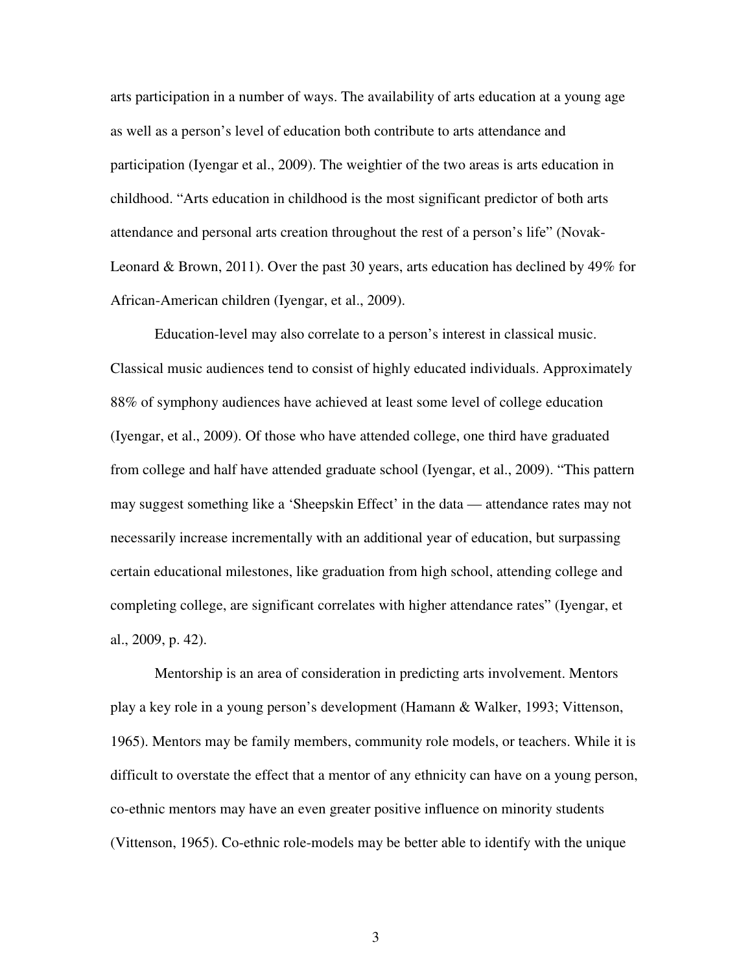arts participation in a number of ways. The availability of arts education at a young age as well as a person's level of education both contribute to arts attendance and participation (Iyengar et al., 2009). The weightier of the two areas is arts education in childhood. "Arts education in childhood is the most significant predictor of both arts attendance and personal arts creation throughout the rest of a person's life" (Novak-Leonard & Brown, 2011). Over the past 30 years, arts education has declined by 49% for African-American children (Iyengar, et al., 2009).

Education-level may also correlate to a person's interest in classical music. Classical music audiences tend to consist of highly educated individuals. Approximately 88% of symphony audiences have achieved at least some level of college education (Iyengar, et al., 2009). Of those who have attended college, one third have graduated from college and half have attended graduate school (Iyengar, et al., 2009). "This pattern may suggest something like a 'Sheepskin Effect' in the data — attendance rates may not necessarily increase incrementally with an additional year of education, but surpassing certain educational milestones, like graduation from high school, attending college and completing college, are significant correlates with higher attendance rates" (Iyengar, et al., 2009, p. 42).

Mentorship is an area of consideration in predicting arts involvement. Mentors play a key role in a young person's development (Hamann & Walker, 1993; Vittenson, 1965). Mentors may be family members, community role models, or teachers. While it is difficult to overstate the effect that a mentor of any ethnicity can have on a young person, co-ethnic mentors may have an even greater positive influence on minority students (Vittenson, 1965). Co-ethnic role-models may be better able to identify with the unique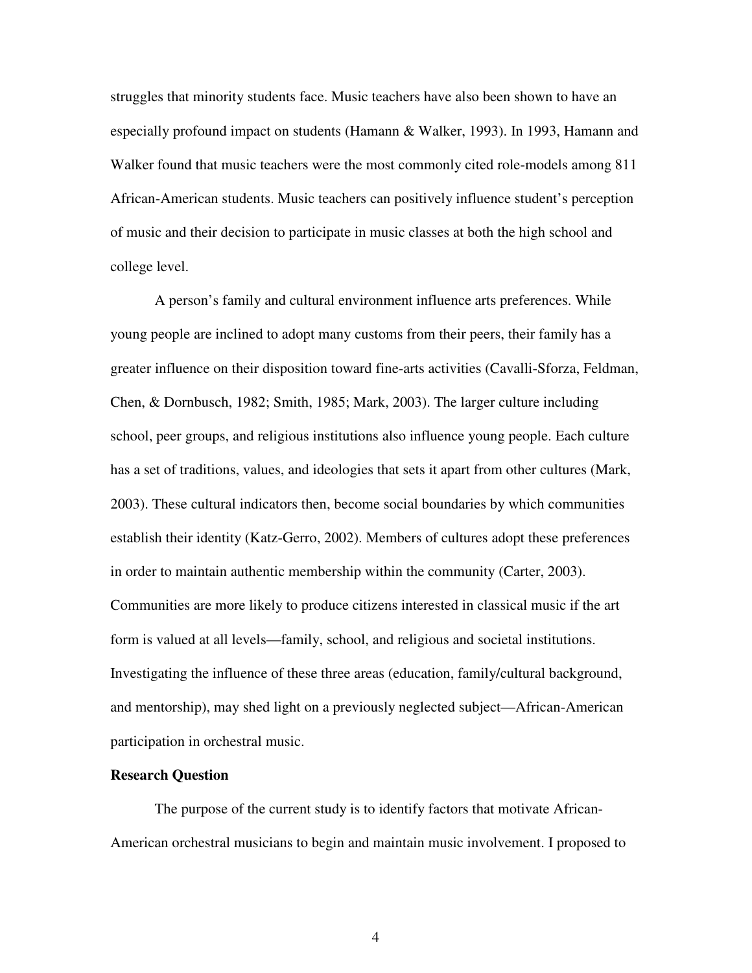struggles that minority students face. Music teachers have also been shown to have an especially profound impact on students (Hamann & Walker, 1993). In 1993, Hamann and Walker found that music teachers were the most commonly cited role-models among 811 African-American students. Music teachers can positively influence student's perception of music and their decision to participate in music classes at both the high school and college level.

A person's family and cultural environment influence arts preferences. While young people are inclined to adopt many customs from their peers, their family has a greater influence on their disposition toward fine-arts activities (Cavalli-Sforza, Feldman, Chen, & Dornbusch, 1982; Smith, 1985; Mark, 2003). The larger culture including school, peer groups, and religious institutions also influence young people. Each culture has a set of traditions, values, and ideologies that sets it apart from other cultures (Mark, 2003). These cultural indicators then, become social boundaries by which communities establish their identity (Katz-Gerro, 2002). Members of cultures adopt these preferences in order to maintain authentic membership within the community (Carter, 2003). Communities are more likely to produce citizens interested in classical music if the art form is valued at all levels—family, school, and religious and societal institutions. Investigating the influence of these three areas (education, family/cultural background, and mentorship), may shed light on a previously neglected subject—African-American participation in orchestral music.

#### **Research Question**

The purpose of the current study is to identify factors that motivate African-American orchestral musicians to begin and maintain music involvement. I proposed to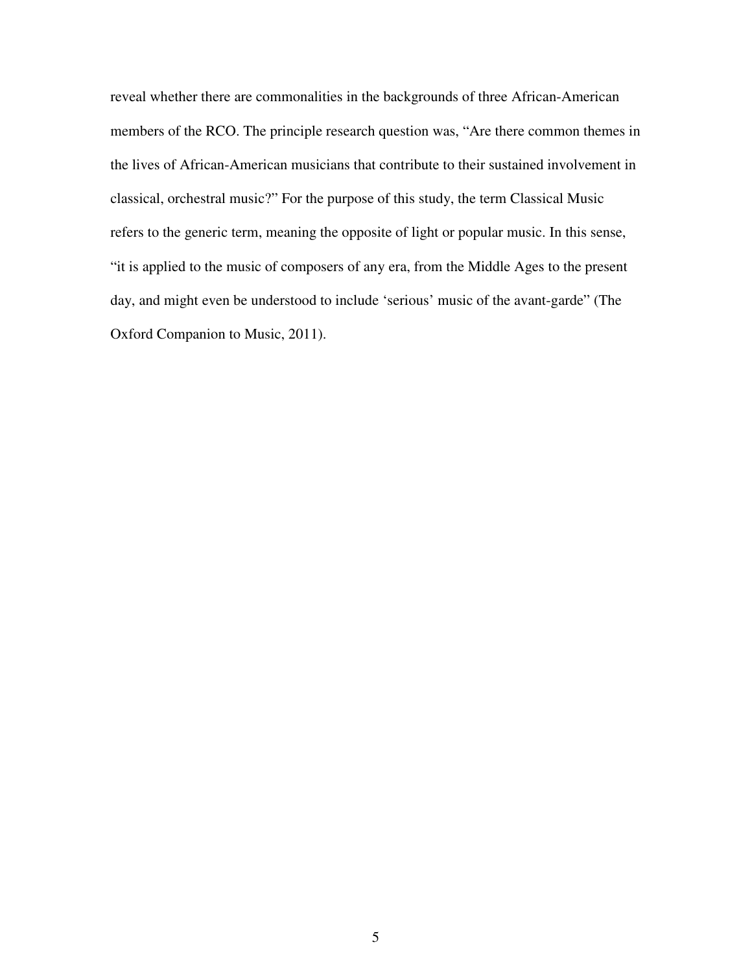reveal whether there are commonalities in the backgrounds of three African-American members of the RCO. The principle research question was, "Are there common themes in the lives of African-American musicians that contribute to their sustained involvement in classical, orchestral music?" For the purpose of this study, the term Classical Music refers to the generic term, meaning the opposite of light or popular music. In this sense, "it is applied to the music of composers of any era, from the Middle Ages to the present day, and might even be understood to include 'serious' music of the avant-garde" (The Oxford Companion to Music, 2011).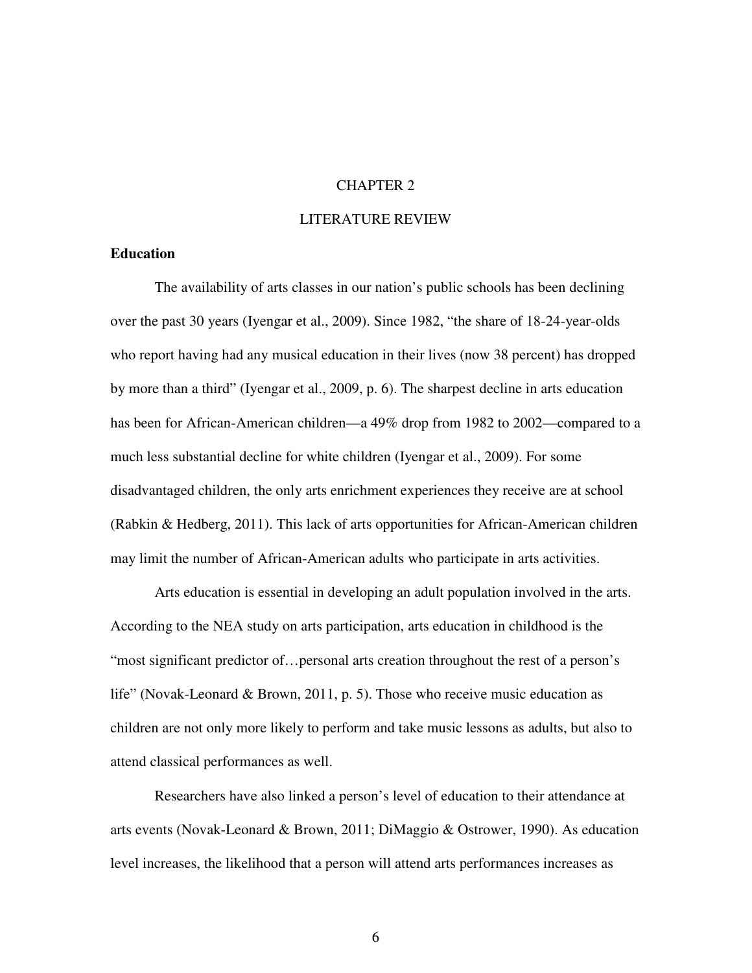#### CHAPTER 2

#### LITERATURE REVIEW

#### **Education**

The availability of arts classes in our nation's public schools has been declining over the past 30 years (Iyengar et al., 2009). Since 1982, "the share of 18-24-year-olds who report having had any musical education in their lives (now 38 percent) has dropped by more than a third" (Iyengar et al., 2009, p. 6). The sharpest decline in arts education has been for African-American children—a 49% drop from 1982 to 2002—compared to a much less substantial decline for white children (Iyengar et al., 2009). For some disadvantaged children, the only arts enrichment experiences they receive are at school (Rabkin & Hedberg, 2011). This lack of arts opportunities for African-American children may limit the number of African-American adults who participate in arts activities.

Arts education is essential in developing an adult population involved in the arts. According to the NEA study on arts participation, arts education in childhood is the "most significant predictor of... personal arts creation throughout the rest of a person's life" (Novak-Leonard & Brown, 2011, p. 5). Those who receive music education as children are not only more likely to perform and take music lessons as adults, but also to attend classical performances as well.

Researchers have also linked a person's level of education to their attendance at arts events (Novak-Leonard & Brown, 2011; DiMaggio & Ostrower, 1990). As education level increases, the likelihood that a person will attend arts performances increases as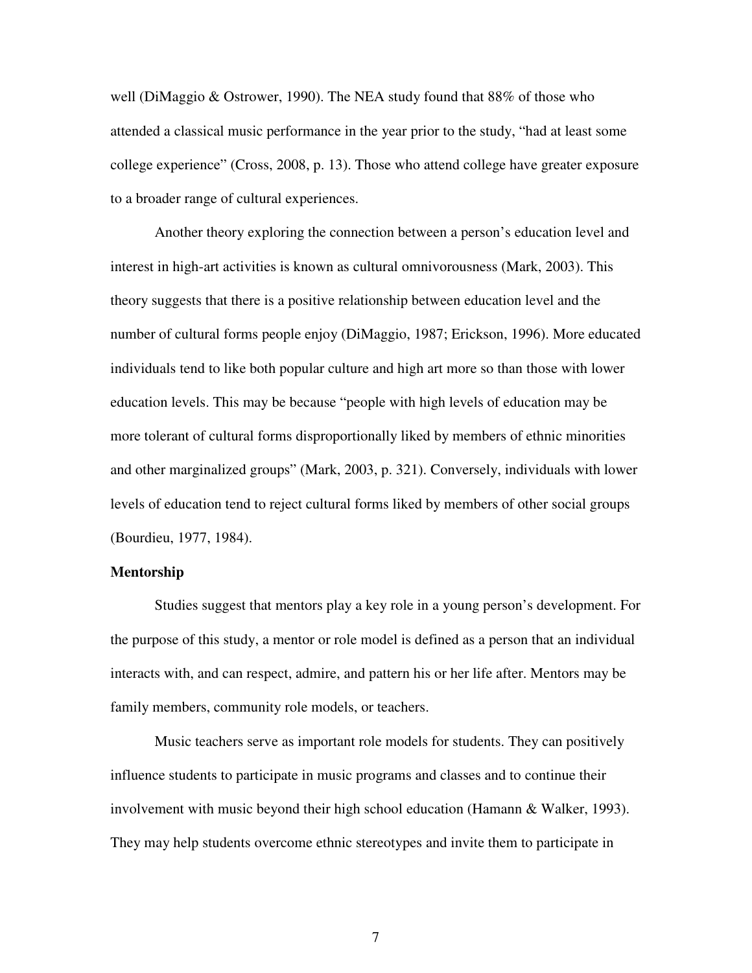well (DiMaggio & Ostrower, 1990). The NEA study found that 88% of those who attended a classical music performance in the year prior to the study, "had at least some college experience" (Cross, 2008, p. 13). Those who attend college have greater exposure to a broader range of cultural experiences.

Another theory exploring the connection between a person's education level and interest in high-art activities is known as cultural omnivorousness (Mark, 2003). This theory suggests that there is a positive relationship between education level and the number of cultural forms people enjoy (DiMaggio, 1987; Erickson, 1996). More educated individuals tend to like both popular culture and high art more so than those with lower education levels. This may be because "people with high levels of education may be more tolerant of cultural forms disproportionally liked by members of ethnic minorities and other marginalized groups" (Mark, 2003, p. 321). Conversely, individuals with lower levels of education tend to reject cultural forms liked by members of other social groups (Bourdieu, 1977, 1984).

#### **Mentorship**

Studies suggest that mentors play a key role in a young person's development. For the purpose of this study, a mentor or role model is defined as a person that an individual interacts with, and can respect, admire, and pattern his or her life after. Mentors may be family members, community role models, or teachers.

Music teachers serve as important role models for students. They can positively influence students to participate in music programs and classes and to continue their involvement with music beyond their high school education (Hamann & Walker, 1993). They may help students overcome ethnic stereotypes and invite them to participate in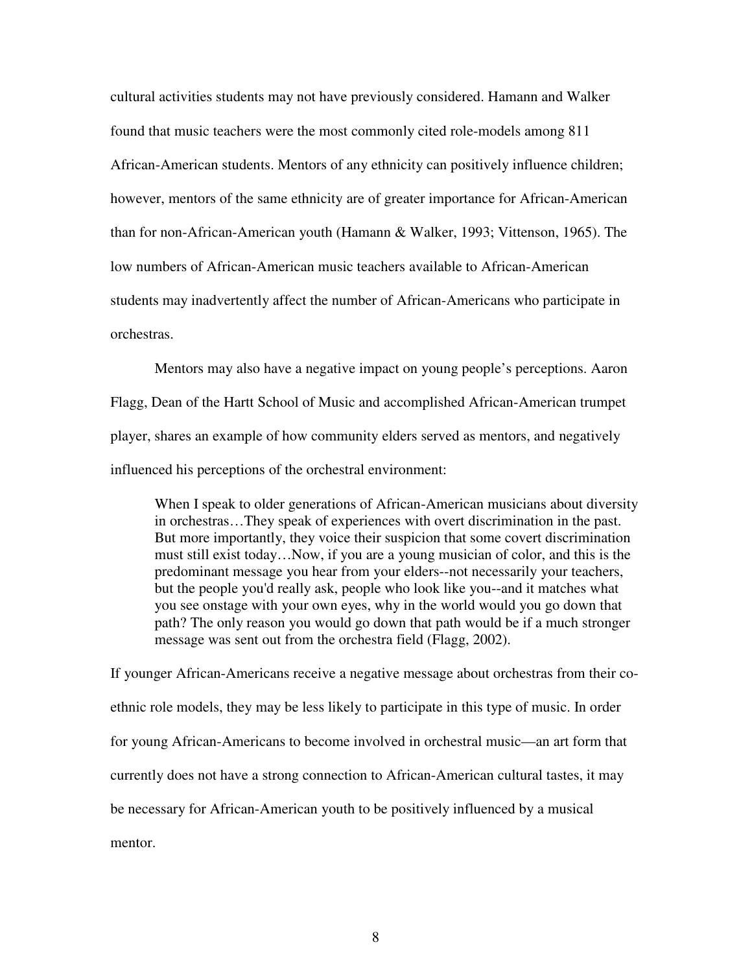cultural activities students may not have previously considered. Hamann and Walker found that music teachers were the most commonly cited role-models among 811 African-American students. Mentors of any ethnicity can positively influence children; however, mentors of the same ethnicity are of greater importance for African-American than for non-African-American youth (Hamann & Walker, 1993; Vittenson, 1965). The low numbers of African-American music teachers available to African-American students may inadvertently affect the number of African-Americans who participate in orchestras.

Mentors may also have a negative impact on young people's perceptions. Aaron Flagg, Dean of the Hartt School of Music and accomplished African-American trumpet player, shares an example of how community elders served as mentors, and negatively influenced his perceptions of the orchestral environment:

When I speak to older generations of African-American musicians about diversity in orchestras…They speak of experiences with overt discrimination in the past. But more importantly, they voice their suspicion that some covert discrimination must still exist today…Now, if you are a young musician of color, and this is the predominant message you hear from your elders--not necessarily your teachers, but the people you'd really ask, people who look like you--and it matches what you see onstage with your own eyes, why in the world would you go down that path? The only reason you would go down that path would be if a much stronger message was sent out from the orchestra field (Flagg, 2002).

If younger African-Americans receive a negative message about orchestras from their coethnic role models, they may be less likely to participate in this type of music. In order for young African-Americans to become involved in orchestral music—an art form that currently does not have a strong connection to African-American cultural tastes, it may be necessary for African-American youth to be positively influenced by a musical mentor.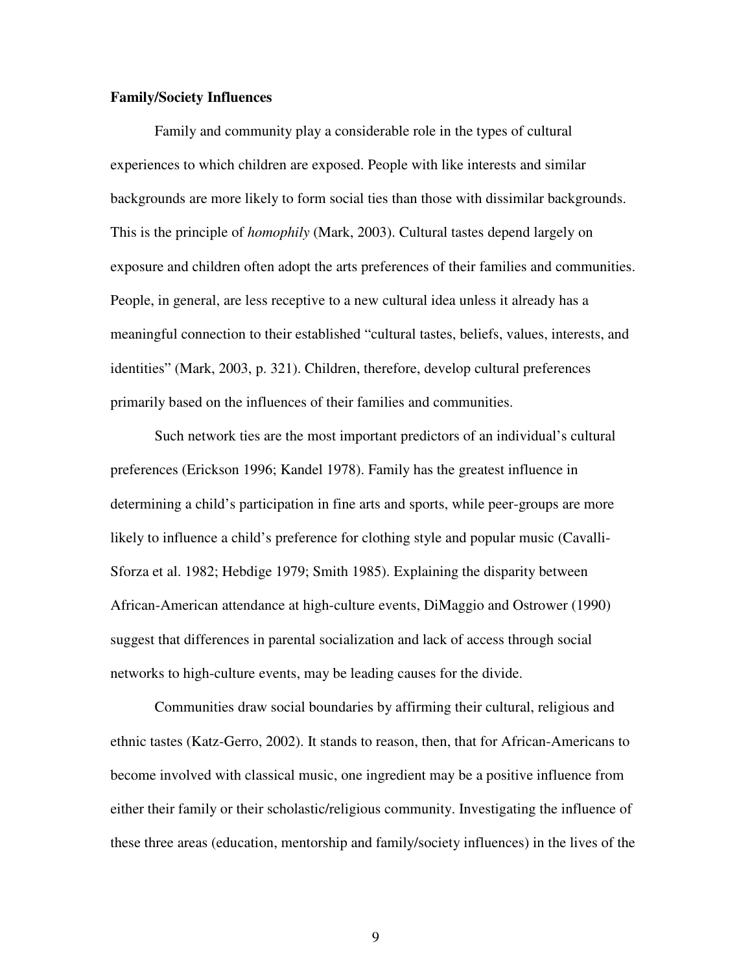#### **Family/Society Influences**

Family and community play a considerable role in the types of cultural experiences to which children are exposed. People with like interests and similar backgrounds are more likely to form social ties than those with dissimilar backgrounds. This is the principle of *homophily* (Mark, 2003). Cultural tastes depend largely on exposure and children often adopt the arts preferences of their families and communities. People, in general, are less receptive to a new cultural idea unless it already has a meaningful connection to their established "cultural tastes, beliefs, values, interests, and identities" (Mark, 2003, p. 321). Children, therefore, develop cultural preferences primarily based on the influences of their families and communities.

Such network ties are the most important predictors of an individual's cultural preferences (Erickson 1996; Kandel 1978). Family has the greatest influence in determining a child's participation in fine arts and sports, while peer-groups are more likely to influence a child's preference for clothing style and popular music (Cavalli-Sforza et al. 1982; Hebdige 1979; Smith 1985). Explaining the disparity between African-American attendance at high-culture events, DiMaggio and Ostrower (1990) suggest that differences in parental socialization and lack of access through social networks to high-culture events, may be leading causes for the divide.

Communities draw social boundaries by affirming their cultural, religious and ethnic tastes (Katz-Gerro, 2002). It stands to reason, then, that for African-Americans to become involved with classical music, one ingredient may be a positive influence from either their family or their scholastic/religious community. Investigating the influence of these three areas (education, mentorship and family/society influences) in the lives of the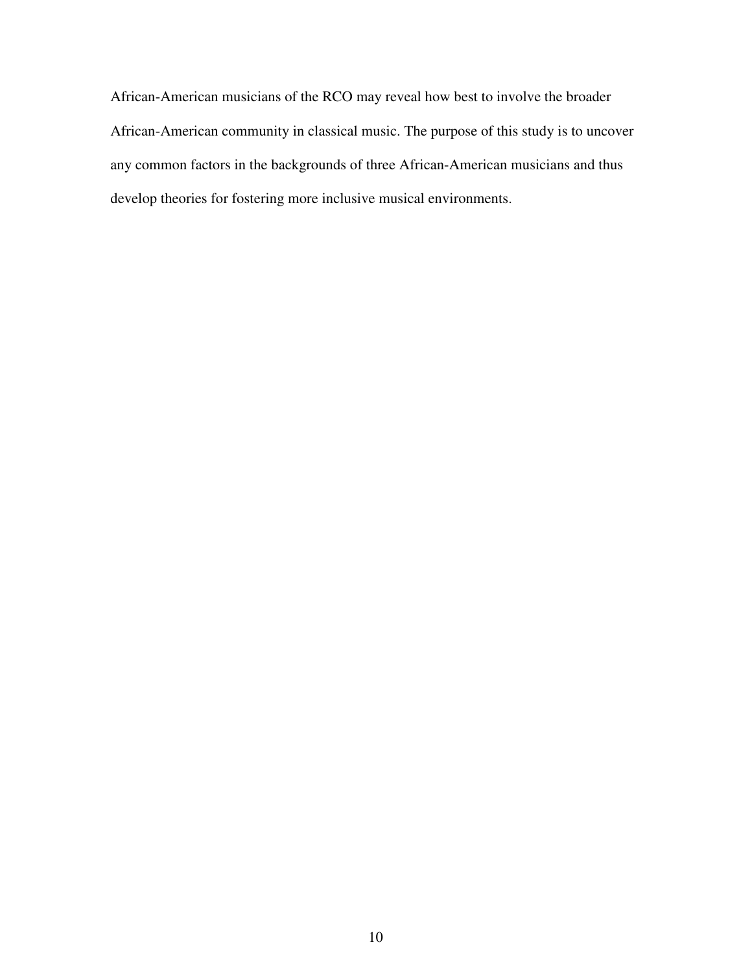African-American musicians of the RCO may reveal how best to involve the broader African-American community in classical music. The purpose of this study is to uncover any common factors in the backgrounds of three African-American musicians and thus develop theories for fostering more inclusive musical environments.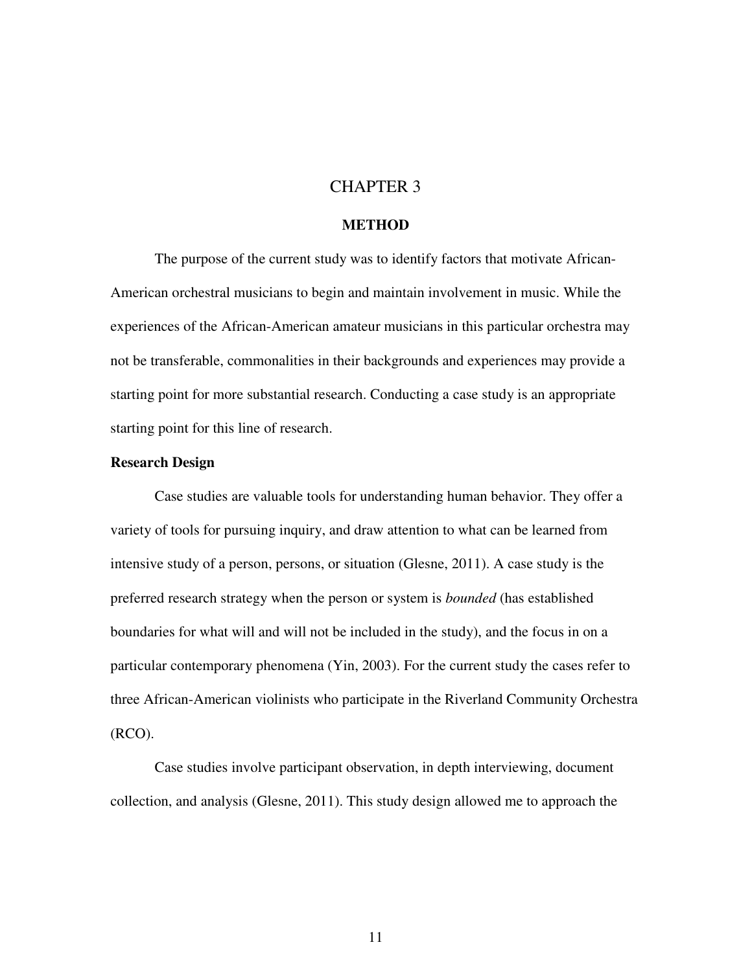#### CHAPTER 3

#### **METHOD**

The purpose of the current study was to identify factors that motivate African-American orchestral musicians to begin and maintain involvement in music. While the experiences of the African-American amateur musicians in this particular orchestra may not be transferable, commonalities in their backgrounds and experiences may provide a starting point for more substantial research. Conducting a case study is an appropriate starting point for this line of research.

#### **Research Design**

 Case studies are valuable tools for understanding human behavior. They offer a variety of tools for pursuing inquiry, and draw attention to what can be learned from intensive study of a person, persons, or situation (Glesne, 2011). A case study is the preferred research strategy when the person or system is *bounded* (has established boundaries for what will and will not be included in the study), and the focus in on a particular contemporary phenomena (Yin, 2003). For the current study the cases refer to three African-American violinists who participate in the Riverland Community Orchestra (RCO).

Case studies involve participant observation, in depth interviewing, document collection, and analysis (Glesne, 2011). This study design allowed me to approach the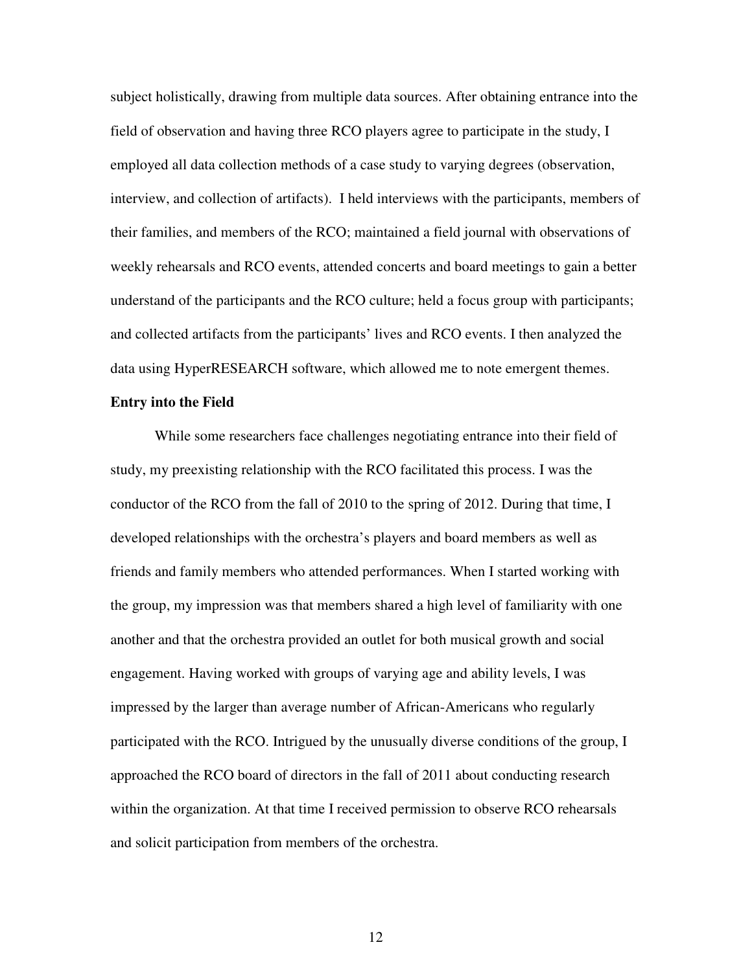subject holistically, drawing from multiple data sources. After obtaining entrance into the field of observation and having three RCO players agree to participate in the study, I employed all data collection methods of a case study to varying degrees (observation, interview, and collection of artifacts). I held interviews with the participants, members of their families, and members of the RCO; maintained a field journal with observations of weekly rehearsals and RCO events, attended concerts and board meetings to gain a better understand of the participants and the RCO culture; held a focus group with participants; and collected artifacts from the participants' lives and RCO events. I then analyzed the data using HyperRESEARCH software, which allowed me to note emergent themes.

#### **Entry into the Field**

While some researchers face challenges negotiating entrance into their field of study, my preexisting relationship with the RCO facilitated this process. I was the conductor of the RCO from the fall of 2010 to the spring of 2012. During that time, I developed relationships with the orchestra's players and board members as well as friends and family members who attended performances. When I started working with the group, my impression was that members shared a high level of familiarity with one another and that the orchestra provided an outlet for both musical growth and social engagement. Having worked with groups of varying age and ability levels, I was impressed by the larger than average number of African-Americans who regularly participated with the RCO. Intrigued by the unusually diverse conditions of the group, I approached the RCO board of directors in the fall of 2011 about conducting research within the organization. At that time I received permission to observe RCO rehearsals and solicit participation from members of the orchestra.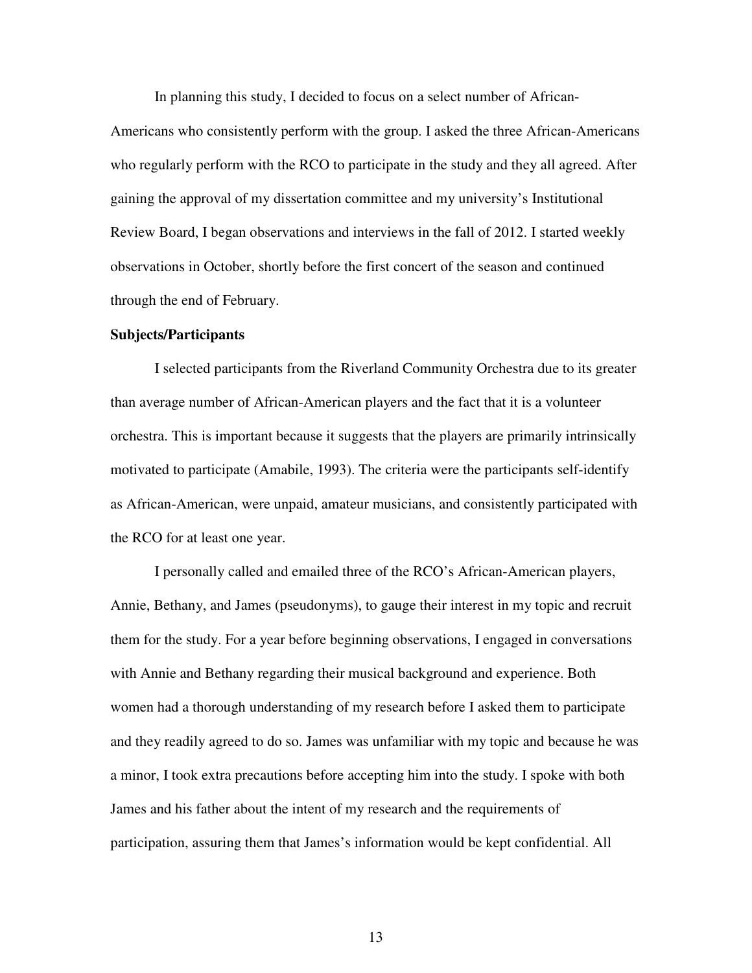In planning this study, I decided to focus on a select number of African-

Americans who consistently perform with the group. I asked the three African-Americans who regularly perform with the RCO to participate in the study and they all agreed. After gaining the approval of my dissertation committee and my university's Institutional Review Board, I began observations and interviews in the fall of 2012. I started weekly observations in October, shortly before the first concert of the season and continued through the end of February.

#### **Subjects/Participants**

I selected participants from the Riverland Community Orchestra due to its greater than average number of African-American players and the fact that it is a volunteer orchestra. This is important because it suggests that the players are primarily intrinsically motivated to participate (Amabile, 1993). The criteria were the participants self-identify as African-American, were unpaid, amateur musicians, and consistently participated with the RCO for at least one year.

I personally called and emailed three of the RCO's African-American players, Annie, Bethany, and James (pseudonyms), to gauge their interest in my topic and recruit them for the study. For a year before beginning observations, I engaged in conversations with Annie and Bethany regarding their musical background and experience. Both women had a thorough understanding of my research before I asked them to participate and they readily agreed to do so. James was unfamiliar with my topic and because he was a minor, I took extra precautions before accepting him into the study. I spoke with both James and his father about the intent of my research and the requirements of participation, assuring them that James's information would be kept confidential. All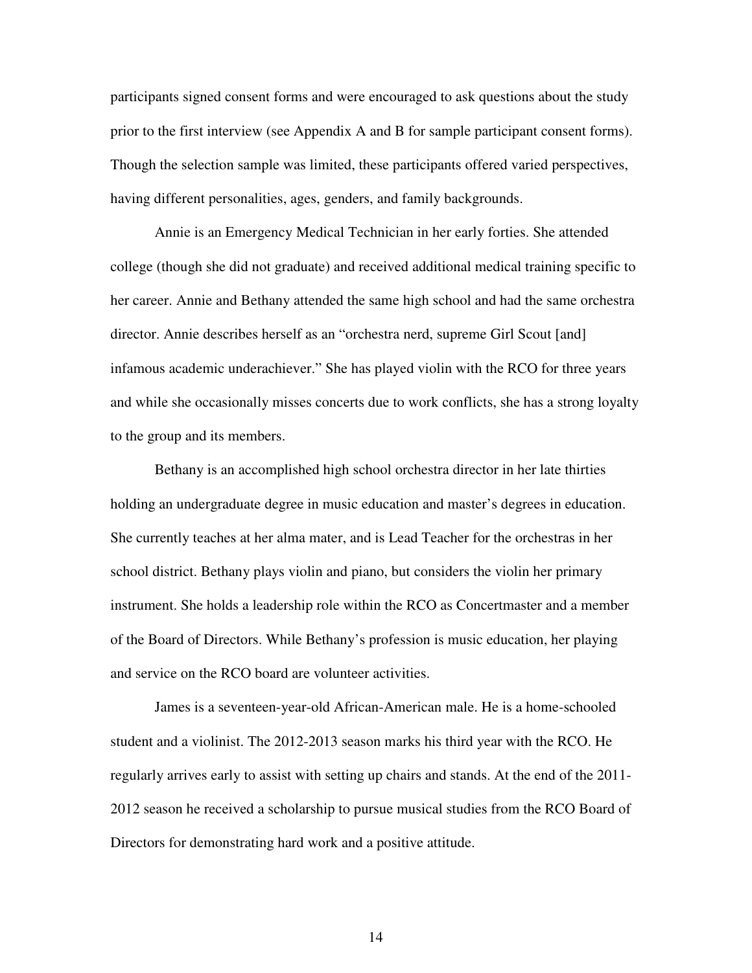participants signed consent forms and were encouraged to ask questions about the study prior to the first interview (see Appendix A and B for sample participant consent forms). Though the selection sample was limited, these participants offered varied perspectives, having different personalities, ages, genders, and family backgrounds.

Annie is an Emergency Medical Technician in her early forties. She attended college (though she did not graduate) and received additional medical training specific to her career. Annie and Bethany attended the same high school and had the same orchestra director. Annie describes herself as an "orchestra nerd, supreme Girl Scout [and] infamous academic underachiever." She has played violin with the RCO for three years and while she occasionally misses concerts due to work conflicts, she has a strong loyalty to the group and its members.

Bethany is an accomplished high school orchestra director in her late thirties holding an undergraduate degree in music education and master's degrees in education. She currently teaches at her alma mater, and is Lead Teacher for the orchestras in her school district. Bethany plays violin and piano, but considers the violin her primary instrument. She holds a leadership role within the RCO as Concertmaster and a member of the Board of Directors. While Bethany's profession is music education, her playing and service on the RCO board are volunteer activities.

James is a seventeen-year-old African-American male. He is a home-schooled student and a violinist. The 2012-2013 season marks his third year with the RCO. He regularly arrives early to assist with setting up chairs and stands. At the end of the 2011- 2012 season he received a scholarship to pursue musical studies from the RCO Board of Directors for demonstrating hard work and a positive attitude.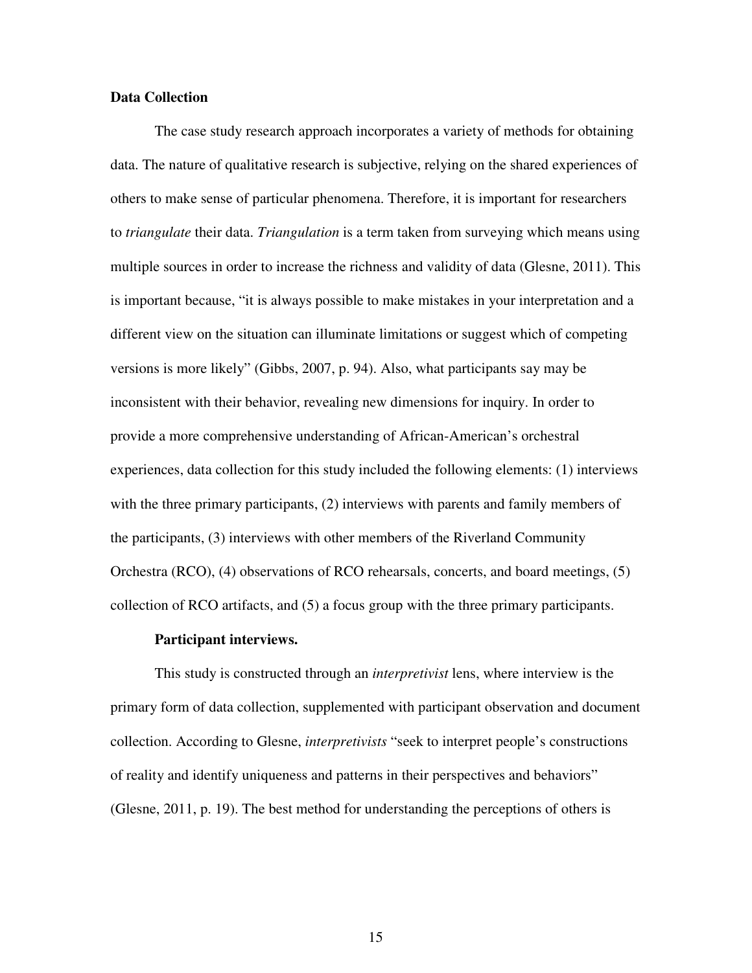#### **Data Collection**

The case study research approach incorporates a variety of methods for obtaining data. The nature of qualitative research is subjective, relying on the shared experiences of others to make sense of particular phenomena. Therefore, it is important for researchers to *triangulate* their data. *Triangulation* is a term taken from surveying which means using multiple sources in order to increase the richness and validity of data (Glesne, 2011). This is important because, "it is always possible to make mistakes in your interpretation and a different view on the situation can illuminate limitations or suggest which of competing versions is more likely" (Gibbs, 2007, p. 94). Also, what participants say may be inconsistent with their behavior, revealing new dimensions for inquiry. In order to provide a more comprehensive understanding of African-American's orchestral experiences, data collection for this study included the following elements: (1) interviews with the three primary participants, (2) interviews with parents and family members of the participants, (3) interviews with other members of the Riverland Community Orchestra (RCO), (4) observations of RCO rehearsals, concerts, and board meetings, (5) collection of RCO artifacts, and (5) a focus group with the three primary participants.

#### **Participant interviews.**

This study is constructed through an *interpretivist* lens, where interview is the primary form of data collection, supplemented with participant observation and document collection. According to Glesne, *interpretivists* "seek to interpret people's constructions of reality and identify uniqueness and patterns in their perspectives and behaviors" (Glesne, 2011, p. 19). The best method for understanding the perceptions of others is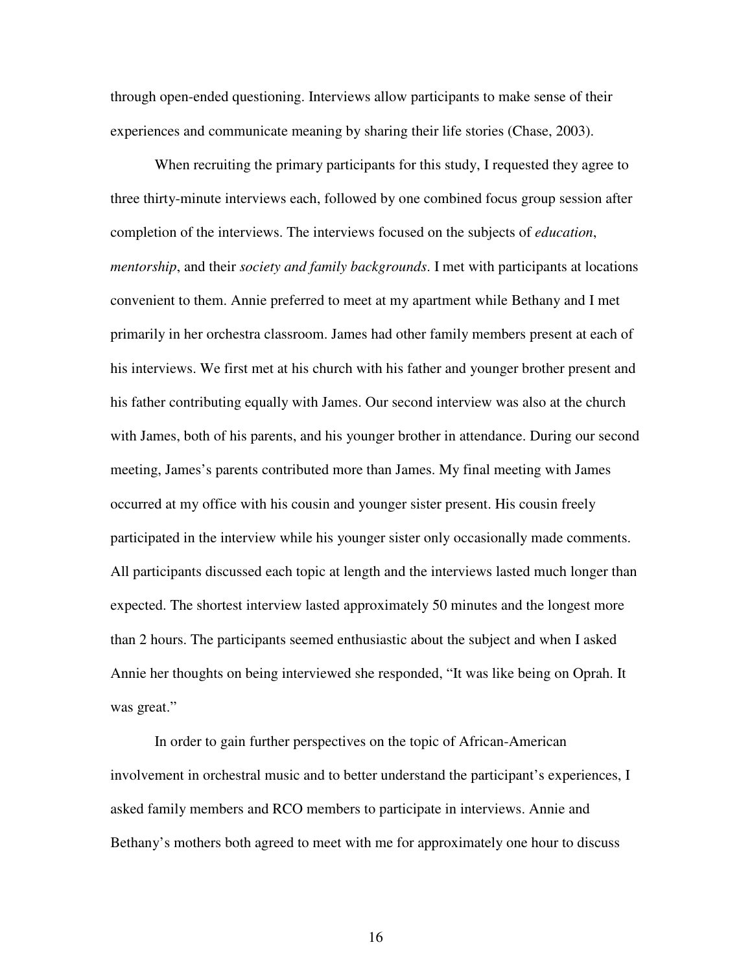through open-ended questioning. Interviews allow participants to make sense of their experiences and communicate meaning by sharing their life stories (Chase, 2003).

When recruiting the primary participants for this study, I requested they agree to three thirty-minute interviews each, followed by one combined focus group session after completion of the interviews. The interviews focused on the subjects of *education*, *mentorship*, and their *society and family backgrounds*. I met with participants at locations convenient to them. Annie preferred to meet at my apartment while Bethany and I met primarily in her orchestra classroom. James had other family members present at each of his interviews. We first met at his church with his father and younger brother present and his father contributing equally with James. Our second interview was also at the church with James, both of his parents, and his younger brother in attendance. During our second meeting, James's parents contributed more than James. My final meeting with James occurred at my office with his cousin and younger sister present. His cousin freely participated in the interview while his younger sister only occasionally made comments. All participants discussed each topic at length and the interviews lasted much longer than expected. The shortest interview lasted approximately 50 minutes and the longest more than 2 hours. The participants seemed enthusiastic about the subject and when I asked Annie her thoughts on being interviewed she responded, "It was like being on Oprah. It was great."

In order to gain further perspectives on the topic of African-American involvement in orchestral music and to better understand the participant's experiences, I asked family members and RCO members to participate in interviews. Annie and Bethany's mothers both agreed to meet with me for approximately one hour to discuss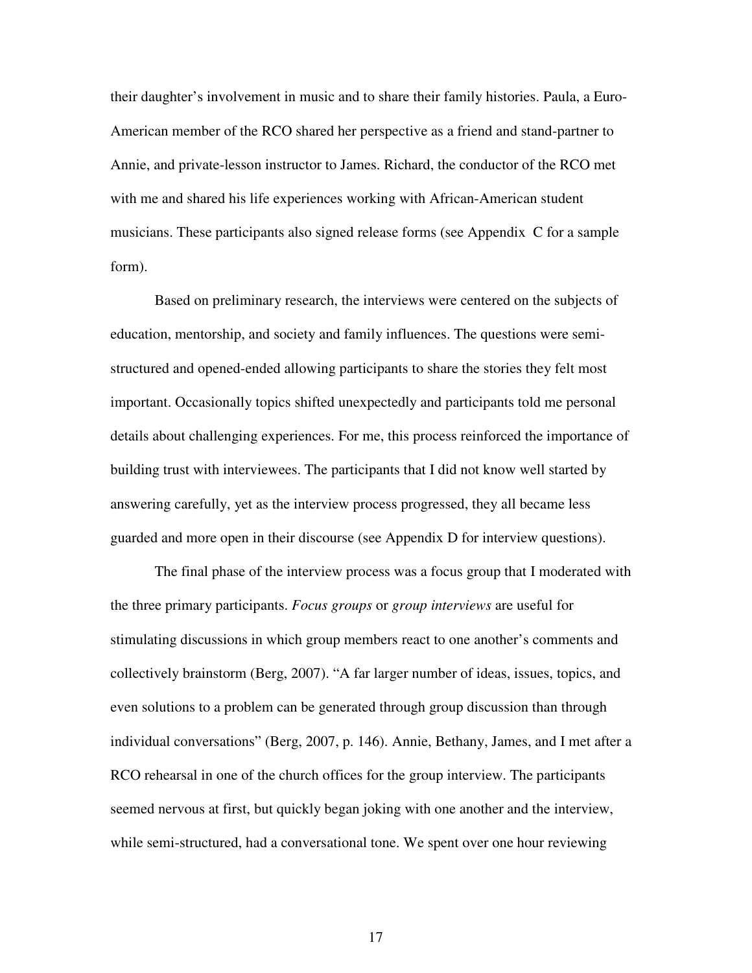their daughter's involvement in music and to share their family histories. Paula, a Euro-American member of the RCO shared her perspective as a friend and stand-partner to Annie, and private-lesson instructor to James. Richard, the conductor of the RCO met with me and shared his life experiences working with African-American student musicians. These participants also signed release forms (see Appendix C for a sample form).

 Based on preliminary research, the interviews were centered on the subjects of education, mentorship, and society and family influences. The questions were semistructured and opened-ended allowing participants to share the stories they felt most important. Occasionally topics shifted unexpectedly and participants told me personal details about challenging experiences. For me, this process reinforced the importance of building trust with interviewees. The participants that I did not know well started by answering carefully, yet as the interview process progressed, they all became less guarded and more open in their discourse (see Appendix D for interview questions).

 The final phase of the interview process was a focus group that I moderated with the three primary participants. *Focus groups* or *group interviews* are useful for stimulating discussions in which group members react to one another's comments and collectively brainstorm (Berg, 2007). "A far larger number of ideas, issues, topics, and even solutions to a problem can be generated through group discussion than through individual conversations" (Berg, 2007, p. 146). Annie, Bethany, James, and I met after a RCO rehearsal in one of the church offices for the group interview. The participants seemed nervous at first, but quickly began joking with one another and the interview, while semi-structured, had a conversational tone. We spent over one hour reviewing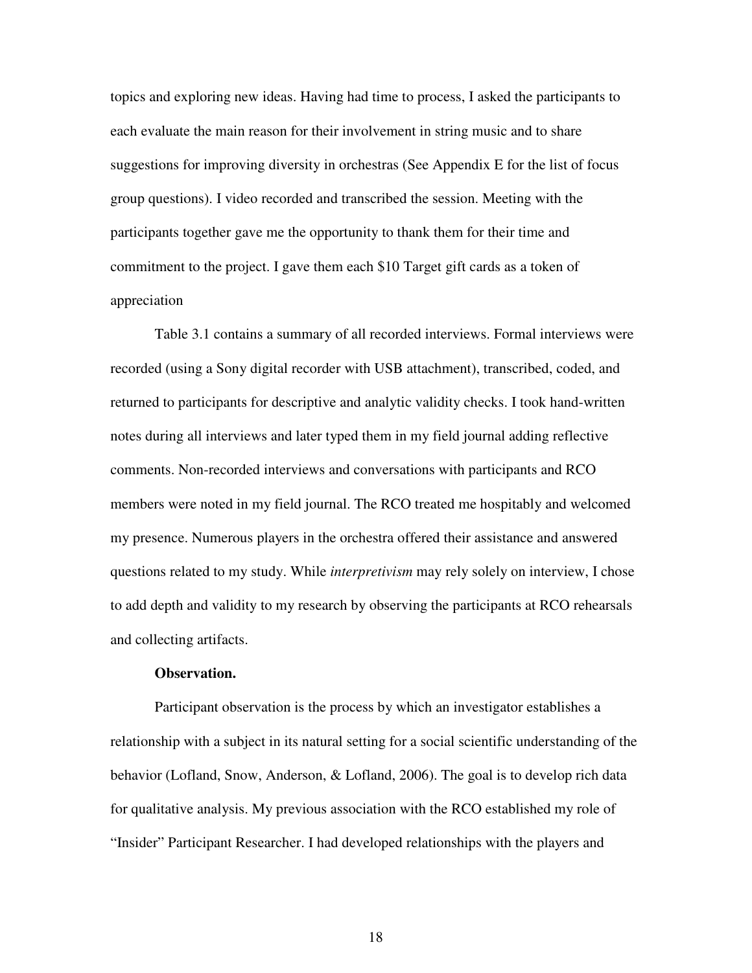topics and exploring new ideas. Having had time to process, I asked the participants to each evaluate the main reason for their involvement in string music and to share suggestions for improving diversity in orchestras (See Appendix E for the list of focus group questions). I video recorded and transcribed the session. Meeting with the participants together gave me the opportunity to thank them for their time and commitment to the project. I gave them each \$10 Target gift cards as a token of appreciation

 Table 3.1 contains a summary of all recorded interviews. Formal interviews were recorded (using a Sony digital recorder with USB attachment), transcribed, coded, and returned to participants for descriptive and analytic validity checks. I took hand-written notes during all interviews and later typed them in my field journal adding reflective comments. Non-recorded interviews and conversations with participants and RCO members were noted in my field journal. The RCO treated me hospitably and welcomed my presence. Numerous players in the orchestra offered their assistance and answered questions related to my study. While *interpretivism* may rely solely on interview, I chose to add depth and validity to my research by observing the participants at RCO rehearsals and collecting artifacts.

#### **Observation.**

Participant observation is the process by which an investigator establishes a relationship with a subject in its natural setting for a social scientific understanding of the behavior (Lofland, Snow, Anderson, & Lofland, 2006). The goal is to develop rich data for qualitative analysis. My previous association with the RCO established my role of "Insider" Participant Researcher. I had developed relationships with the players and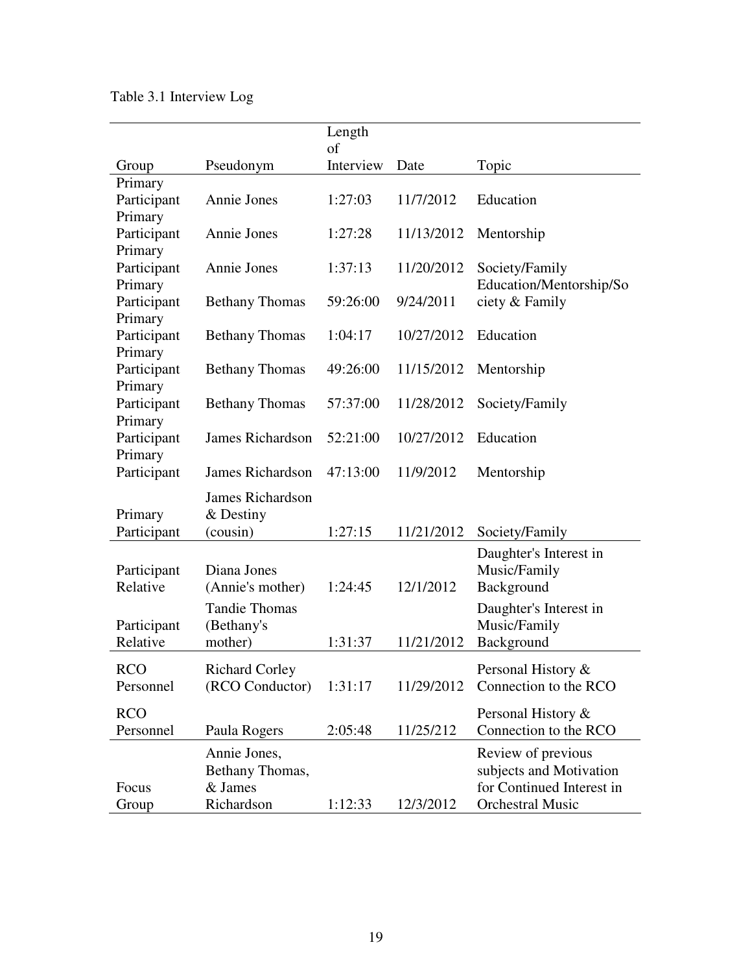| Group                   | Pseudonym                       | Length<br>$\sigma$ f<br>Interview | Date       | Topic                                         |
|-------------------------|---------------------------------|-----------------------------------|------------|-----------------------------------------------|
| Primary                 |                                 |                                   |            |                                               |
| Participant             | Annie Jones                     | 1:27:03                           | 11/7/2012  | Education                                     |
| Primary                 |                                 |                                   |            |                                               |
| Participant             | Annie Jones                     | 1:27:28                           | 11/13/2012 | Mentorship                                    |
| Primary                 |                                 |                                   |            |                                               |
| Participant             | Annie Jones                     | 1:37:13                           | 11/20/2012 | Society/Family                                |
| Primary                 |                                 |                                   |            | Education/Mentorship/So                       |
| Participant             | <b>Bethany Thomas</b>           | 59:26:00                          | 9/24/2011  | ciety & Family                                |
| Primary                 |                                 |                                   |            |                                               |
| Participant             | <b>Bethany Thomas</b>           | 1:04:17                           | 10/27/2012 | Education                                     |
| Primary                 |                                 | 49:26:00                          | 11/15/2012 |                                               |
| Participant<br>Primary  | <b>Bethany Thomas</b>           |                                   |            | Mentorship                                    |
| Participant             | <b>Bethany Thomas</b>           | 57:37:00                          | 11/28/2012 | Society/Family                                |
| Primary                 |                                 |                                   |            |                                               |
| Participant             | James Richardson                | 52:21:00                          | 10/27/2012 | Education                                     |
| Primary                 |                                 |                                   |            |                                               |
| Participant             | James Richardson                | 47:13:00                          | 11/9/2012  | Mentorship                                    |
|                         |                                 |                                   |            |                                               |
|                         | <b>James Richardson</b>         |                                   |            |                                               |
| Primary<br>Participant  | & Destiny<br>(cousin)           | 1:27:15                           | 11/21/2012 | Society/Family                                |
|                         |                                 |                                   |            |                                               |
|                         | Diana Jones                     |                                   |            | Daughter's Interest in<br>Music/Family        |
| Participant<br>Relative | (Annie's mother)                | 1:24:45                           | 12/1/2012  | Background                                    |
|                         |                                 |                                   |            |                                               |
|                         | <b>Tandie Thomas</b>            |                                   |            | Daughter's Interest in                        |
| Participant<br>Relative | (Bethany's<br>mother)           | 1:31:37                           | 11/21/2012 | Music/Family<br>Background                    |
|                         |                                 |                                   |            |                                               |
| <b>RCO</b>              | <b>Richard Corley</b>           |                                   |            | Personal History &                            |
| Personnel               | (RCO Conductor)                 | 1:31:17                           | 11/29/2012 | Connection to the RCO                         |
| <b>RCO</b>              |                                 |                                   |            | Personal History &                            |
| Personnel               | Paula Rogers                    | 2:05:48                           | 11/25/212  | Connection to the RCO                         |
|                         |                                 |                                   |            |                                               |
|                         | Annie Jones,<br>Bethany Thomas, |                                   |            | Review of previous<br>subjects and Motivation |
| Focus                   | & James                         |                                   |            | for Continued Interest in                     |
| Group                   | Richardson                      | 1:12:33                           | 12/3/2012  | <b>Orchestral Music</b>                       |
|                         |                                 |                                   |            |                                               |

## Table 3.1 Interview Log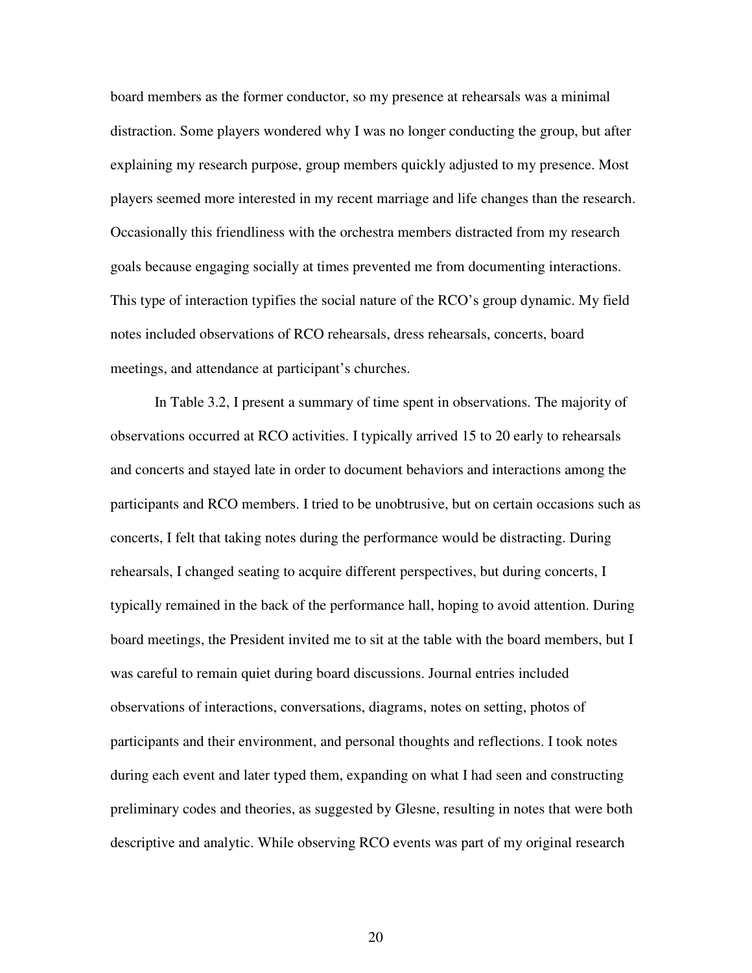board members as the former conductor, so my presence at rehearsals was a minimal distraction. Some players wondered why I was no longer conducting the group, but after explaining my research purpose, group members quickly adjusted to my presence. Most players seemed more interested in my recent marriage and life changes than the research. Occasionally this friendliness with the orchestra members distracted from my research goals because engaging socially at times prevented me from documenting interactions. This type of interaction typifies the social nature of the RCO's group dynamic. My field notes included observations of RCO rehearsals, dress rehearsals, concerts, board meetings, and attendance at participant's churches.

In Table 3.2, I present a summary of time spent in observations. The majority of observations occurred at RCO activities. I typically arrived 15 to 20 early to rehearsals and concerts and stayed late in order to document behaviors and interactions among the participants and RCO members. I tried to be unobtrusive, but on certain occasions such as concerts, I felt that taking notes during the performance would be distracting. During rehearsals, I changed seating to acquire different perspectives, but during concerts, I typically remained in the back of the performance hall, hoping to avoid attention. During board meetings, the President invited me to sit at the table with the board members, but I was careful to remain quiet during board discussions. Journal entries included observations of interactions, conversations, diagrams, notes on setting, photos of participants and their environment, and personal thoughts and reflections. I took notes during each event and later typed them, expanding on what I had seen and constructing preliminary codes and theories, as suggested by Glesne, resulting in notes that were both descriptive and analytic. While observing RCO events was part of my original research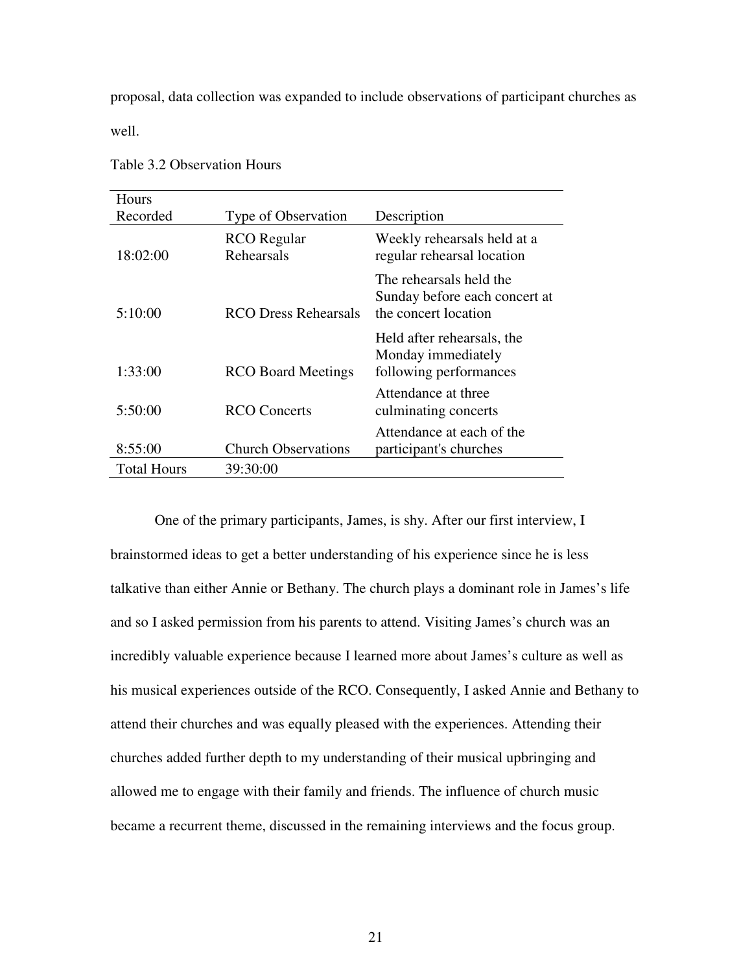proposal, data collection was expanded to include observations of participant churches as well.

| Hours              |                                  |                                                                                  |
|--------------------|----------------------------------|----------------------------------------------------------------------------------|
| Recorded           | Type of Observation              | Description                                                                      |
| 18:02:00           | <b>RCO</b> Regular<br>Rehearsals | Weekly rehearsals held at a<br>regular rehearsal location                        |
| 5:10:00            | RCO Dress Rehearsals             | The rehearsals held the<br>Sunday before each concert at<br>the concert location |
| 1:33:00            | <b>RCO</b> Board Meetings        | Held after rehearsals, the<br>Monday immediately<br>following performances       |
| 5:50:00            | <b>RCO</b> Concerts              | Attendance at three<br>culminating concerts                                      |
| 8:55:00            | <b>Church Observations</b>       | Attendance at each of the<br>participant's churches                              |
| <b>Total Hours</b> | 39:30:00                         |                                                                                  |

Table 3.2 Observation Hours

One of the primary participants, James, is shy. After our first interview, I brainstormed ideas to get a better understanding of his experience since he is less talkative than either Annie or Bethany. The church plays a dominant role in James's life and so I asked permission from his parents to attend. Visiting James's church was an incredibly valuable experience because I learned more about James's culture as well as his musical experiences outside of the RCO. Consequently, I asked Annie and Bethany to attend their churches and was equally pleased with the experiences. Attending their churches added further depth to my understanding of their musical upbringing and allowed me to engage with their family and friends. The influence of church music became a recurrent theme, discussed in the remaining interviews and the focus group.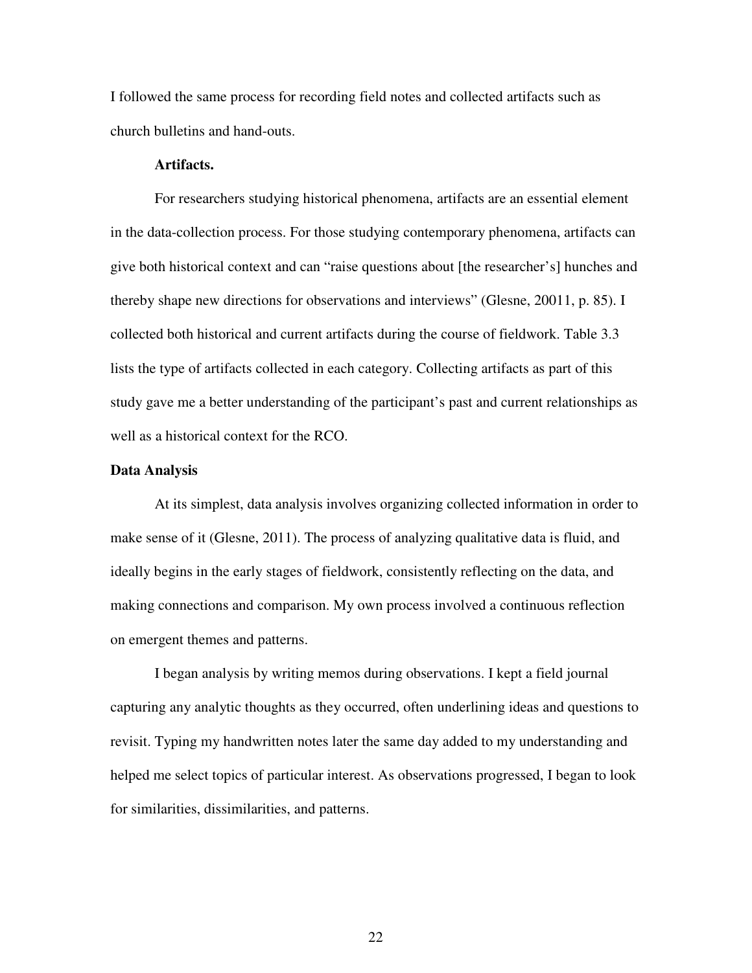I followed the same process for recording field notes and collected artifacts such as church bulletins and hand-outs.

#### **Artifacts.**

For researchers studying historical phenomena, artifacts are an essential element in the data-collection process. For those studying contemporary phenomena, artifacts can give both historical context and can "raise questions about [the researcher's] hunches and thereby shape new directions for observations and interviews" (Glesne, 20011, p. 85). I collected both historical and current artifacts during the course of fieldwork. Table 3.3 lists the type of artifacts collected in each category. Collecting artifacts as part of this study gave me a better understanding of the participant's past and current relationships as well as a historical context for the RCO.

#### **Data Analysis**

At its simplest, data analysis involves organizing collected information in order to make sense of it (Glesne, 2011). The process of analyzing qualitative data is fluid, and ideally begins in the early stages of fieldwork, consistently reflecting on the data, and making connections and comparison. My own process involved a continuous reflection on emergent themes and patterns.

 I began analysis by writing memos during observations. I kept a field journal capturing any analytic thoughts as they occurred, often underlining ideas and questions to revisit. Typing my handwritten notes later the same day added to my understanding and helped me select topics of particular interest. As observations progressed, I began to look for similarities, dissimilarities, and patterns.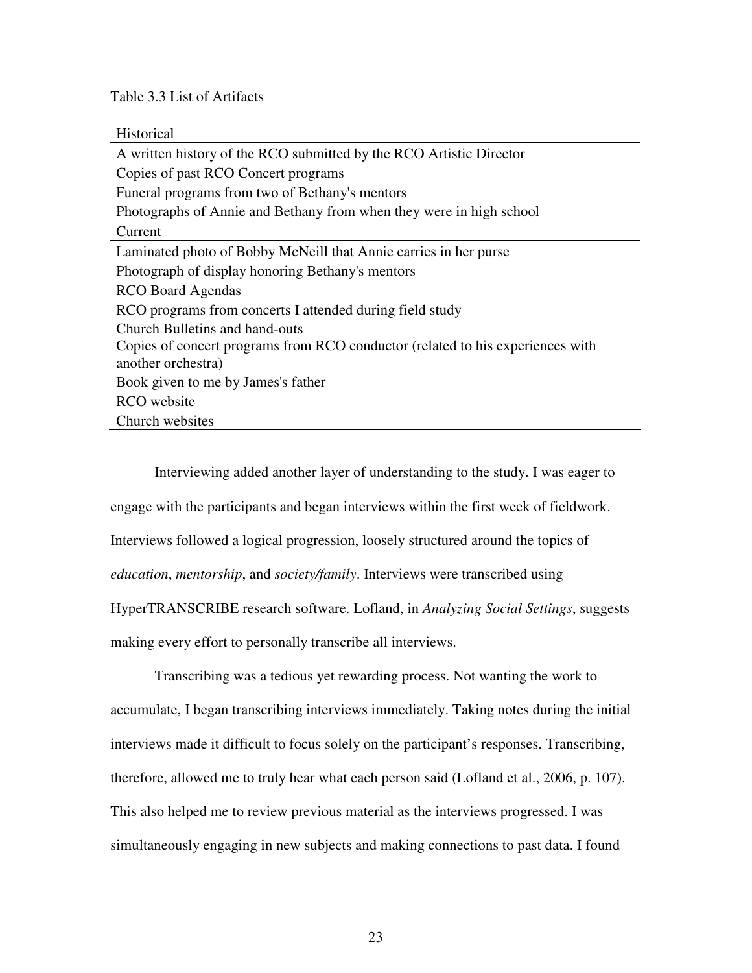Table 3.3 List of Artifacts

Historical A written history of the RCO submitted by the RCO Artistic Director Copies of past RCO Concert programs Funeral programs from two of Bethany's mentors Photographs of Annie and Bethany from when they were in high school Current Laminated photo of Bobby McNeill that Annie carries in her purse Photograph of display honoring Bethany's mentors RCO Board Agendas RCO programs from concerts I attended during field study Church Bulletins and hand-outs Copies of concert programs from RCO conductor (related to his experiences with another orchestra) Book given to me by James's father RCO website Church websites

 Interviewing added another layer of understanding to the study. I was eager to engage with the participants and began interviews within the first week of fieldwork. Interviews followed a logical progression, loosely structured around the topics of *education*, *mentorship*, and *society/family*. Interviews were transcribed using HyperTRANSCRIBE research software. Lofland, in *Analyzing Social Settings*, suggests making every effort to personally transcribe all interviews.

 Transcribing was a tedious yet rewarding process. Not wanting the work to accumulate, I began transcribing interviews immediately. Taking notes during the initial interviews made it difficult to focus solely on the participant's responses. Transcribing, therefore, allowed me to truly hear what each person said (Lofland et al., 2006, p. 107). This also helped me to review previous material as the interviews progressed. I was simultaneously engaging in new subjects and making connections to past data. I found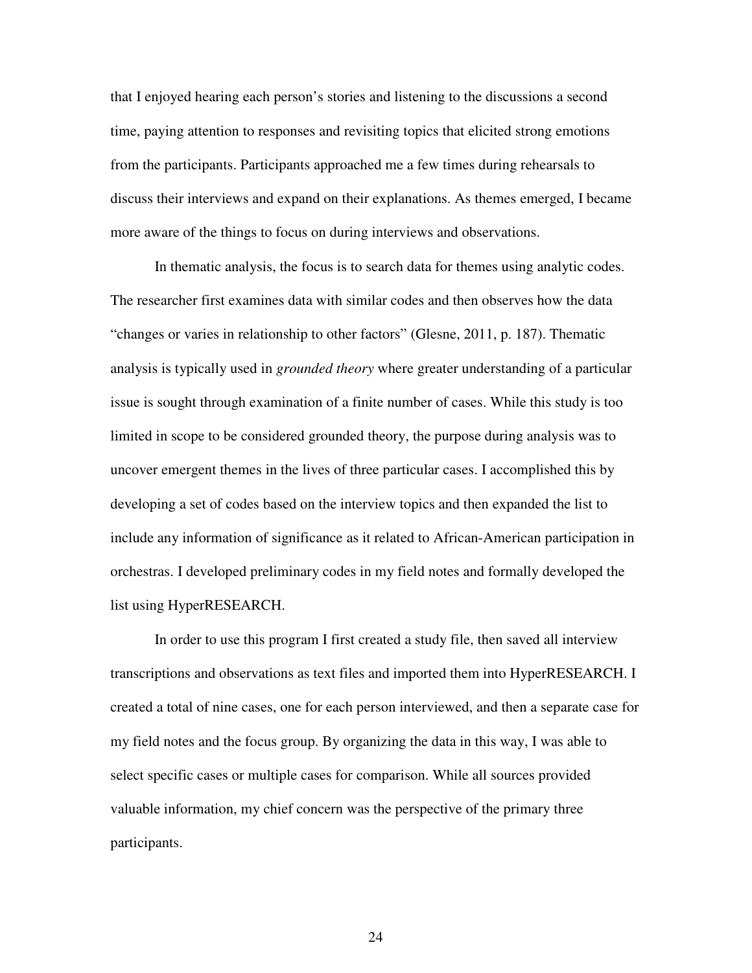that I enjoyed hearing each person's stories and listening to the discussions a second time, paying attention to responses and revisiting topics that elicited strong emotions from the participants. Participants approached me a few times during rehearsals to discuss their interviews and expand on their explanations. As themes emerged, I became more aware of the things to focus on during interviews and observations.

In thematic analysis, the focus is to search data for themes using analytic codes. The researcher first examines data with similar codes and then observes how the data "changes or varies in relationship to other factors" (Glesne, 2011, p. 187). Thematic analysis is typically used in *grounded theory* where greater understanding of a particular issue is sought through examination of a finite number of cases. While this study is too limited in scope to be considered grounded theory, the purpose during analysis was to uncover emergent themes in the lives of three particular cases. I accomplished this by developing a set of codes based on the interview topics and then expanded the list to include any information of significance as it related to African-American participation in orchestras. I developed preliminary codes in my field notes and formally developed the list using HyperRESEARCH.

In order to use this program I first created a study file, then saved all interview transcriptions and observations as text files and imported them into HyperRESEARCH. I created a total of nine cases, one for each person interviewed, and then a separate case for my field notes and the focus group. By organizing the data in this way, I was able to select specific cases or multiple cases for comparison. While all sources provided valuable information, my chief concern was the perspective of the primary three participants.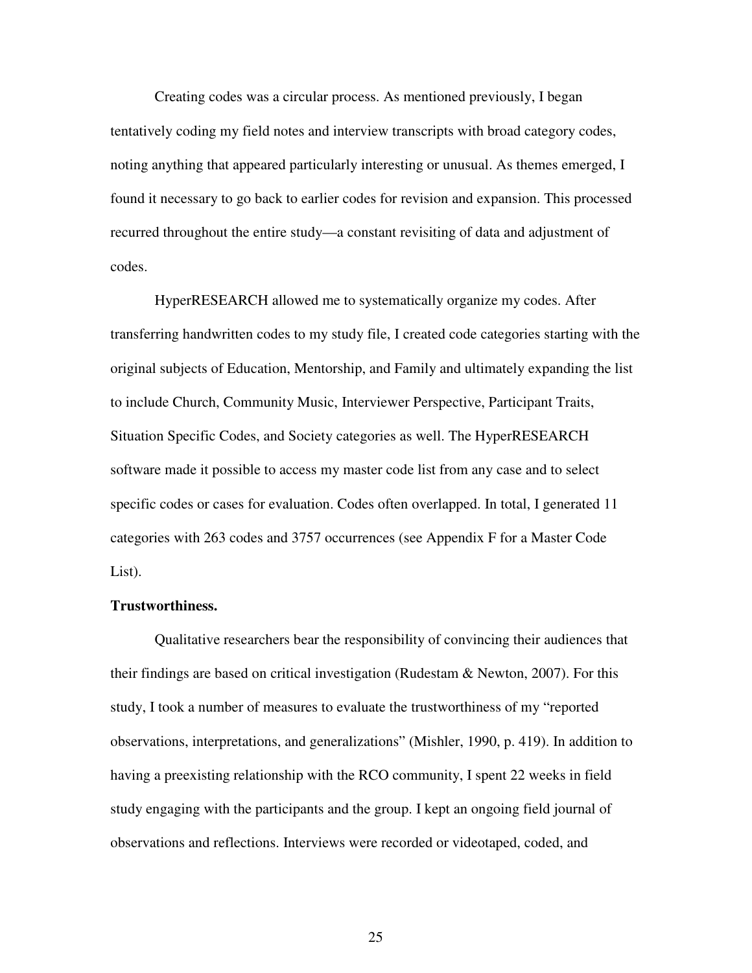Creating codes was a circular process. As mentioned previously, I began tentatively coding my field notes and interview transcripts with broad category codes, noting anything that appeared particularly interesting or unusual. As themes emerged, I found it necessary to go back to earlier codes for revision and expansion. This processed recurred throughout the entire study—a constant revisiting of data and adjustment of codes.

HyperRESEARCH allowed me to systematically organize my codes. After transferring handwritten codes to my study file, I created code categories starting with the original subjects of Education, Mentorship, and Family and ultimately expanding the list to include Church, Community Music, Interviewer Perspective, Participant Traits, Situation Specific Codes, and Society categories as well. The HyperRESEARCH software made it possible to access my master code list from any case and to select specific codes or cases for evaluation. Codes often overlapped. In total, I generated 11 categories with 263 codes and 3757 occurrences (see Appendix F for a Master Code List).

#### **Trustworthiness.**

Qualitative researchers bear the responsibility of convincing their audiences that their findings are based on critical investigation (Rudestam  $\&$  Newton, 2007). For this study, I took a number of measures to evaluate the trustworthiness of my "reported observations, interpretations, and generalizations" (Mishler, 1990, p. 419). In addition to having a preexisting relationship with the RCO community, I spent 22 weeks in field study engaging with the participants and the group. I kept an ongoing field journal of observations and reflections. Interviews were recorded or videotaped, coded, and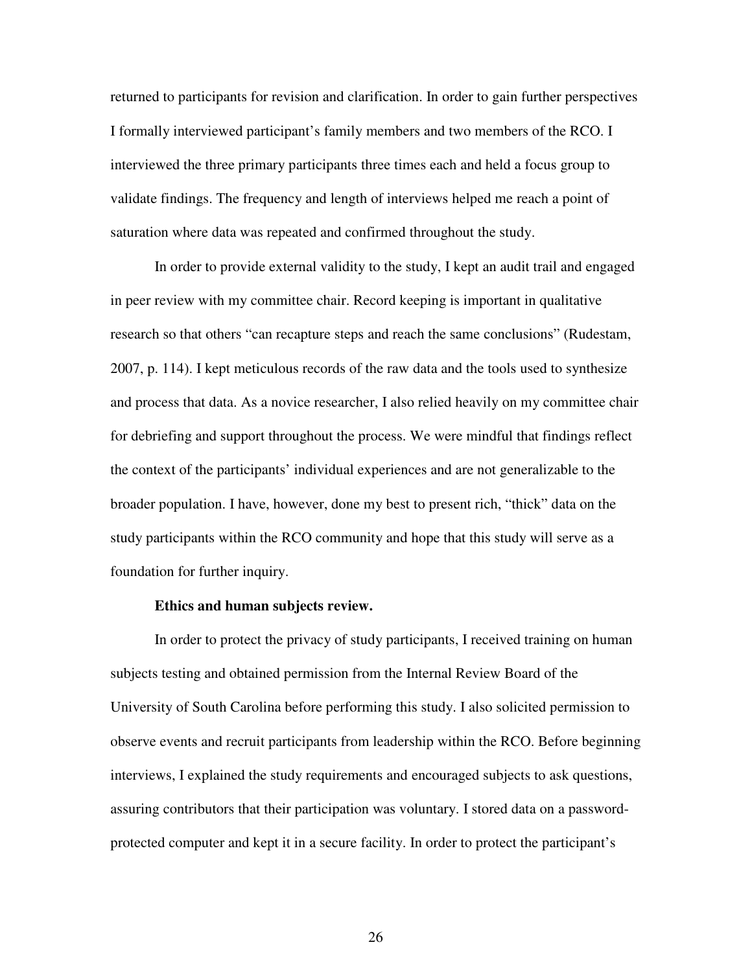returned to participants for revision and clarification. In order to gain further perspectives I formally interviewed participant's family members and two members of the RCO. I interviewed the three primary participants three times each and held a focus group to validate findings. The frequency and length of interviews helped me reach a point of saturation where data was repeated and confirmed throughout the study.

 In order to provide external validity to the study, I kept an audit trail and engaged in peer review with my committee chair. Record keeping is important in qualitative research so that others "can recapture steps and reach the same conclusions" (Rudestam, 2007, p. 114). I kept meticulous records of the raw data and the tools used to synthesize and process that data. As a novice researcher, I also relied heavily on my committee chair for debriefing and support throughout the process. We were mindful that findings reflect the context of the participants' individual experiences and are not generalizable to the broader population. I have, however, done my best to present rich, "thick" data on the study participants within the RCO community and hope that this study will serve as a foundation for further inquiry.

#### **Ethics and human subjects review.**

In order to protect the privacy of study participants, I received training on human subjects testing and obtained permission from the Internal Review Board of the University of South Carolina before performing this study. I also solicited permission to observe events and recruit participants from leadership within the RCO. Before beginning interviews, I explained the study requirements and encouraged subjects to ask questions, assuring contributors that their participation was voluntary. I stored data on a passwordprotected computer and kept it in a secure facility. In order to protect the participant's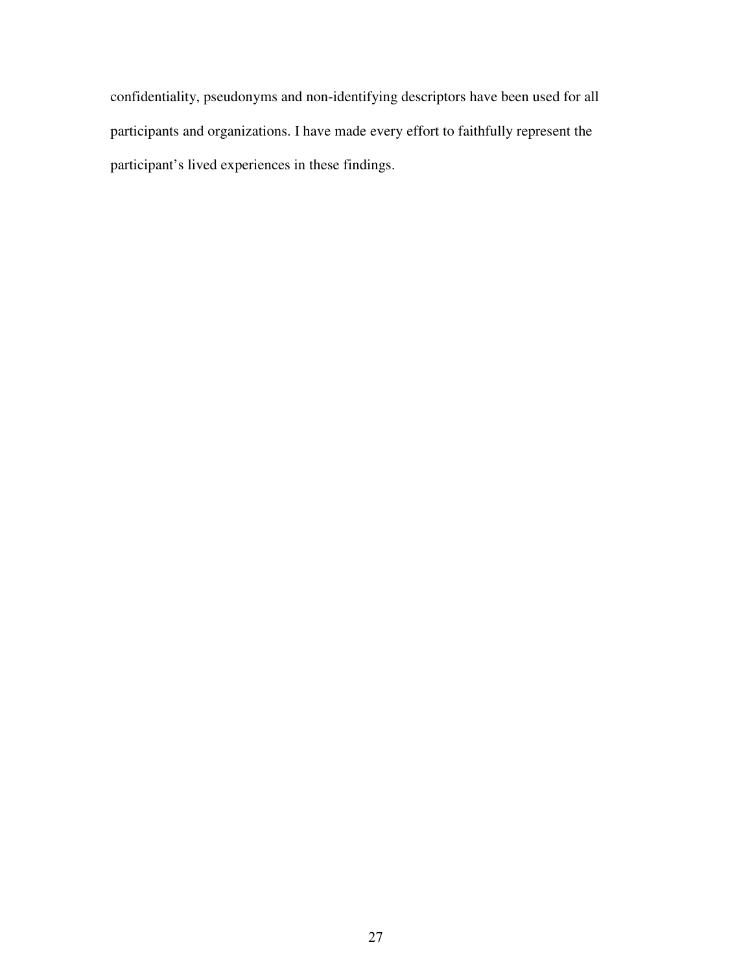confidentiality, pseudonyms and non-identifying descriptors have been used for all participants and organizations. I have made every effort to faithfully represent the participant's lived experiences in these findings.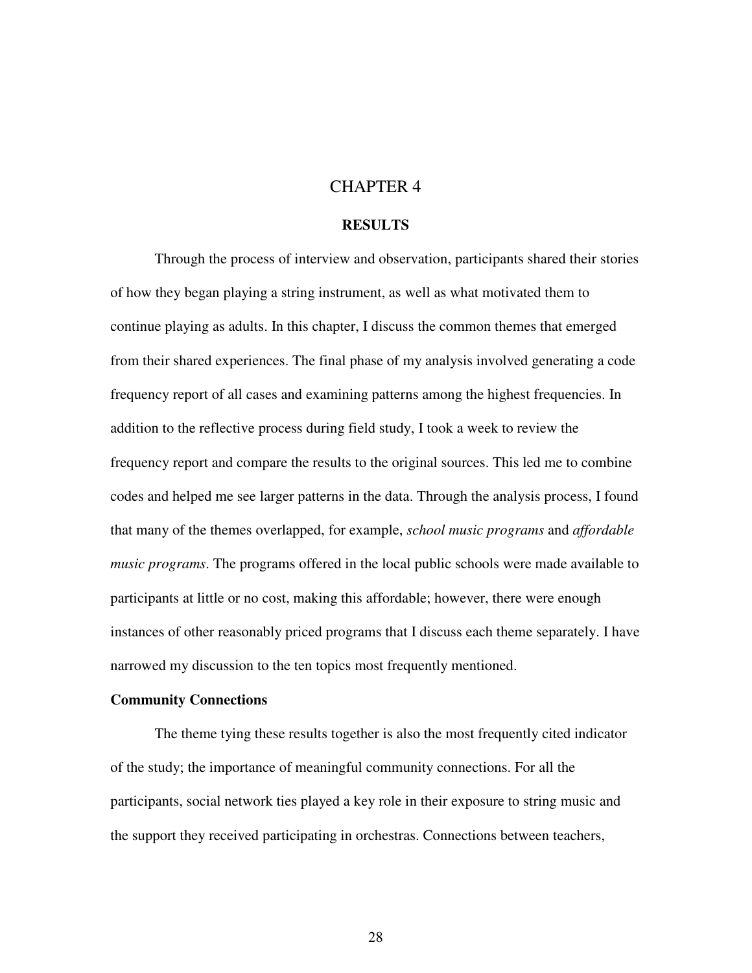# CHAPTER 4

## **RESULTS**

Through the process of interview and observation, participants shared their stories of how they began playing a string instrument, as well as what motivated them to continue playing as adults. In this chapter, I discuss the common themes that emerged from their shared experiences. The final phase of my analysis involved generating a code frequency report of all cases and examining patterns among the highest frequencies. In addition to the reflective process during field study, I took a week to review the frequency report and compare the results to the original sources. This led me to combine codes and helped me see larger patterns in the data. Through the analysis process, I found that many of the themes overlapped, for example, *school music programs* and *affordable music programs*. The programs offered in the local public schools were made available to participants at little or no cost, making this affordable; however, there were enough instances of other reasonably priced programs that I discuss each theme separately. I have narrowed my discussion to the ten topics most frequently mentioned.

#### **Community Connections**

The theme tying these results together is also the most frequently cited indicator of the study; the importance of meaningful community connections. For all the participants, social network ties played a key role in their exposure to string music and the support they received participating in orchestras. Connections between teachers,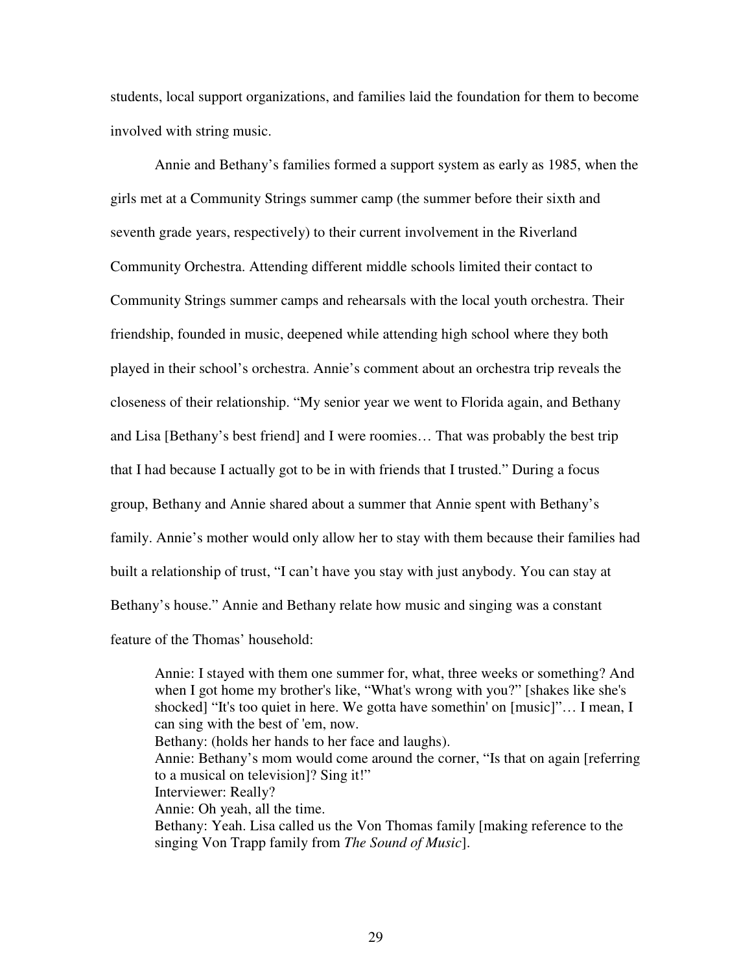students, local support organizations, and families laid the foundation for them to become involved with string music.

Annie and Bethany's families formed a support system as early as 1985, when the girls met at a Community Strings summer camp (the summer before their sixth and seventh grade years, respectively) to their current involvement in the Riverland Community Orchestra. Attending different middle schools limited their contact to Community Strings summer camps and rehearsals with the local youth orchestra. Their friendship, founded in music, deepened while attending high school where they both played in their school's orchestra. Annie's comment about an orchestra trip reveals the closeness of their relationship. "My senior year we went to Florida again, and Bethany and Lisa [Bethany's best friend] and I were roomies… That was probably the best trip that I had because I actually got to be in with friends that I trusted." During a focus group, Bethany and Annie shared about a summer that Annie spent with Bethany's family. Annie's mother would only allow her to stay with them because their families had built a relationship of trust, "I can't have you stay with just anybody. You can stay at Bethany's house." Annie and Bethany relate how music and singing was a constant feature of the Thomas' household:

Annie: I stayed with them one summer for, what, three weeks or something? And when I got home my brother's like, "What's wrong with you?" [shakes like she's shocked] "It's too quiet in here. We gotta have somethin' on [music]"... I mean, I can sing with the best of 'em, now. Bethany: (holds her hands to her face and laughs). Annie: Bethany's mom would come around the corner, "Is that on again [referring to a musical on television]? Sing it!" Interviewer: Really? Annie: Oh yeah, all the time. Bethany: Yeah. Lisa called us the Von Thomas family [making reference to the singing Von Trapp family from *The Sound of Music*].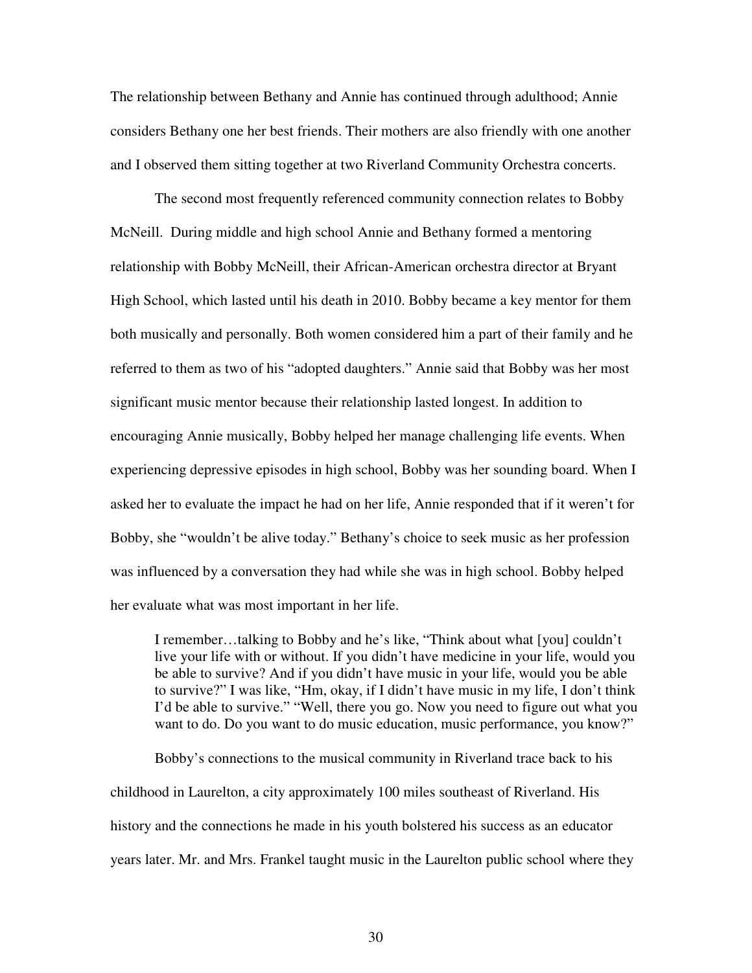The relationship between Bethany and Annie has continued through adulthood; Annie considers Bethany one her best friends. Their mothers are also friendly with one another and I observed them sitting together at two Riverland Community Orchestra concerts.

The second most frequently referenced community connection relates to Bobby McNeill. During middle and high school Annie and Bethany formed a mentoring relationship with Bobby McNeill, their African-American orchestra director at Bryant High School, which lasted until his death in 2010. Bobby became a key mentor for them both musically and personally. Both women considered him a part of their family and he referred to them as two of his "adopted daughters." Annie said that Bobby was her most significant music mentor because their relationship lasted longest. In addition to encouraging Annie musically, Bobby helped her manage challenging life events. When experiencing depressive episodes in high school, Bobby was her sounding board. When I asked her to evaluate the impact he had on her life, Annie responded that if it weren't for Bobby, she "wouldn't be alive today." Bethany's choice to seek music as her profession was influenced by a conversation they had while she was in high school. Bobby helped her evaluate what was most important in her life.

I remember…talking to Bobby and he's like, "Think about what [you] couldn't live your life with or without. If you didn't have medicine in your life, would you be able to survive? And if you didn't have music in your life, would you be able to survive?" I was like, "Hm, okay, if I didn't have music in my life, I don't think I'd be able to survive." "Well, there you go. Now you need to figure out what you want to do. Do you want to do music education, music performance, you know?"

Bobby's connections to the musical community in Riverland trace back to his childhood in Laurelton, a city approximately 100 miles southeast of Riverland. His history and the connections he made in his youth bolstered his success as an educator years later. Mr. and Mrs. Frankel taught music in the Laurelton public school where they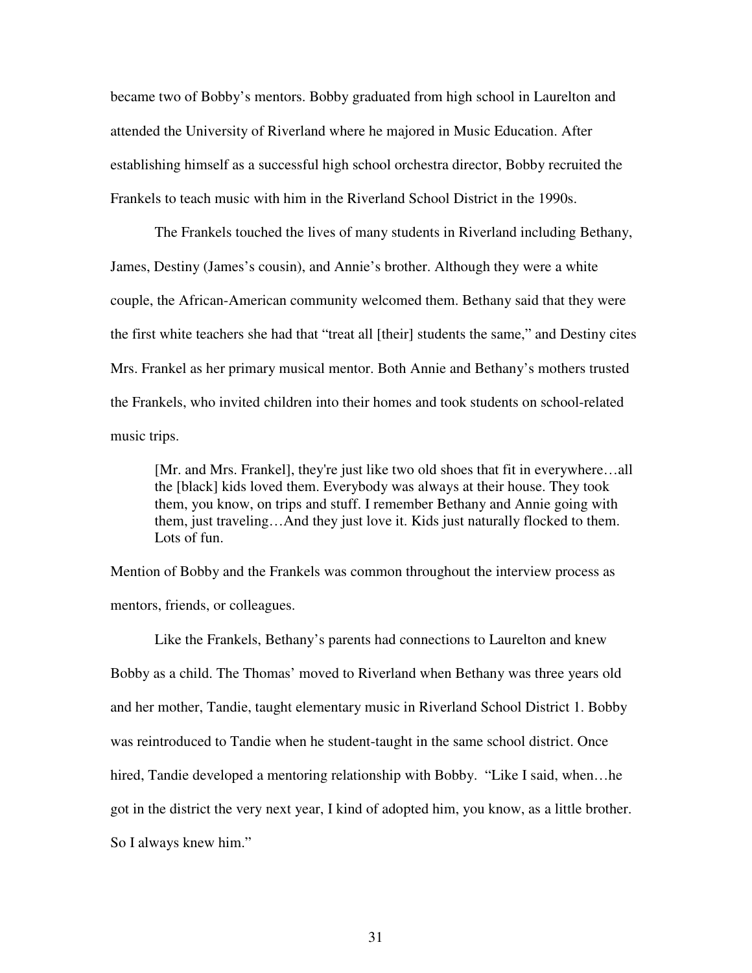became two of Bobby's mentors. Bobby graduated from high school in Laurelton and attended the University of Riverland where he majored in Music Education. After establishing himself as a successful high school orchestra director, Bobby recruited the Frankels to teach music with him in the Riverland School District in the 1990s.

The Frankels touched the lives of many students in Riverland including Bethany, James, Destiny (James's cousin), and Annie's brother. Although they were a white couple, the African-American community welcomed them. Bethany said that they were the first white teachers she had that "treat all [their] students the same," and Destiny cites Mrs. Frankel as her primary musical mentor. Both Annie and Bethany's mothers trusted the Frankels, who invited children into their homes and took students on school-related music trips.

[Mr. and Mrs. Frankel], they're just like two old shoes that fit in everywhere…all the [black] kids loved them. Everybody was always at their house. They took them, you know, on trips and stuff. I remember Bethany and Annie going with them, just traveling…And they just love it. Kids just naturally flocked to them. Lots of fun.

Mention of Bobby and the Frankels was common throughout the interview process as mentors, friends, or colleagues.

Like the Frankels, Bethany's parents had connections to Laurelton and knew Bobby as a child. The Thomas' moved to Riverland when Bethany was three years old and her mother, Tandie, taught elementary music in Riverland School District 1. Bobby was reintroduced to Tandie when he student-taught in the same school district. Once hired, Tandie developed a mentoring relationship with Bobby. "Like I said, when…he got in the district the very next year, I kind of adopted him, you know, as a little brother. So I always knew him."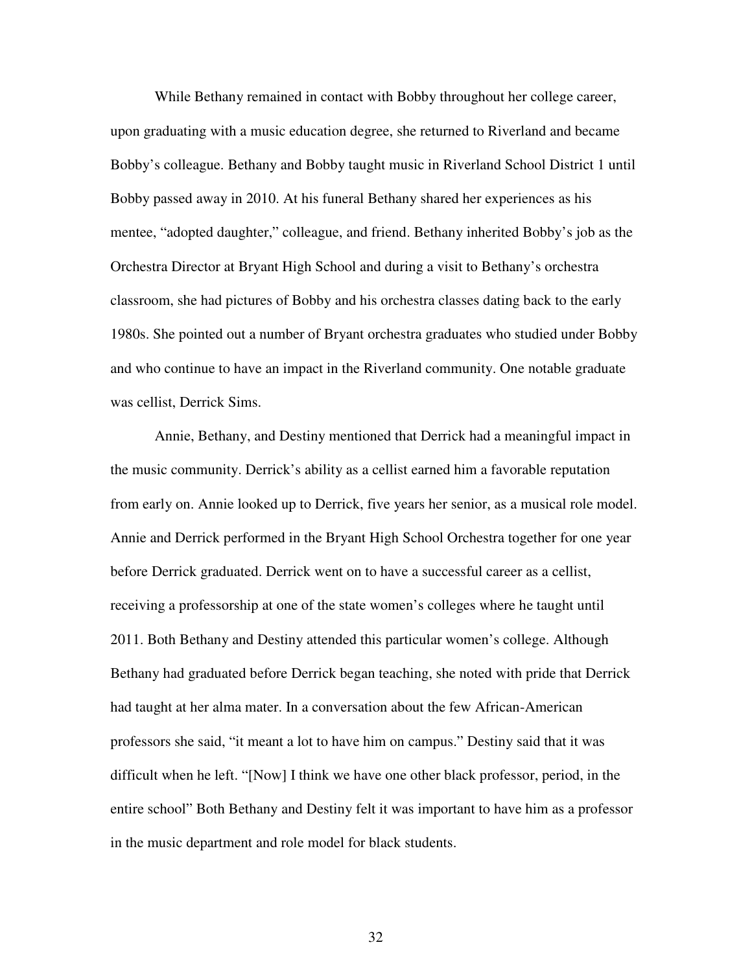While Bethany remained in contact with Bobby throughout her college career, upon graduating with a music education degree, she returned to Riverland and became Bobby's colleague. Bethany and Bobby taught music in Riverland School District 1 until Bobby passed away in 2010. At his funeral Bethany shared her experiences as his mentee, "adopted daughter," colleague, and friend. Bethany inherited Bobby's job as the Orchestra Director at Bryant High School and during a visit to Bethany's orchestra classroom, she had pictures of Bobby and his orchestra classes dating back to the early 1980s. She pointed out a number of Bryant orchestra graduates who studied under Bobby and who continue to have an impact in the Riverland community. One notable graduate was cellist, Derrick Sims.

Annie, Bethany, and Destiny mentioned that Derrick had a meaningful impact in the music community. Derrick's ability as a cellist earned him a favorable reputation from early on. Annie looked up to Derrick, five years her senior, as a musical role model. Annie and Derrick performed in the Bryant High School Orchestra together for one year before Derrick graduated. Derrick went on to have a successful career as a cellist, receiving a professorship at one of the state women's colleges where he taught until 2011. Both Bethany and Destiny attended this particular women's college. Although Bethany had graduated before Derrick began teaching, she noted with pride that Derrick had taught at her alma mater. In a conversation about the few African-American professors she said, "it meant a lot to have him on campus." Destiny said that it was difficult when he left. "[Now] I think we have one other black professor, period, in the entire school" Both Bethany and Destiny felt it was important to have him as a professor in the music department and role model for black students.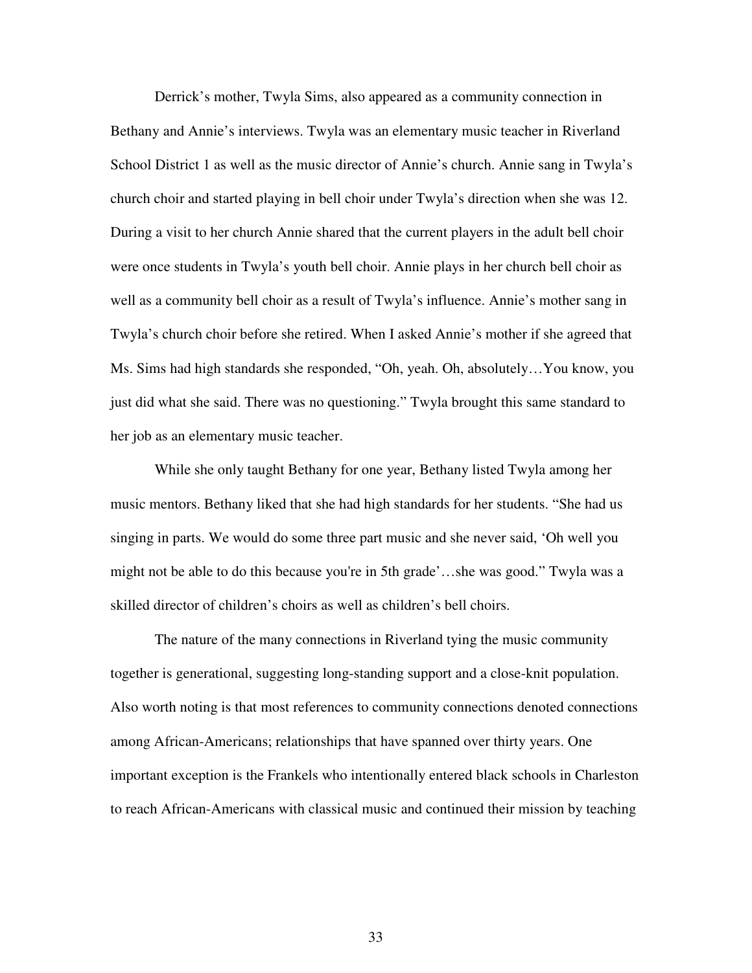Derrick's mother, Twyla Sims, also appeared as a community connection in Bethany and Annie's interviews. Twyla was an elementary music teacher in Riverland School District 1 as well as the music director of Annie's church. Annie sang in Twyla's church choir and started playing in bell choir under Twyla's direction when she was 12. During a visit to her church Annie shared that the current players in the adult bell choir were once students in Twyla's youth bell choir. Annie plays in her church bell choir as well as a community bell choir as a result of Twyla's influence. Annie's mother sang in Twyla's church choir before she retired. When I asked Annie's mother if she agreed that Ms. Sims had high standards she responded, "Oh, yeah. Oh, absolutely…You know, you just did what she said. There was no questioning." Twyla brought this same standard to her job as an elementary music teacher.

While she only taught Bethany for one year, Bethany listed Twyla among her music mentors. Bethany liked that she had high standards for her students. "She had us singing in parts. We would do some three part music and she never said, 'Oh well you might not be able to do this because you're in 5th grade'…she was good." Twyla was a skilled director of children's choirs as well as children's bell choirs.

The nature of the many connections in Riverland tying the music community together is generational, suggesting long-standing support and a close-knit population. Also worth noting is that most references to community connections denoted connections among African-Americans; relationships that have spanned over thirty years. One important exception is the Frankels who intentionally entered black schools in Charleston to reach African-Americans with classical music and continued their mission by teaching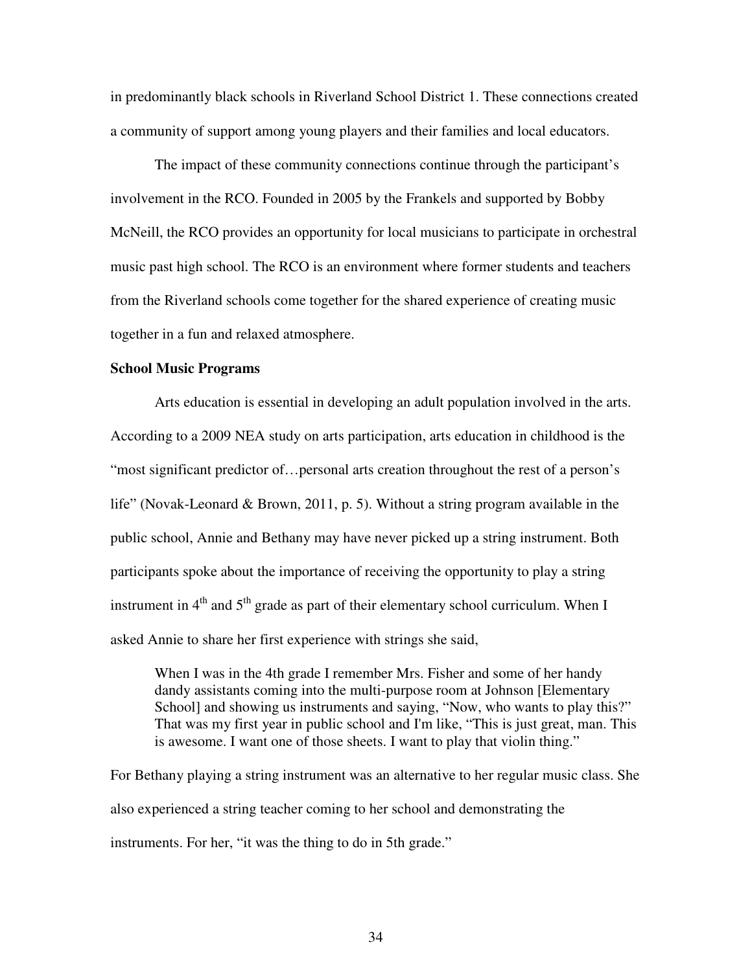in predominantly black schools in Riverland School District 1. These connections created a community of support among young players and their families and local educators.

The impact of these community connections continue through the participant's involvement in the RCO. Founded in 2005 by the Frankels and supported by Bobby McNeill, the RCO provides an opportunity for local musicians to participate in orchestral music past high school. The RCO is an environment where former students and teachers from the Riverland schools come together for the shared experience of creating music together in a fun and relaxed atmosphere.

# **School Music Programs**

Arts education is essential in developing an adult population involved in the arts. According to a 2009 NEA study on arts participation, arts education in childhood is the "most significant predictor of…personal arts creation throughout the rest of a person's life" (Novak-Leonard & Brown, 2011, p. 5). Without a string program available in the public school, Annie and Bethany may have never picked up a string instrument. Both participants spoke about the importance of receiving the opportunity to play a string instrument in  $4<sup>th</sup>$  and  $5<sup>th</sup>$  grade as part of their elementary school curriculum. When I asked Annie to share her first experience with strings she said,

When I was in the 4th grade I remember Mrs. Fisher and some of her handy dandy assistants coming into the multi-purpose room at Johnson [Elementary School] and showing us instruments and saying, "Now, who wants to play this?" That was my first year in public school and I'm like, "This is just great, man. This is awesome. I want one of those sheets. I want to play that violin thing."

For Bethany playing a string instrument was an alternative to her regular music class. She also experienced a string teacher coming to her school and demonstrating the instruments. For her, "it was the thing to do in 5th grade."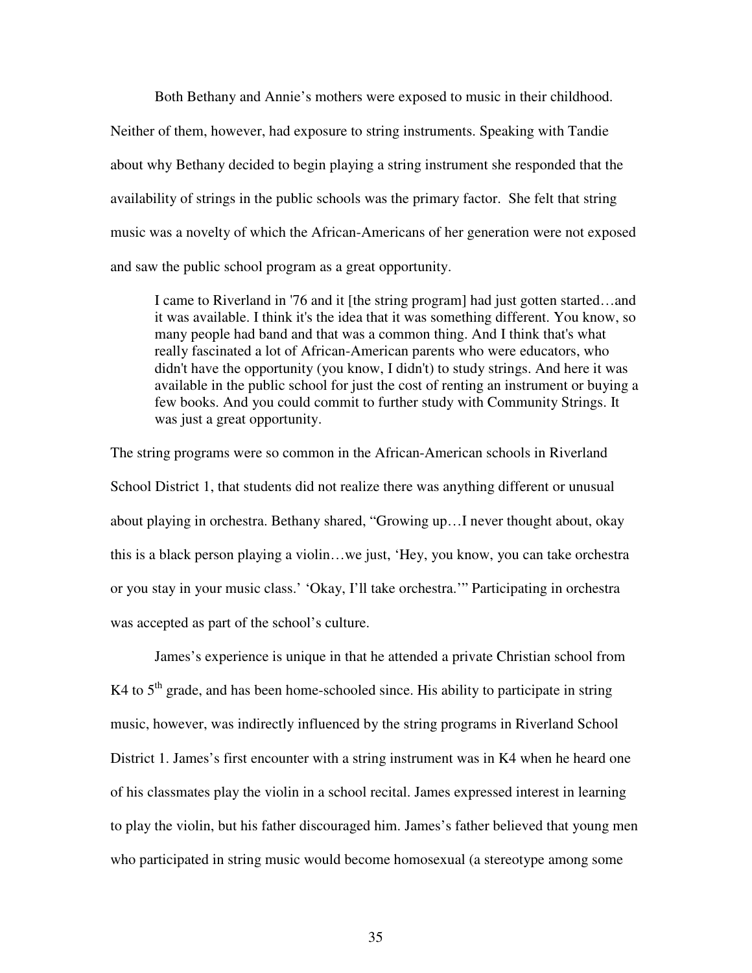Both Bethany and Annie's mothers were exposed to music in their childhood. Neither of them, however, had exposure to string instruments. Speaking with Tandie about why Bethany decided to begin playing a string instrument she responded that the availability of strings in the public schools was the primary factor. She felt that string music was a novelty of which the African-Americans of her generation were not exposed and saw the public school program as a great opportunity.

I came to Riverland in '76 and it [the string program] had just gotten started…and it was available. I think it's the idea that it was something different. You know, so many people had band and that was a common thing. And I think that's what really fascinated a lot of African-American parents who were educators, who didn't have the opportunity (you know, I didn't) to study strings. And here it was available in the public school for just the cost of renting an instrument or buying a few books. And you could commit to further study with Community Strings. It was just a great opportunity.

The string programs were so common in the African-American schools in Riverland School District 1, that students did not realize there was anything different or unusual about playing in orchestra. Bethany shared, "Growing up…I never thought about, okay this is a black person playing a violin…we just, 'Hey, you know, you can take orchestra or you stay in your music class.' 'Okay, I'll take orchestra.'" Participating in orchestra was accepted as part of the school's culture.

James's experience is unique in that he attended a private Christian school from K4 to  $5<sup>th</sup>$  grade, and has been home-schooled since. His ability to participate in string music, however, was indirectly influenced by the string programs in Riverland School District 1. James's first encounter with a string instrument was in K4 when he heard one of his classmates play the violin in a school recital. James expressed interest in learning to play the violin, but his father discouraged him. James's father believed that young men who participated in string music would become homosexual (a stereotype among some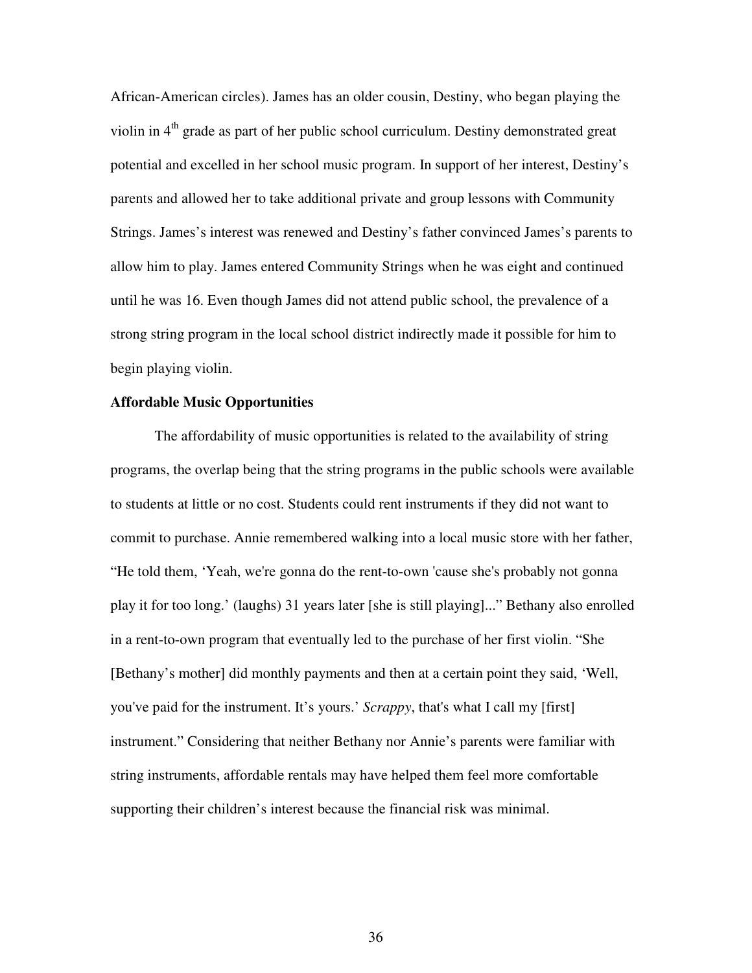African-American circles). James has an older cousin, Destiny, who began playing the violin in  $4<sup>th</sup>$  grade as part of her public school curriculum. Destiny demonstrated great potential and excelled in her school music program. In support of her interest, Destiny's parents and allowed her to take additional private and group lessons with Community Strings. James's interest was renewed and Destiny's father convinced James's parents to allow him to play. James entered Community Strings when he was eight and continued until he was 16. Even though James did not attend public school, the prevalence of a strong string program in the local school district indirectly made it possible for him to begin playing violin.

# **Affordable Music Opportunities**

The affordability of music opportunities is related to the availability of string programs, the overlap being that the string programs in the public schools were available to students at little or no cost. Students could rent instruments if they did not want to commit to purchase. Annie remembered walking into a local music store with her father, "He told them, 'Yeah, we're gonna do the rent-to-own 'cause she's probably not gonna play it for too long.' (laughs) 31 years later [she is still playing]..." Bethany also enrolled in a rent-to-own program that eventually led to the purchase of her first violin. "She [Bethany's mother] did monthly payments and then at a certain point they said, 'Well, you've paid for the instrument. It's yours.' *Scrappy*, that's what I call my [first] instrument." Considering that neither Bethany nor Annie's parents were familiar with string instruments, affordable rentals may have helped them feel more comfortable supporting their children's interest because the financial risk was minimal.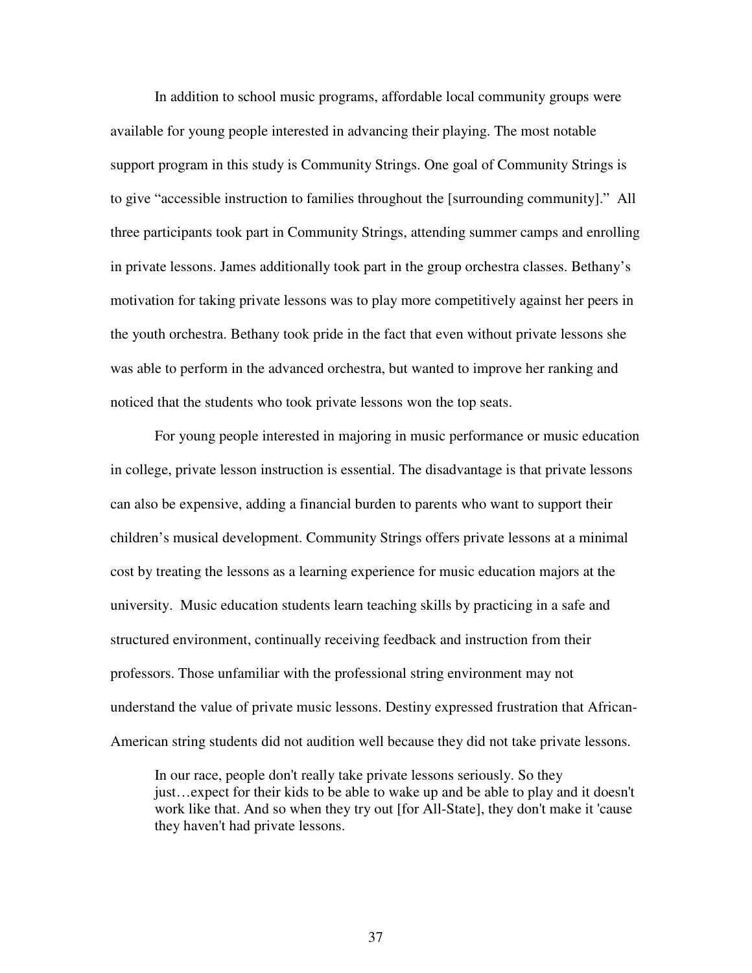In addition to school music programs, affordable local community groups were available for young people interested in advancing their playing. The most notable support program in this study is Community Strings. One goal of Community Strings is to give "accessible instruction to families throughout the [surrounding community]." All three participants took part in Community Strings, attending summer camps and enrolling in private lessons. James additionally took part in the group orchestra classes. Bethany's motivation for taking private lessons was to play more competitively against her peers in the youth orchestra. Bethany took pride in the fact that even without private lessons she was able to perform in the advanced orchestra, but wanted to improve her ranking and noticed that the students who took private lessons won the top seats.

For young people interested in majoring in music performance or music education in college, private lesson instruction is essential. The disadvantage is that private lessons can also be expensive, adding a financial burden to parents who want to support their children's musical development. Community Strings offers private lessons at a minimal cost by treating the lessons as a learning experience for music education majors at the university. Music education students learn teaching skills by practicing in a safe and structured environment, continually receiving feedback and instruction from their professors. Those unfamiliar with the professional string environment may not understand the value of private music lessons. Destiny expressed frustration that African-American string students did not audition well because they did not take private lessons.

In our race, people don't really take private lessons seriously. So they just…expect for their kids to be able to wake up and be able to play and it doesn't work like that. And so when they try out [for All-State], they don't make it 'cause they haven't had private lessons.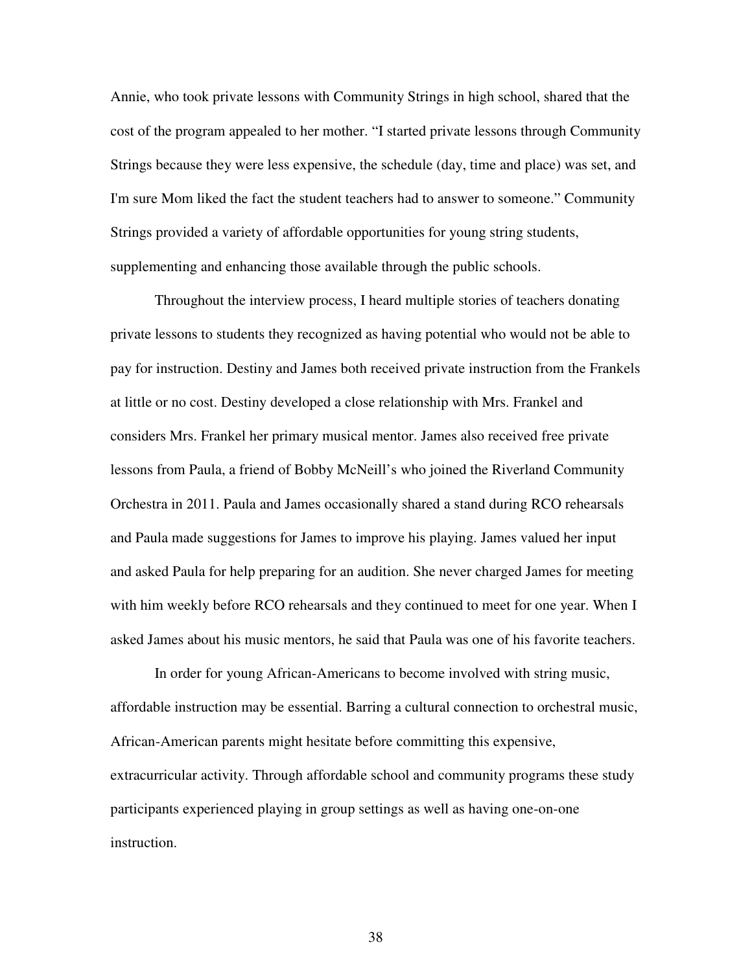Annie, who took private lessons with Community Strings in high school, shared that the cost of the program appealed to her mother. "I started private lessons through Community Strings because they were less expensive, the schedule (day, time and place) was set, and I'm sure Mom liked the fact the student teachers had to answer to someone." Community Strings provided a variety of affordable opportunities for young string students, supplementing and enhancing those available through the public schools.

Throughout the interview process, I heard multiple stories of teachers donating private lessons to students they recognized as having potential who would not be able to pay for instruction. Destiny and James both received private instruction from the Frankels at little or no cost. Destiny developed a close relationship with Mrs. Frankel and considers Mrs. Frankel her primary musical mentor. James also received free private lessons from Paula, a friend of Bobby McNeill's who joined the Riverland Community Orchestra in 2011. Paula and James occasionally shared a stand during RCO rehearsals and Paula made suggestions for James to improve his playing. James valued her input and asked Paula for help preparing for an audition. She never charged James for meeting with him weekly before RCO rehearsals and they continued to meet for one year. When I asked James about his music mentors, he said that Paula was one of his favorite teachers.

In order for young African-Americans to become involved with string music, affordable instruction may be essential. Barring a cultural connection to orchestral music, African-American parents might hesitate before committing this expensive, extracurricular activity. Through affordable school and community programs these study participants experienced playing in group settings as well as having one-on-one instruction.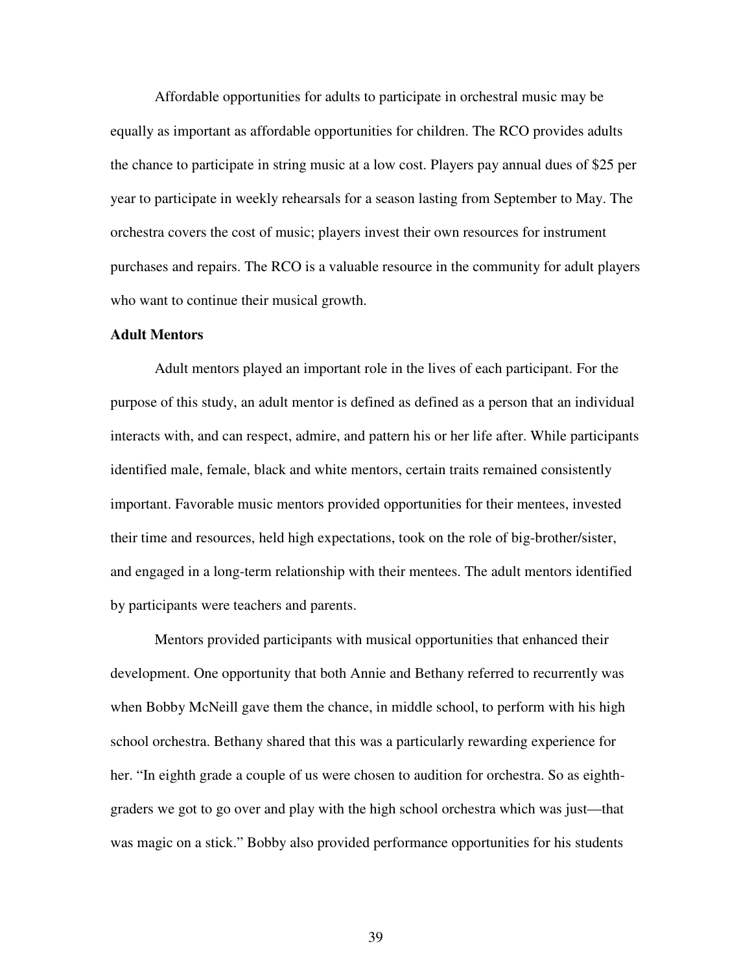Affordable opportunities for adults to participate in orchestral music may be equally as important as affordable opportunities for children. The RCO provides adults the chance to participate in string music at a low cost. Players pay annual dues of \$25 per year to participate in weekly rehearsals for a season lasting from September to May. The orchestra covers the cost of music; players invest their own resources for instrument purchases and repairs. The RCO is a valuable resource in the community for adult players who want to continue their musical growth.

## **Adult Mentors**

Adult mentors played an important role in the lives of each participant. For the purpose of this study, an adult mentor is defined as defined as a person that an individual interacts with, and can respect, admire, and pattern his or her life after. While participants identified male, female, black and white mentors, certain traits remained consistently important. Favorable music mentors provided opportunities for their mentees, invested their time and resources, held high expectations, took on the role of big-brother/sister, and engaged in a long-term relationship with their mentees. The adult mentors identified by participants were teachers and parents.

Mentors provided participants with musical opportunities that enhanced their development. One opportunity that both Annie and Bethany referred to recurrently was when Bobby McNeill gave them the chance, in middle school, to perform with his high school orchestra. Bethany shared that this was a particularly rewarding experience for her. "In eighth grade a couple of us were chosen to audition for orchestra. So as eighthgraders we got to go over and play with the high school orchestra which was just—that was magic on a stick." Bobby also provided performance opportunities for his students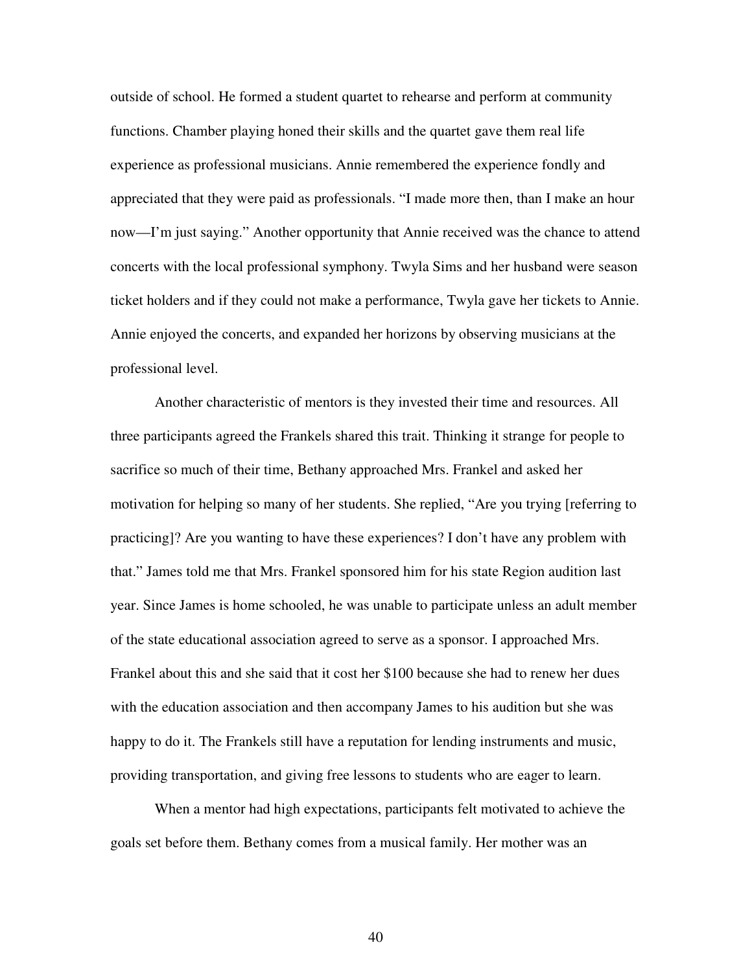outside of school. He formed a student quartet to rehearse and perform at community functions. Chamber playing honed their skills and the quartet gave them real life experience as professional musicians. Annie remembered the experience fondly and appreciated that they were paid as professionals. "I made more then, than I make an hour now—I'm just saying." Another opportunity that Annie received was the chance to attend concerts with the local professional symphony. Twyla Sims and her husband were season ticket holders and if they could not make a performance, Twyla gave her tickets to Annie. Annie enjoyed the concerts, and expanded her horizons by observing musicians at the professional level.

Another characteristic of mentors is they invested their time and resources. All three participants agreed the Frankels shared this trait. Thinking it strange for people to sacrifice so much of their time, Bethany approached Mrs. Frankel and asked her motivation for helping so many of her students. She replied, "Are you trying [referring to practicing]? Are you wanting to have these experiences? I don't have any problem with that." James told me that Mrs. Frankel sponsored him for his state Region audition last year. Since James is home schooled, he was unable to participate unless an adult member of the state educational association agreed to serve as a sponsor. I approached Mrs. Frankel about this and she said that it cost her \$100 because she had to renew her dues with the education association and then accompany James to his audition but she was happy to do it. The Frankels still have a reputation for lending instruments and music, providing transportation, and giving free lessons to students who are eager to learn.

When a mentor had high expectations, participants felt motivated to achieve the goals set before them. Bethany comes from a musical family. Her mother was an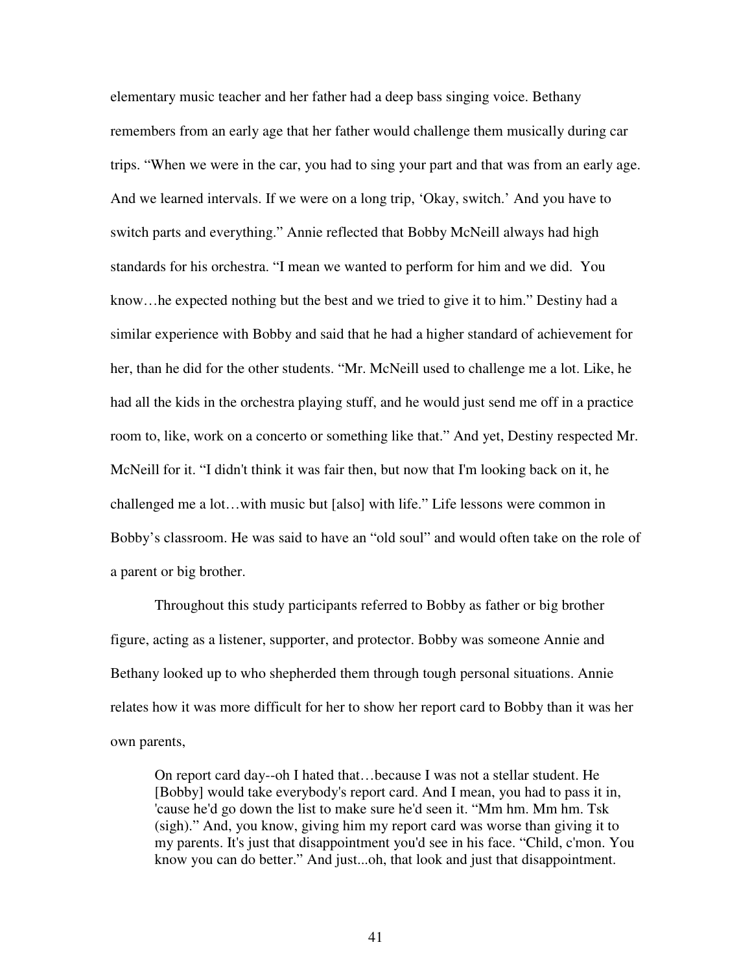elementary music teacher and her father had a deep bass singing voice. Bethany remembers from an early age that her father would challenge them musically during car trips. "When we were in the car, you had to sing your part and that was from an early age. And we learned intervals. If we were on a long trip, 'Okay, switch.' And you have to switch parts and everything." Annie reflected that Bobby McNeill always had high standards for his orchestra. "I mean we wanted to perform for him and we did. You know…he expected nothing but the best and we tried to give it to him." Destiny had a similar experience with Bobby and said that he had a higher standard of achievement for her, than he did for the other students. "Mr. McNeill used to challenge me a lot. Like, he had all the kids in the orchestra playing stuff, and he would just send me off in a practice room to, like, work on a concerto or something like that." And yet, Destiny respected Mr. McNeill for it. "I didn't think it was fair then, but now that I'm looking back on it, he challenged me a lot…with music but [also] with life." Life lessons were common in Bobby's classroom. He was said to have an "old soul" and would often take on the role of a parent or big brother.

Throughout this study participants referred to Bobby as father or big brother figure, acting as a listener, supporter, and protector. Bobby was someone Annie and Bethany looked up to who shepherded them through tough personal situations. Annie relates how it was more difficult for her to show her report card to Bobby than it was her own parents,

On report card day--oh I hated that…because I was not a stellar student. He [Bobby] would take everybody's report card. And I mean, you had to pass it in, 'cause he'd go down the list to make sure he'd seen it. "Mm hm. Mm hm. Tsk (sigh)." And, you know, giving him my report card was worse than giving it to my parents. It's just that disappointment you'd see in his face. "Child, c'mon. You know you can do better." And just...oh, that look and just that disappointment.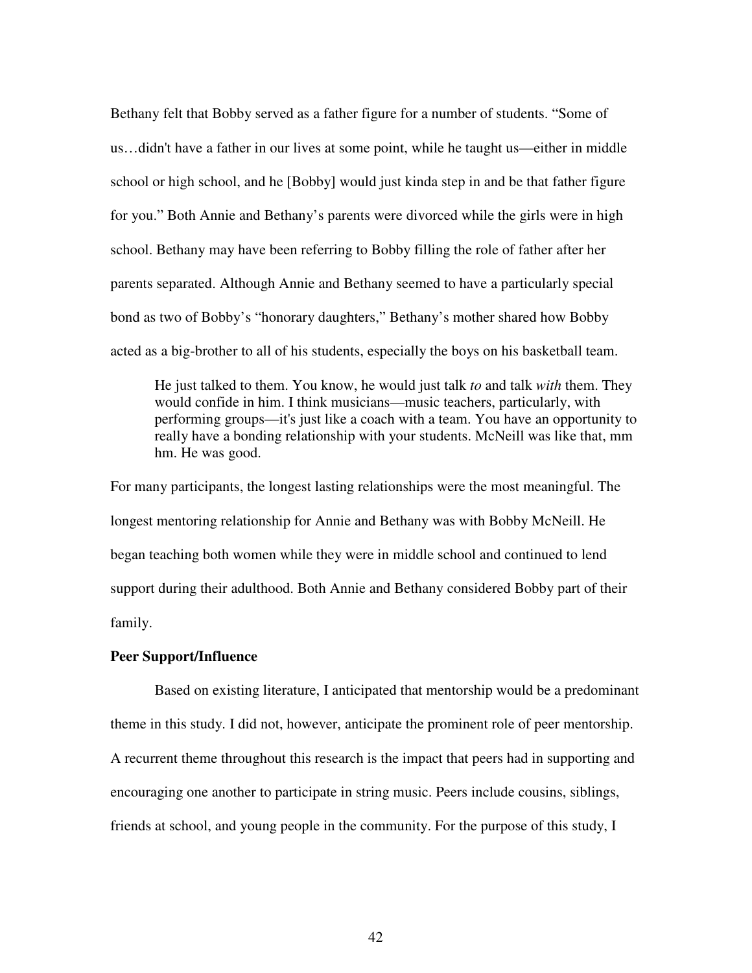Bethany felt that Bobby served as a father figure for a number of students. "Some of us…didn't have a father in our lives at some point, while he taught us—either in middle school or high school, and he [Bobby] would just kinda step in and be that father figure for you." Both Annie and Bethany's parents were divorced while the girls were in high school. Bethany may have been referring to Bobby filling the role of father after her parents separated. Although Annie and Bethany seemed to have a particularly special bond as two of Bobby's "honorary daughters," Bethany's mother shared how Bobby acted as a big-brother to all of his students, especially the boys on his basketball team.

He just talked to them. You know, he would just talk *to* and talk *with* them. They would confide in him. I think musicians—music teachers, particularly, with performing groups—it's just like a coach with a team. You have an opportunity to really have a bonding relationship with your students. McNeill was like that, mm hm. He was good.

For many participants, the longest lasting relationships were the most meaningful. The longest mentoring relationship for Annie and Bethany was with Bobby McNeill. He began teaching both women while they were in middle school and continued to lend support during their adulthood. Both Annie and Bethany considered Bobby part of their family.

## **Peer Support/Influence**

Based on existing literature, I anticipated that mentorship would be a predominant theme in this study. I did not, however, anticipate the prominent role of peer mentorship. A recurrent theme throughout this research is the impact that peers had in supporting and encouraging one another to participate in string music. Peers include cousins, siblings, friends at school, and young people in the community. For the purpose of this study, I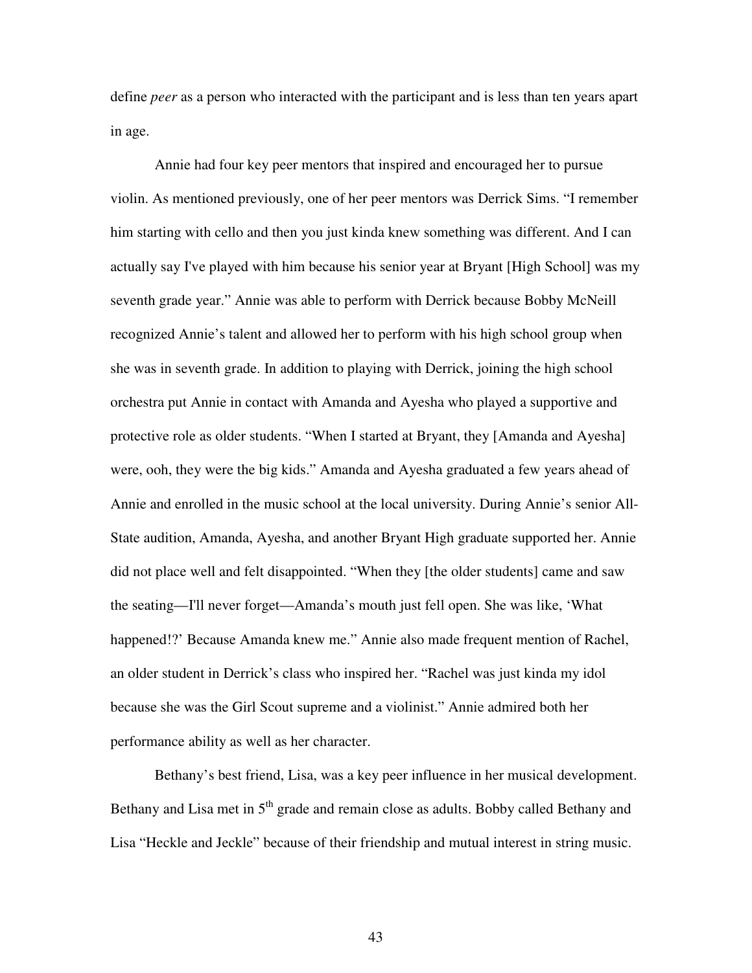define *peer* as a person who interacted with the participant and is less than ten years apart in age.

Annie had four key peer mentors that inspired and encouraged her to pursue violin. As mentioned previously, one of her peer mentors was Derrick Sims. "I remember him starting with cello and then you just kinda knew something was different. And I can actually say I've played with him because his senior year at Bryant [High School] was my seventh grade year." Annie was able to perform with Derrick because Bobby McNeill recognized Annie's talent and allowed her to perform with his high school group when she was in seventh grade. In addition to playing with Derrick, joining the high school orchestra put Annie in contact with Amanda and Ayesha who played a supportive and protective role as older students. "When I started at Bryant, they [Amanda and Ayesha] were, ooh, they were the big kids." Amanda and Ayesha graduated a few years ahead of Annie and enrolled in the music school at the local university. During Annie's senior All-State audition, Amanda, Ayesha, and another Bryant High graduate supported her. Annie did not place well and felt disappointed. "When they [the older students] came and saw the seating—I'll never forget—Amanda's mouth just fell open. She was like, 'What happened!?' Because Amanda knew me." Annie also made frequent mention of Rachel, an older student in Derrick's class who inspired her. "Rachel was just kinda my idol because she was the Girl Scout supreme and a violinist." Annie admired both her performance ability as well as her character.

Bethany's best friend, Lisa, was a key peer influence in her musical development. Bethany and Lisa met in  $5<sup>th</sup>$  grade and remain close as adults. Bobby called Bethany and Lisa "Heckle and Jeckle" because of their friendship and mutual interest in string music.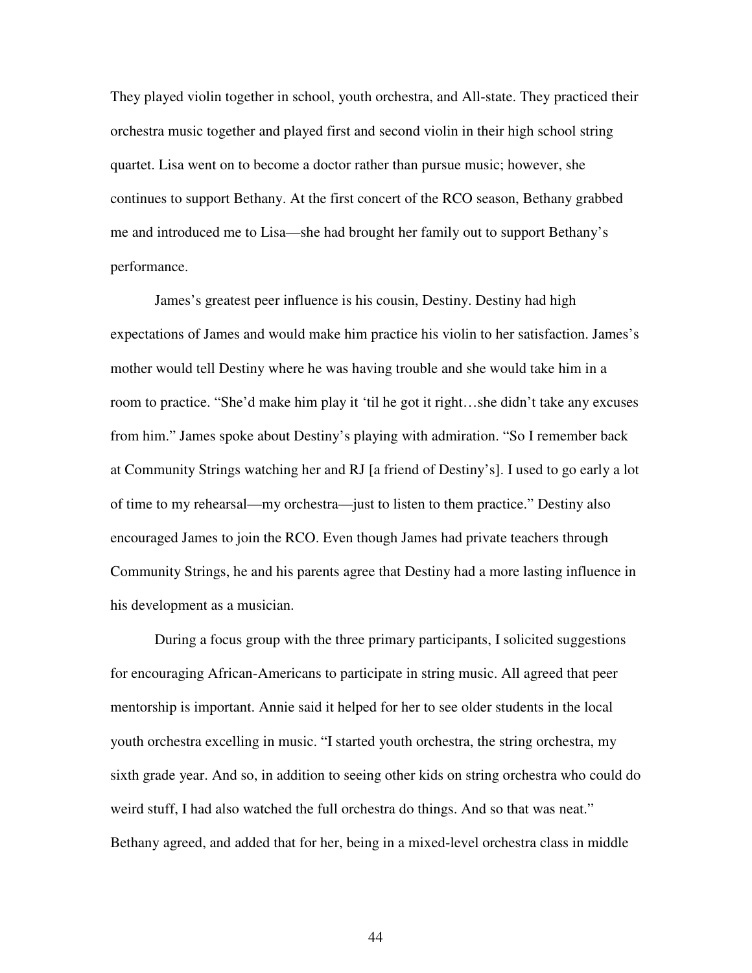They played violin together in school, youth orchestra, and All-state. They practiced their orchestra music together and played first and second violin in their high school string quartet. Lisa went on to become a doctor rather than pursue music; however, she continues to support Bethany. At the first concert of the RCO season, Bethany grabbed me and introduced me to Lisa—she had brought her family out to support Bethany's performance.

James's greatest peer influence is his cousin, Destiny. Destiny had high expectations of James and would make him practice his violin to her satisfaction. James's mother would tell Destiny where he was having trouble and she would take him in a room to practice. "She'd make him play it 'til he got it right…she didn't take any excuses from him." James spoke about Destiny's playing with admiration. "So I remember back at Community Strings watching her and RJ [a friend of Destiny's]. I used to go early a lot of time to my rehearsal—my orchestra—just to listen to them practice." Destiny also encouraged James to join the RCO. Even though James had private teachers through Community Strings, he and his parents agree that Destiny had a more lasting influence in his development as a musician.

During a focus group with the three primary participants, I solicited suggestions for encouraging African-Americans to participate in string music. All agreed that peer mentorship is important. Annie said it helped for her to see older students in the local youth orchestra excelling in music. "I started youth orchestra, the string orchestra, my sixth grade year. And so, in addition to seeing other kids on string orchestra who could do weird stuff, I had also watched the full orchestra do things. And so that was neat." Bethany agreed, and added that for her, being in a mixed-level orchestra class in middle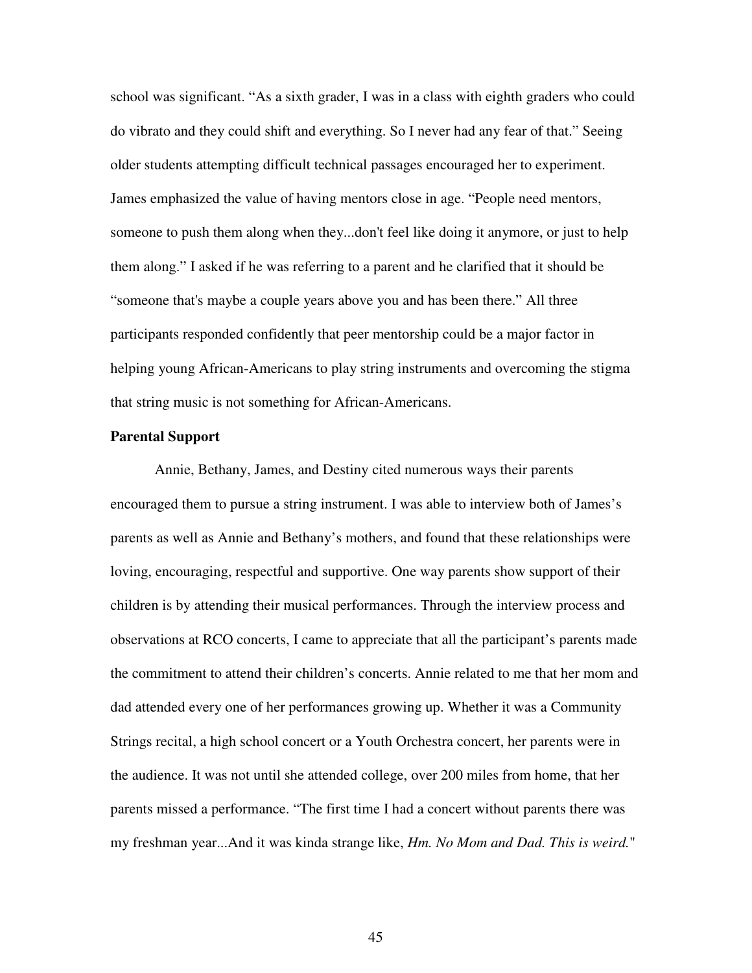school was significant. "As a sixth grader, I was in a class with eighth graders who could do vibrato and they could shift and everything. So I never had any fear of that." Seeing older students attempting difficult technical passages encouraged her to experiment. James emphasized the value of having mentors close in age. "People need mentors, someone to push them along when they...don't feel like doing it anymore, or just to help them along." I asked if he was referring to a parent and he clarified that it should be "someone that's maybe a couple years above you and has been there." All three participants responded confidently that peer mentorship could be a major factor in helping young African-Americans to play string instruments and overcoming the stigma that string music is not something for African-Americans.

## **Parental Support**

Annie, Bethany, James, and Destiny cited numerous ways their parents encouraged them to pursue a string instrument. I was able to interview both of James's parents as well as Annie and Bethany's mothers, and found that these relationships were loving, encouraging, respectful and supportive. One way parents show support of their children is by attending their musical performances. Through the interview process and observations at RCO concerts, I came to appreciate that all the participant's parents made the commitment to attend their children's concerts. Annie related to me that her mom and dad attended every one of her performances growing up. Whether it was a Community Strings recital, a high school concert or a Youth Orchestra concert, her parents were in the audience. It was not until she attended college, over 200 miles from home, that her parents missed a performance. "The first time I had a concert without parents there was my freshman year...And it was kinda strange like, *Hm. No Mom and Dad. This is weird.*"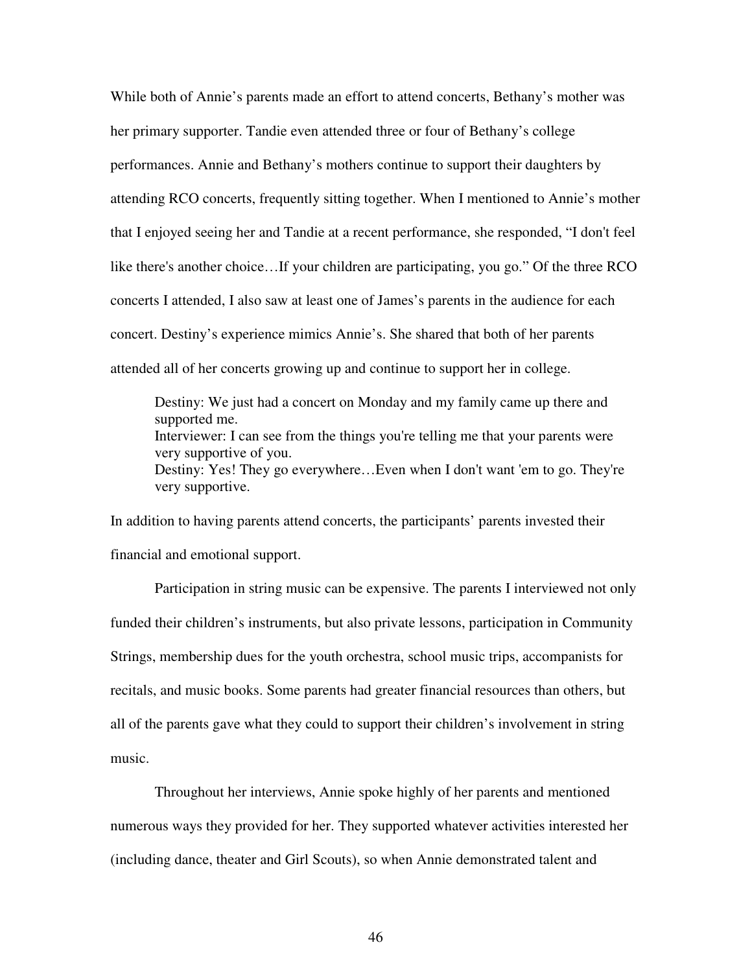While both of Annie's parents made an effort to attend concerts, Bethany's mother was her primary supporter. Tandie even attended three or four of Bethany's college performances. Annie and Bethany's mothers continue to support their daughters by attending RCO concerts, frequently sitting together. When I mentioned to Annie's mother that I enjoyed seeing her and Tandie at a recent performance, she responded, "I don't feel like there's another choice…If your children are participating, you go." Of the three RCO concerts I attended, I also saw at least one of James's parents in the audience for each concert. Destiny's experience mimics Annie's. She shared that both of her parents attended all of her concerts growing up and continue to support her in college.

Destiny: We just had a concert on Monday and my family came up there and supported me. Interviewer: I can see from the things you're telling me that your parents were very supportive of you. Destiny: Yes! They go everywhere…Even when I don't want 'em to go. They're very supportive.

In addition to having parents attend concerts, the participants' parents invested their financial and emotional support.

Participation in string music can be expensive. The parents I interviewed not only funded their children's instruments, but also private lessons, participation in Community Strings, membership dues for the youth orchestra, school music trips, accompanists for recitals, and music books. Some parents had greater financial resources than others, but all of the parents gave what they could to support their children's involvement in string music.

Throughout her interviews, Annie spoke highly of her parents and mentioned numerous ways they provided for her. They supported whatever activities interested her (including dance, theater and Girl Scouts), so when Annie demonstrated talent and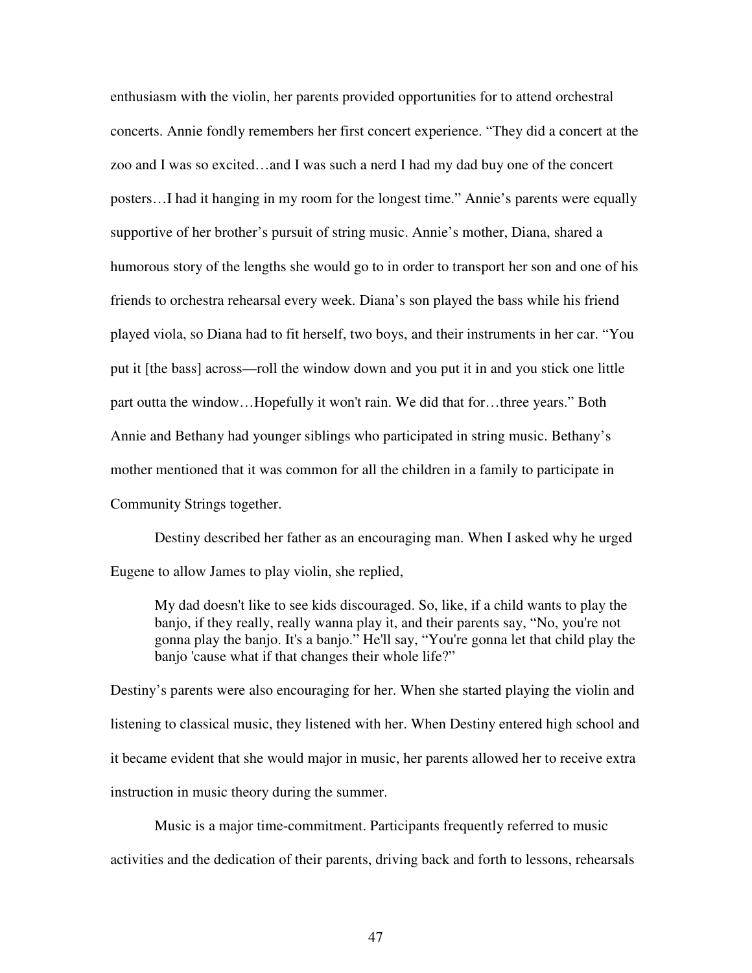enthusiasm with the violin, her parents provided opportunities for to attend orchestral concerts. Annie fondly remembers her first concert experience. "They did a concert at the zoo and I was so excited…and I was such a nerd I had my dad buy one of the concert posters…I had it hanging in my room for the longest time." Annie's parents were equally supportive of her brother's pursuit of string music. Annie's mother, Diana, shared a humorous story of the lengths she would go to in order to transport her son and one of his friends to orchestra rehearsal every week. Diana's son played the bass while his friend played viola, so Diana had to fit herself, two boys, and their instruments in her car. "You put it [the bass] across—roll the window down and you put it in and you stick one little part outta the window…Hopefully it won't rain. We did that for…three years." Both Annie and Bethany had younger siblings who participated in string music. Bethany's mother mentioned that it was common for all the children in a family to participate in Community Strings together.

Destiny described her father as an encouraging man. When I asked why he urged Eugene to allow James to play violin, she replied,

My dad doesn't like to see kids discouraged. So, like, if a child wants to play the banjo, if they really, really wanna play it, and their parents say, "No, you're not gonna play the banjo. It's a banjo." He'll say, "You're gonna let that child play the banjo 'cause what if that changes their whole life?"

Destiny's parents were also encouraging for her. When she started playing the violin and listening to classical music, they listened with her. When Destiny entered high school and it became evident that she would major in music, her parents allowed her to receive extra instruction in music theory during the summer.

Music is a major time-commitment. Participants frequently referred to music activities and the dedication of their parents, driving back and forth to lessons, rehearsals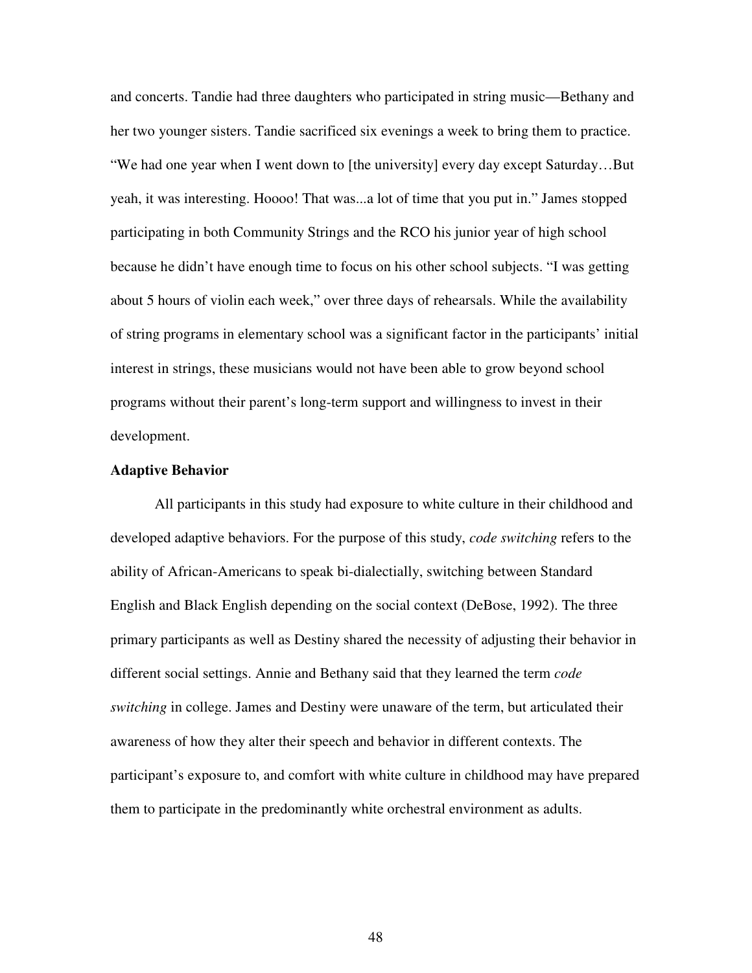and concerts. Tandie had three daughters who participated in string music—Bethany and her two younger sisters. Tandie sacrificed six evenings a week to bring them to practice. "We had one year when I went down to [the university] every day except Saturday…But yeah, it was interesting. Hoooo! That was...a lot of time that you put in." James stopped participating in both Community Strings and the RCO his junior year of high school because he didn't have enough time to focus on his other school subjects. "I was getting about 5 hours of violin each week," over three days of rehearsals. While the availability of string programs in elementary school was a significant factor in the participants' initial interest in strings, these musicians would not have been able to grow beyond school programs without their parent's long-term support and willingness to invest in their development.

#### **Adaptive Behavior**

All participants in this study had exposure to white culture in their childhood and developed adaptive behaviors. For the purpose of this study, *code switching* refers to the ability of African-Americans to speak bi-dialectially, switching between Standard English and Black English depending on the social context (DeBose, 1992). The three primary participants as well as Destiny shared the necessity of adjusting their behavior in different social settings. Annie and Bethany said that they learned the term *code switching* in college. James and Destiny were unaware of the term, but articulated their awareness of how they alter their speech and behavior in different contexts. The participant's exposure to, and comfort with white culture in childhood may have prepared them to participate in the predominantly white orchestral environment as adults.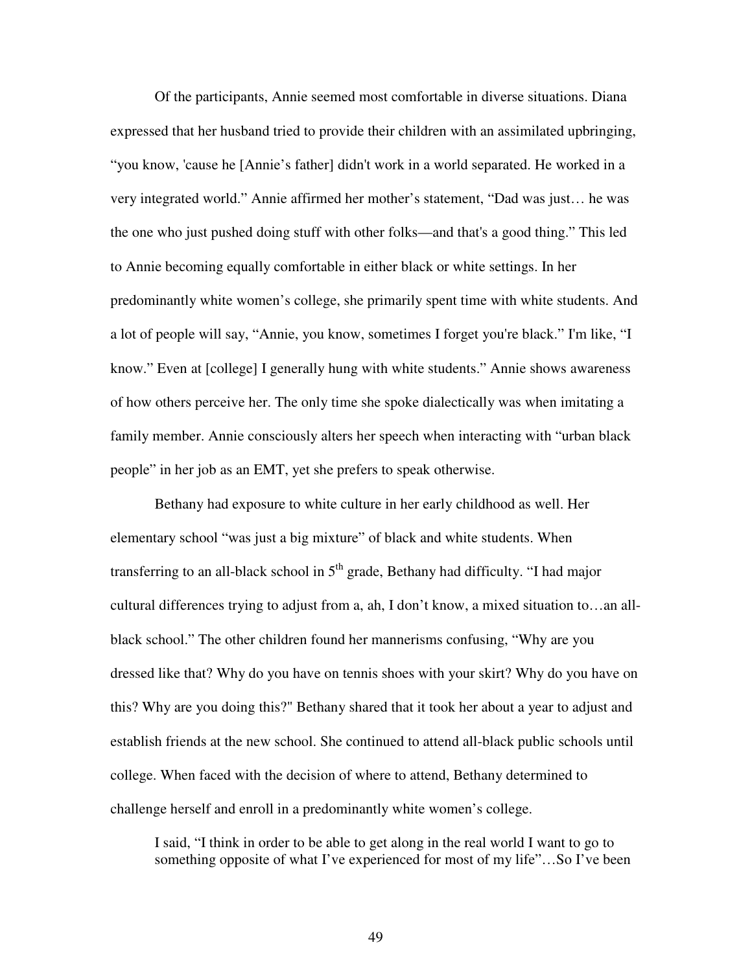Of the participants, Annie seemed most comfortable in diverse situations. Diana expressed that her husband tried to provide their children with an assimilated upbringing, "you know, 'cause he [Annie's father] didn't work in a world separated. He worked in a very integrated world." Annie affirmed her mother's statement, "Dad was just… he was the one who just pushed doing stuff with other folks—and that's a good thing." This led to Annie becoming equally comfortable in either black or white settings. In her predominantly white women's college, she primarily spent time with white students. And a lot of people will say, "Annie, you know, sometimes I forget you're black." I'm like, "I know." Even at [college] I generally hung with white students." Annie shows awareness of how others perceive her. The only time she spoke dialectically was when imitating a family member. Annie consciously alters her speech when interacting with "urban black people" in her job as an EMT, yet she prefers to speak otherwise.

Bethany had exposure to white culture in her early childhood as well. Her elementary school "was just a big mixture" of black and white students. When transferring to an all-black school in  $5<sup>th</sup>$  grade, Bethany had difficulty. "I had major cultural differences trying to adjust from a, ah, I don't know, a mixed situation to…an allblack school." The other children found her mannerisms confusing, "Why are you dressed like that? Why do you have on tennis shoes with your skirt? Why do you have on this? Why are you doing this?" Bethany shared that it took her about a year to adjust and establish friends at the new school. She continued to attend all-black public schools until college. When faced with the decision of where to attend, Bethany determined to challenge herself and enroll in a predominantly white women's college.

I said, "I think in order to be able to get along in the real world I want to go to something opposite of what I've experienced for most of my life"…So I've been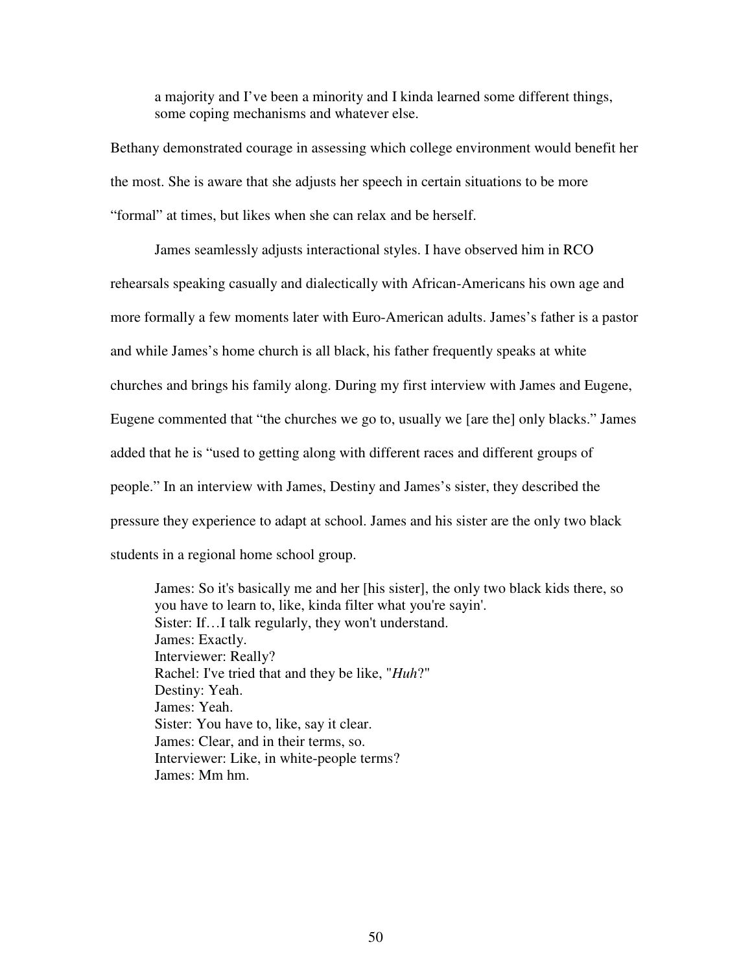a majority and I've been a minority and I kinda learned some different things, some coping mechanisms and whatever else.

Bethany demonstrated courage in assessing which college environment would benefit her the most. She is aware that she adjusts her speech in certain situations to be more "formal" at times, but likes when she can relax and be herself.

James seamlessly adjusts interactional styles. I have observed him in RCO rehearsals speaking casually and dialectically with African-Americans his own age and more formally a few moments later with Euro-American adults. James's father is a pastor and while James's home church is all black, his father frequently speaks at white churches and brings his family along. During my first interview with James and Eugene, Eugene commented that "the churches we go to, usually we [are the] only blacks." James added that he is "used to getting along with different races and different groups of people." In an interview with James, Destiny and James's sister, they described the pressure they experience to adapt at school. James and his sister are the only two black students in a regional home school group.

James: So it's basically me and her [his sister], the only two black kids there, so you have to learn to, like, kinda filter what you're sayin'. Sister: If…I talk regularly, they won't understand. James: Exactly. Interviewer: Really? Rachel: I've tried that and they be like, "*Huh*?" Destiny: Yeah. James: Yeah. Sister: You have to, like, say it clear. James: Clear, and in their terms, so. Interviewer: Like, in white-people terms? James: Mm hm.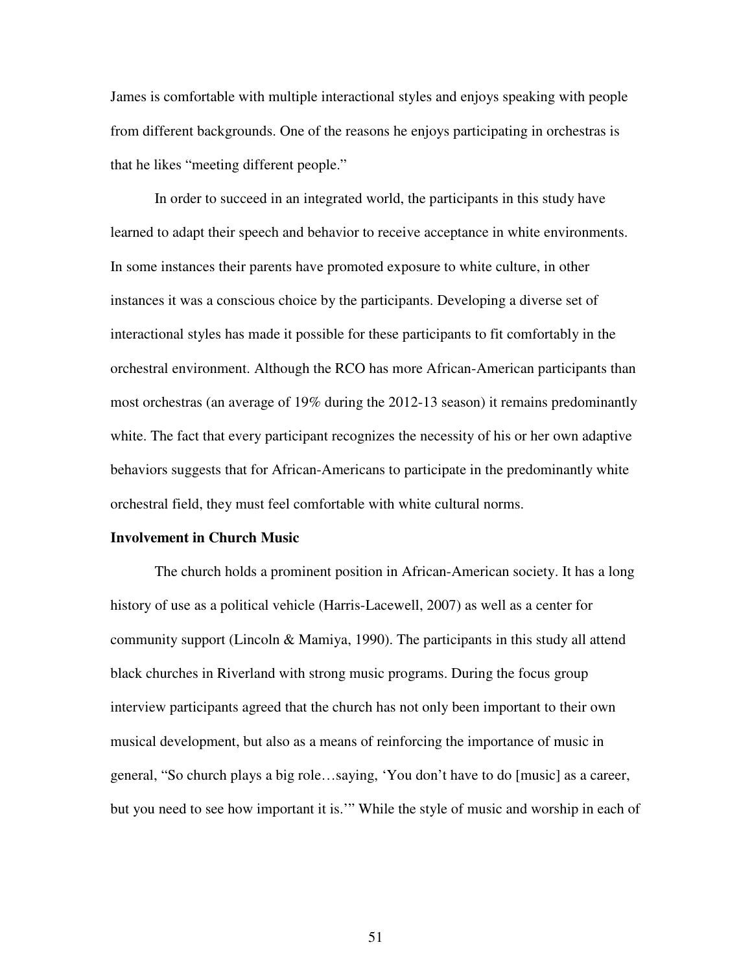James is comfortable with multiple interactional styles and enjoys speaking with people from different backgrounds. One of the reasons he enjoys participating in orchestras is that he likes "meeting different people."

In order to succeed in an integrated world, the participants in this study have learned to adapt their speech and behavior to receive acceptance in white environments. In some instances their parents have promoted exposure to white culture, in other instances it was a conscious choice by the participants. Developing a diverse set of interactional styles has made it possible for these participants to fit comfortably in the orchestral environment. Although the RCO has more African-American participants than most orchestras (an average of 19% during the 2012-13 season) it remains predominantly white. The fact that every participant recognizes the necessity of his or her own adaptive behaviors suggests that for African-Americans to participate in the predominantly white orchestral field, they must feel comfortable with white cultural norms.

## **Involvement in Church Music**

The church holds a prominent position in African-American society. It has a long history of use as a political vehicle (Harris-Lacewell, 2007) as well as a center for community support (Lincoln & Mamiya, 1990). The participants in this study all attend black churches in Riverland with strong music programs. During the focus group interview participants agreed that the church has not only been important to their own musical development, but also as a means of reinforcing the importance of music in general, "So church plays a big role…saying, 'You don't have to do [music] as a career, but you need to see how important it is.'" While the style of music and worship in each of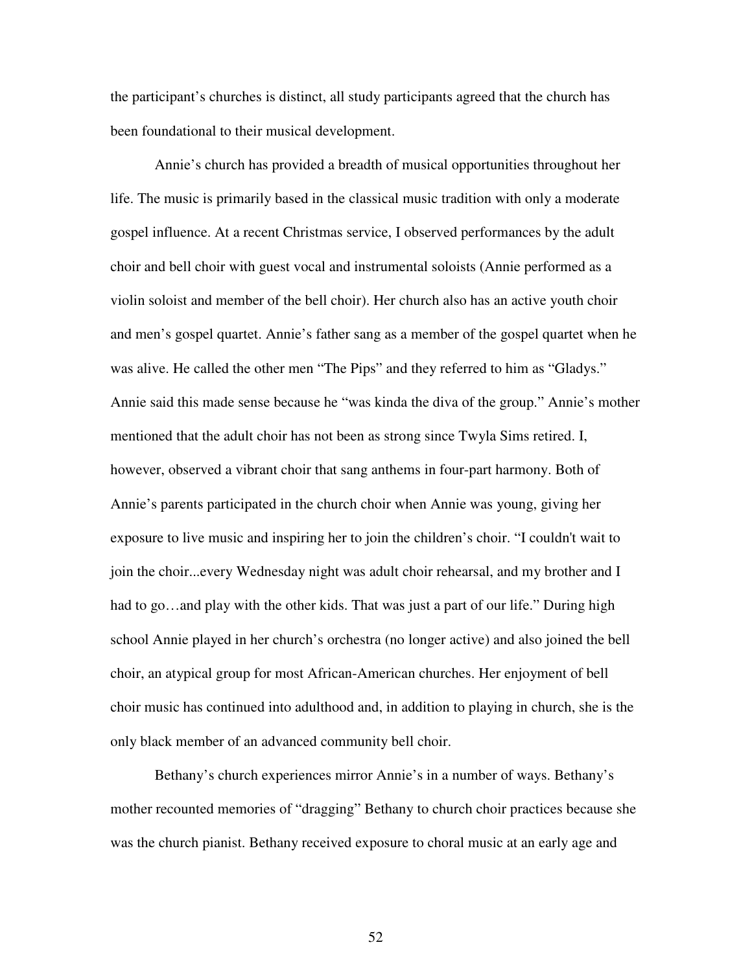the participant's churches is distinct, all study participants agreed that the church has been foundational to their musical development.

Annie's church has provided a breadth of musical opportunities throughout her life. The music is primarily based in the classical music tradition with only a moderate gospel influence. At a recent Christmas service, I observed performances by the adult choir and bell choir with guest vocal and instrumental soloists (Annie performed as a violin soloist and member of the bell choir). Her church also has an active youth choir and men's gospel quartet. Annie's father sang as a member of the gospel quartet when he was alive. He called the other men "The Pips" and they referred to him as "Gladys." Annie said this made sense because he "was kinda the diva of the group." Annie's mother mentioned that the adult choir has not been as strong since Twyla Sims retired. I, however, observed a vibrant choir that sang anthems in four-part harmony. Both of Annie's parents participated in the church choir when Annie was young, giving her exposure to live music and inspiring her to join the children's choir. "I couldn't wait to join the choir...every Wednesday night was adult choir rehearsal, and my brother and I had to go...and play with the other kids. That was just a part of our life." During high school Annie played in her church's orchestra (no longer active) and also joined the bell choir, an atypical group for most African-American churches. Her enjoyment of bell choir music has continued into adulthood and, in addition to playing in church, she is the only black member of an advanced community bell choir.

Bethany's church experiences mirror Annie's in a number of ways. Bethany's mother recounted memories of "dragging" Bethany to church choir practices because she was the church pianist. Bethany received exposure to choral music at an early age and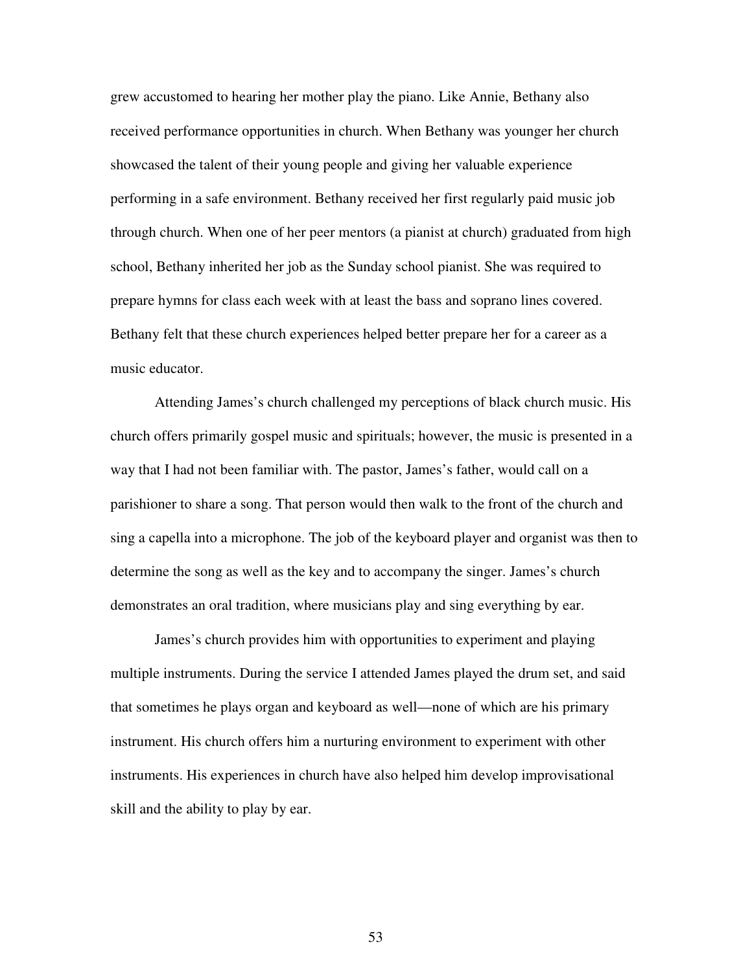grew accustomed to hearing her mother play the piano. Like Annie, Bethany also received performance opportunities in church. When Bethany was younger her church showcased the talent of their young people and giving her valuable experience performing in a safe environment. Bethany received her first regularly paid music job through church. When one of her peer mentors (a pianist at church) graduated from high school, Bethany inherited her job as the Sunday school pianist. She was required to prepare hymns for class each week with at least the bass and soprano lines covered. Bethany felt that these church experiences helped better prepare her for a career as a music educator.

Attending James's church challenged my perceptions of black church music. His church offers primarily gospel music and spirituals; however, the music is presented in a way that I had not been familiar with. The pastor, James's father, would call on a parishioner to share a song. That person would then walk to the front of the church and sing a capella into a microphone. The job of the keyboard player and organist was then to determine the song as well as the key and to accompany the singer. James's church demonstrates an oral tradition, where musicians play and sing everything by ear.

James's church provides him with opportunities to experiment and playing multiple instruments. During the service I attended James played the drum set, and said that sometimes he plays organ and keyboard as well—none of which are his primary instrument. His church offers him a nurturing environment to experiment with other instruments. His experiences in church have also helped him develop improvisational skill and the ability to play by ear.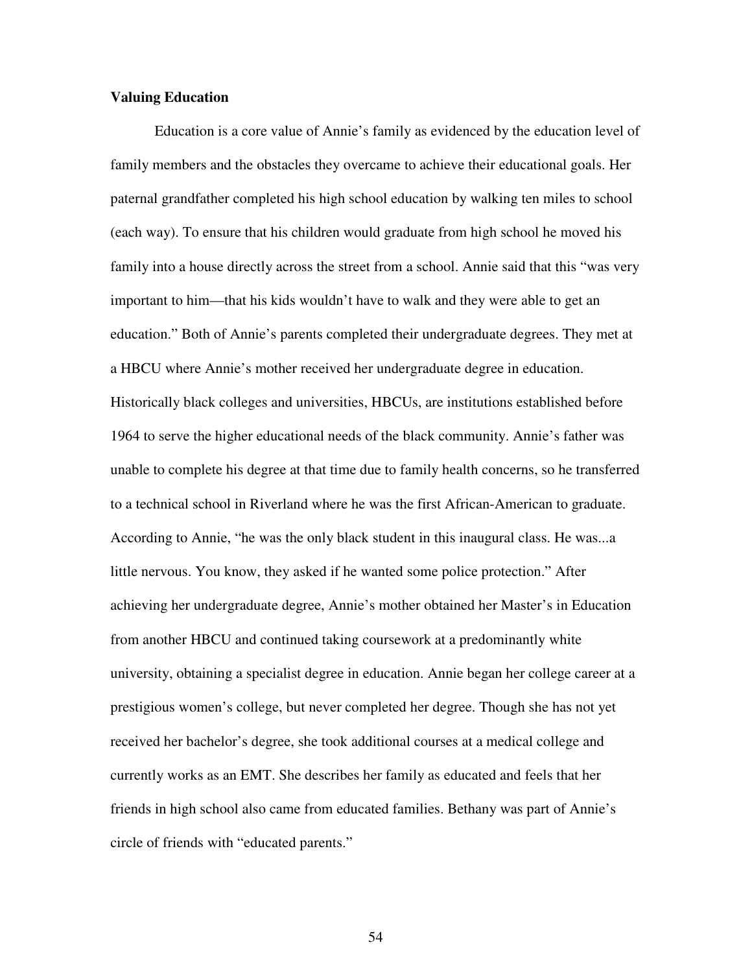# **Valuing Education**

Education is a core value of Annie's family as evidenced by the education level of family members and the obstacles they overcame to achieve their educational goals. Her paternal grandfather completed his high school education by walking ten miles to school (each way). To ensure that his children would graduate from high school he moved his family into a house directly across the street from a school. Annie said that this "was very important to him—that his kids wouldn't have to walk and they were able to get an education." Both of Annie's parents completed their undergraduate degrees. They met at a HBCU where Annie's mother received her undergraduate degree in education. Historically black colleges and universities, HBCUs, are institutions established before 1964 to serve the higher educational needs of the black community. Annie's father was unable to complete his degree at that time due to family health concerns, so he transferred to a technical school in Riverland where he was the first African-American to graduate. According to Annie, "he was the only black student in this inaugural class. He was...a little nervous. You know, they asked if he wanted some police protection." After achieving her undergraduate degree, Annie's mother obtained her Master's in Education from another HBCU and continued taking coursework at a predominantly white university, obtaining a specialist degree in education. Annie began her college career at a prestigious women's college, but never completed her degree. Though she has not yet received her bachelor's degree, she took additional courses at a medical college and currently works as an EMT. She describes her family as educated and feels that her friends in high school also came from educated families. Bethany was part of Annie's circle of friends with "educated parents."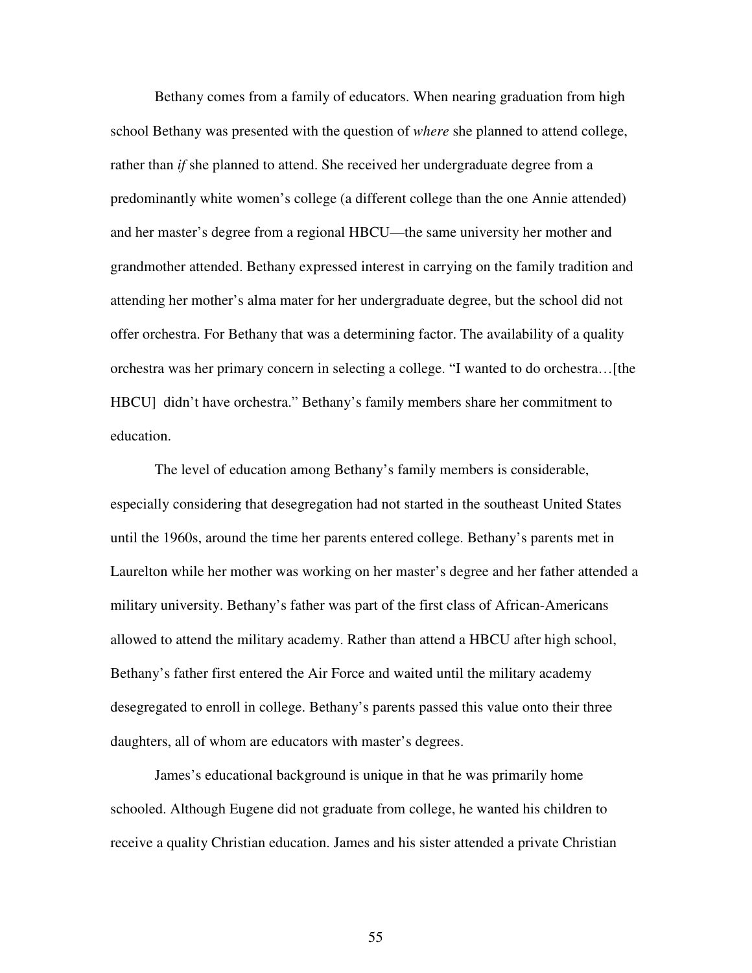Bethany comes from a family of educators. When nearing graduation from high school Bethany was presented with the question of *where* she planned to attend college, rather than *if* she planned to attend. She received her undergraduate degree from a predominantly white women's college (a different college than the one Annie attended) and her master's degree from a regional HBCU—the same university her mother and grandmother attended. Bethany expressed interest in carrying on the family tradition and attending her mother's alma mater for her undergraduate degree, but the school did not offer orchestra. For Bethany that was a determining factor. The availability of a quality orchestra was her primary concern in selecting a college. "I wanted to do orchestra…[the HBCU] didn't have orchestra." Bethany's family members share her commitment to education.

The level of education among Bethany's family members is considerable, especially considering that desegregation had not started in the southeast United States until the 1960s, around the time her parents entered college. Bethany's parents met in Laurelton while her mother was working on her master's degree and her father attended a military university. Bethany's father was part of the first class of African-Americans allowed to attend the military academy. Rather than attend a HBCU after high school, Bethany's father first entered the Air Force and waited until the military academy desegregated to enroll in college. Bethany's parents passed this value onto their three daughters, all of whom are educators with master's degrees.

James's educational background is unique in that he was primarily home schooled. Although Eugene did not graduate from college, he wanted his children to receive a quality Christian education. James and his sister attended a private Christian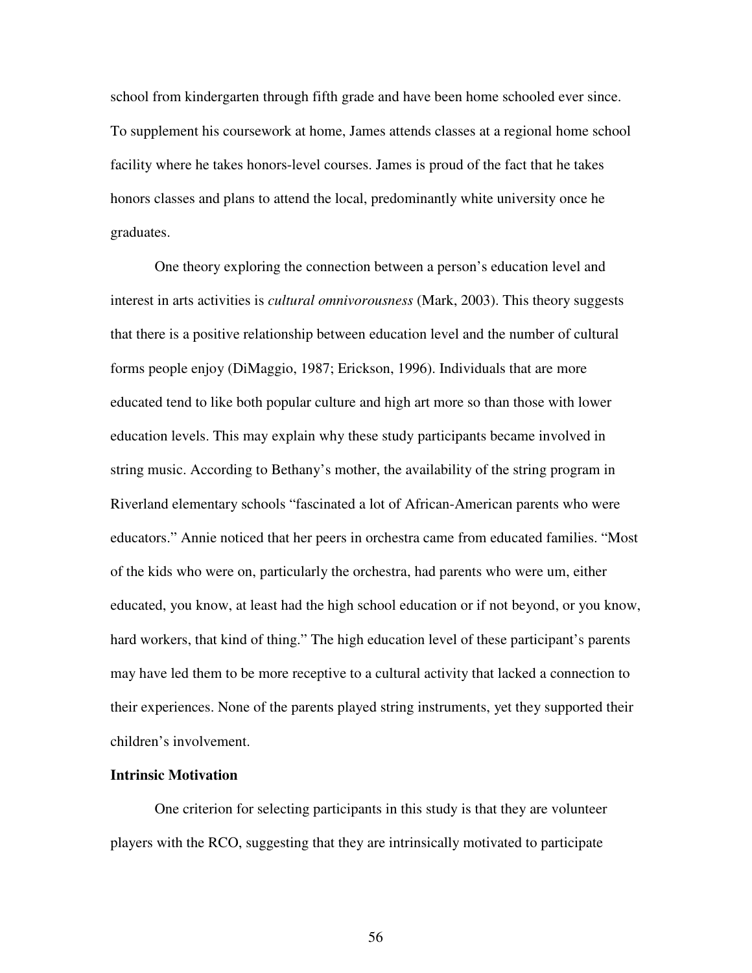school from kindergarten through fifth grade and have been home schooled ever since. To supplement his coursework at home, James attends classes at a regional home school facility where he takes honors-level courses. James is proud of the fact that he takes honors classes and plans to attend the local, predominantly white university once he graduates.

One theory exploring the connection between a person's education level and interest in arts activities is *cultural omnivorousness* (Mark, 2003). This theory suggests that there is a positive relationship between education level and the number of cultural forms people enjoy (DiMaggio, 1987; Erickson, 1996). Individuals that are more educated tend to like both popular culture and high art more so than those with lower education levels. This may explain why these study participants became involved in string music. According to Bethany's mother, the availability of the string program in Riverland elementary schools "fascinated a lot of African-American parents who were educators." Annie noticed that her peers in orchestra came from educated families. "Most of the kids who were on, particularly the orchestra, had parents who were um, either educated, you know, at least had the high school education or if not beyond, or you know, hard workers, that kind of thing." The high education level of these participant's parents may have led them to be more receptive to a cultural activity that lacked a connection to their experiences. None of the parents played string instruments, yet they supported their children's involvement.

# **Intrinsic Motivation**

One criterion for selecting participants in this study is that they are volunteer players with the RCO, suggesting that they are intrinsically motivated to participate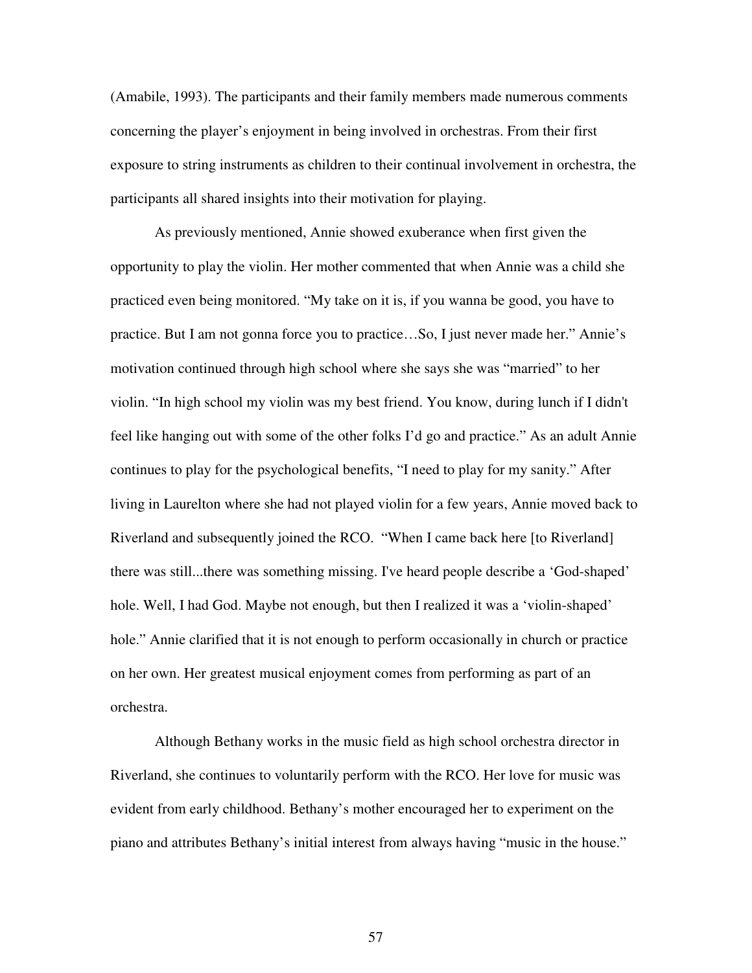(Amabile, 1993). The participants and their family members made numerous comments concerning the player's enjoyment in being involved in orchestras. From their first exposure to string instruments as children to their continual involvement in orchestra, the participants all shared insights into their motivation for playing.

As previously mentioned, Annie showed exuberance when first given the opportunity to play the violin. Her mother commented that when Annie was a child she practiced even being monitored. "My take on it is, if you wanna be good, you have to practice. But I am not gonna force you to practice…So, I just never made her." Annie's motivation continued through high school where she says she was "married" to her violin. "In high school my violin was my best friend. You know, during lunch if I didn't feel like hanging out with some of the other folks I'd go and practice." As an adult Annie continues to play for the psychological benefits, "I need to play for my sanity." After living in Laurelton where she had not played violin for a few years, Annie moved back to Riverland and subsequently joined the RCO. "When I came back here [to Riverland] there was still...there was something missing. I've heard people describe a 'God-shaped' hole. Well, I had God. Maybe not enough, but then I realized it was a 'violin-shaped' hole." Annie clarified that it is not enough to perform occasionally in church or practice on her own. Her greatest musical enjoyment comes from performing as part of an orchestra.

Although Bethany works in the music field as high school orchestra director in Riverland, she continues to voluntarily perform with the RCO. Her love for music was evident from early childhood. Bethany's mother encouraged her to experiment on the piano and attributes Bethany's initial interest from always having "music in the house."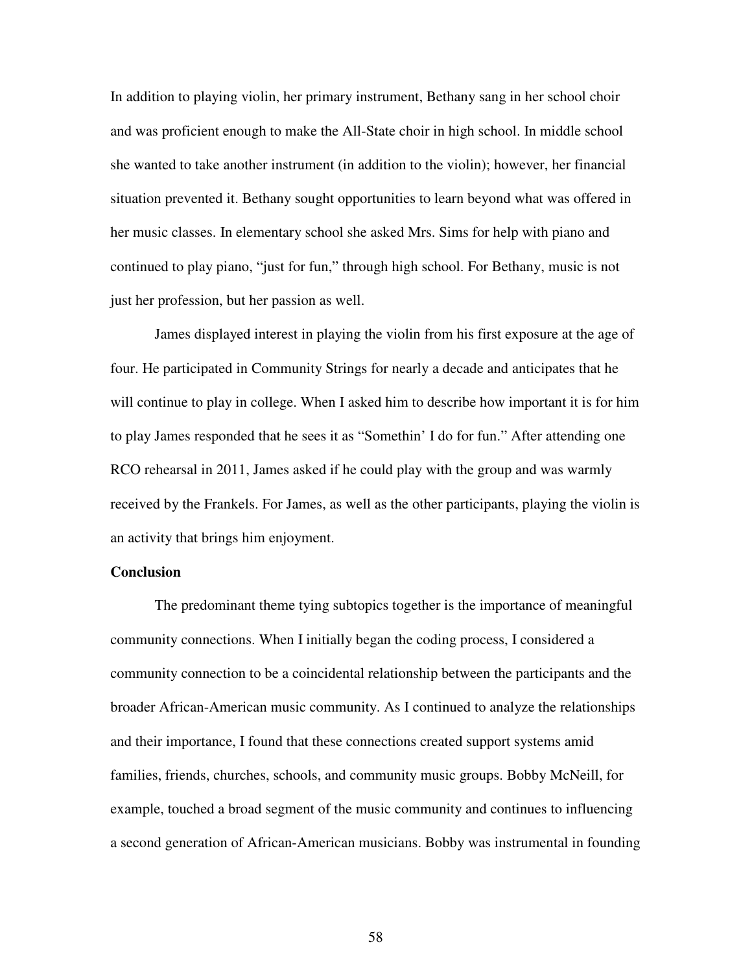In addition to playing violin, her primary instrument, Bethany sang in her school choir and was proficient enough to make the All-State choir in high school. In middle school she wanted to take another instrument (in addition to the violin); however, her financial situation prevented it. Bethany sought opportunities to learn beyond what was offered in her music classes. In elementary school she asked Mrs. Sims for help with piano and continued to play piano, "just for fun," through high school. For Bethany, music is not just her profession, but her passion as well.

James displayed interest in playing the violin from his first exposure at the age of four. He participated in Community Strings for nearly a decade and anticipates that he will continue to play in college. When I asked him to describe how important it is for him to play James responded that he sees it as "Somethin' I do for fun." After attending one RCO rehearsal in 2011, James asked if he could play with the group and was warmly received by the Frankels. For James, as well as the other participants, playing the violin is an activity that brings him enjoyment.

### **Conclusion**

 The predominant theme tying subtopics together is the importance of meaningful community connections. When I initially began the coding process, I considered a community connection to be a coincidental relationship between the participants and the broader African-American music community. As I continued to analyze the relationships and their importance, I found that these connections created support systems amid families, friends, churches, schools, and community music groups. Bobby McNeill, for example, touched a broad segment of the music community and continues to influencing a second generation of African-American musicians. Bobby was instrumental in founding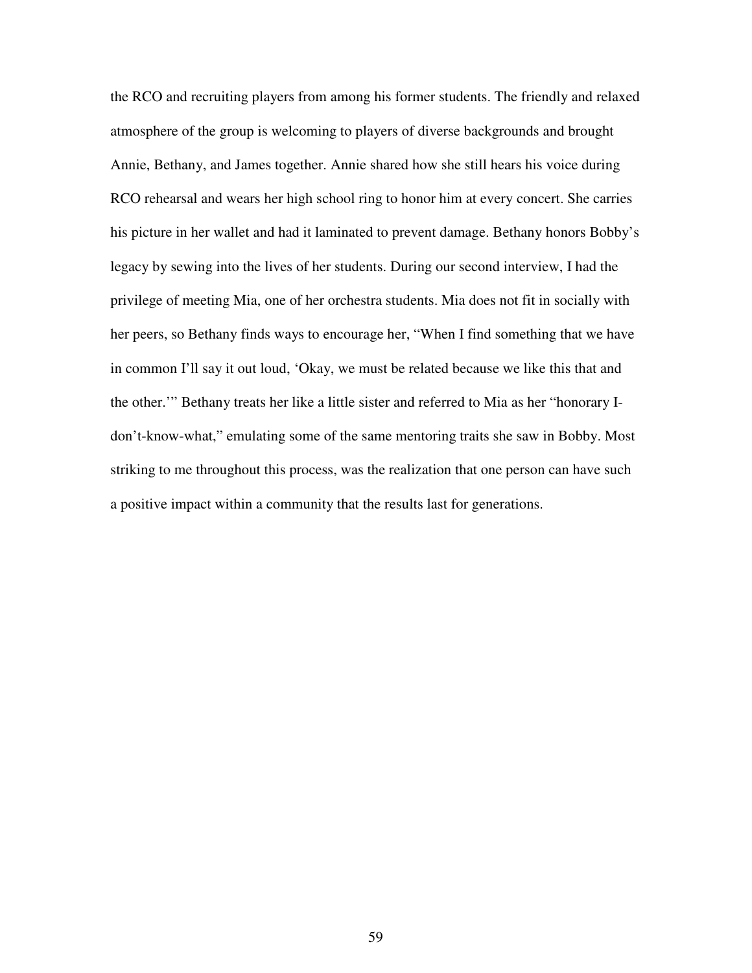the RCO and recruiting players from among his former students. The friendly and relaxed atmosphere of the group is welcoming to players of diverse backgrounds and brought Annie, Bethany, and James together. Annie shared how she still hears his voice during RCO rehearsal and wears her high school ring to honor him at every concert. She carries his picture in her wallet and had it laminated to prevent damage. Bethany honors Bobby's legacy by sewing into the lives of her students. During our second interview, I had the privilege of meeting Mia, one of her orchestra students. Mia does not fit in socially with her peers, so Bethany finds ways to encourage her, "When I find something that we have in common I'll say it out loud, 'Okay, we must be related because we like this that and the other.'" Bethany treats her like a little sister and referred to Mia as her "honorary Idon't-know-what," emulating some of the same mentoring traits she saw in Bobby. Most striking to me throughout this process, was the realization that one person can have such a positive impact within a community that the results last for generations.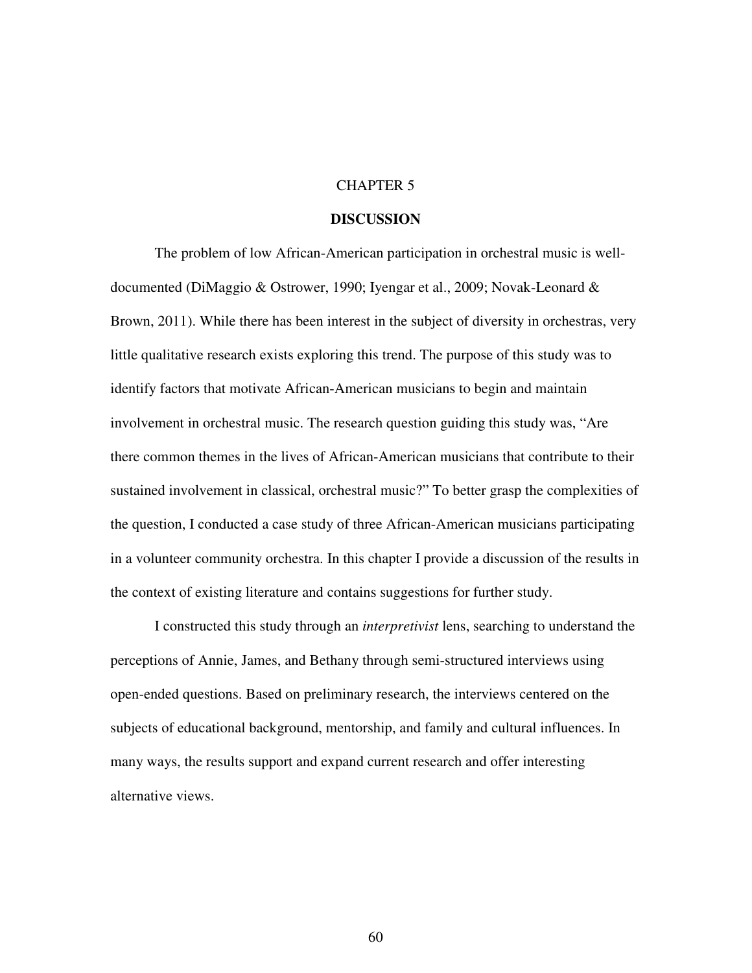# CHAPTER 5

## **DISCUSSION**

 The problem of low African-American participation in orchestral music is welldocumented (DiMaggio & Ostrower, 1990; Iyengar et al., 2009; Novak-Leonard & Brown, 2011). While there has been interest in the subject of diversity in orchestras, very little qualitative research exists exploring this trend. The purpose of this study was to identify factors that motivate African-American musicians to begin and maintain involvement in orchestral music. The research question guiding this study was, "Are there common themes in the lives of African-American musicians that contribute to their sustained involvement in classical, orchestral music?" To better grasp the complexities of the question, I conducted a case study of three African-American musicians participating in a volunteer community orchestra. In this chapter I provide a discussion of the results in the context of existing literature and contains suggestions for further study.

I constructed this study through an *interpretivist* lens, searching to understand the perceptions of Annie, James, and Bethany through semi-structured interviews using open-ended questions. Based on preliminary research, the interviews centered on the subjects of educational background, mentorship, and family and cultural influences. In many ways, the results support and expand current research and offer interesting alternative views.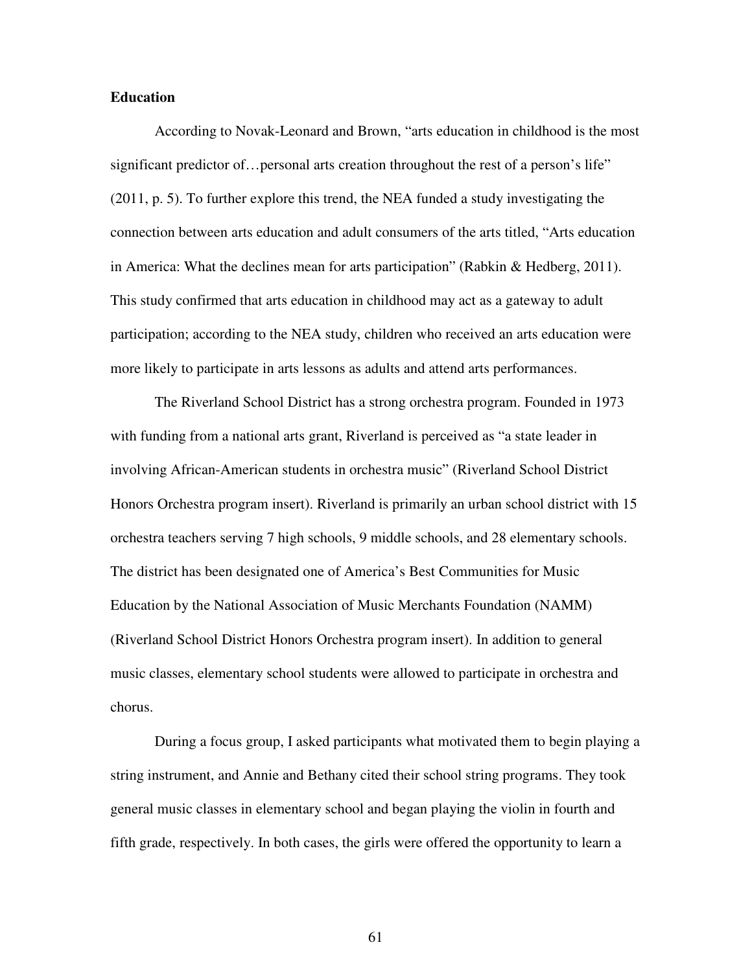## **Education**

 According to Novak-Leonard and Brown, "arts education in childhood is the most significant predictor of... personal arts creation throughout the rest of a person's life" (2011, p. 5). To further explore this trend, the NEA funded a study investigating the connection between arts education and adult consumers of the arts titled, "Arts education in America: What the declines mean for arts participation" (Rabkin & Hedberg, 2011). This study confirmed that arts education in childhood may act as a gateway to adult participation; according to the NEA study, children who received an arts education were more likely to participate in arts lessons as adults and attend arts performances.

 The Riverland School District has a strong orchestra program. Founded in 1973 with funding from a national arts grant, Riverland is perceived as "a state leader in involving African-American students in orchestra music" (Riverland School District Honors Orchestra program insert). Riverland is primarily an urban school district with 15 orchestra teachers serving 7 high schools, 9 middle schools, and 28 elementary schools. The district has been designated one of America's Best Communities for Music Education by the National Association of Music Merchants Foundation (NAMM) (Riverland School District Honors Orchestra program insert). In addition to general music classes, elementary school students were allowed to participate in orchestra and chorus.

 During a focus group, I asked participants what motivated them to begin playing a string instrument, and Annie and Bethany cited their school string programs. They took general music classes in elementary school and began playing the violin in fourth and fifth grade, respectively. In both cases, the girls were offered the opportunity to learn a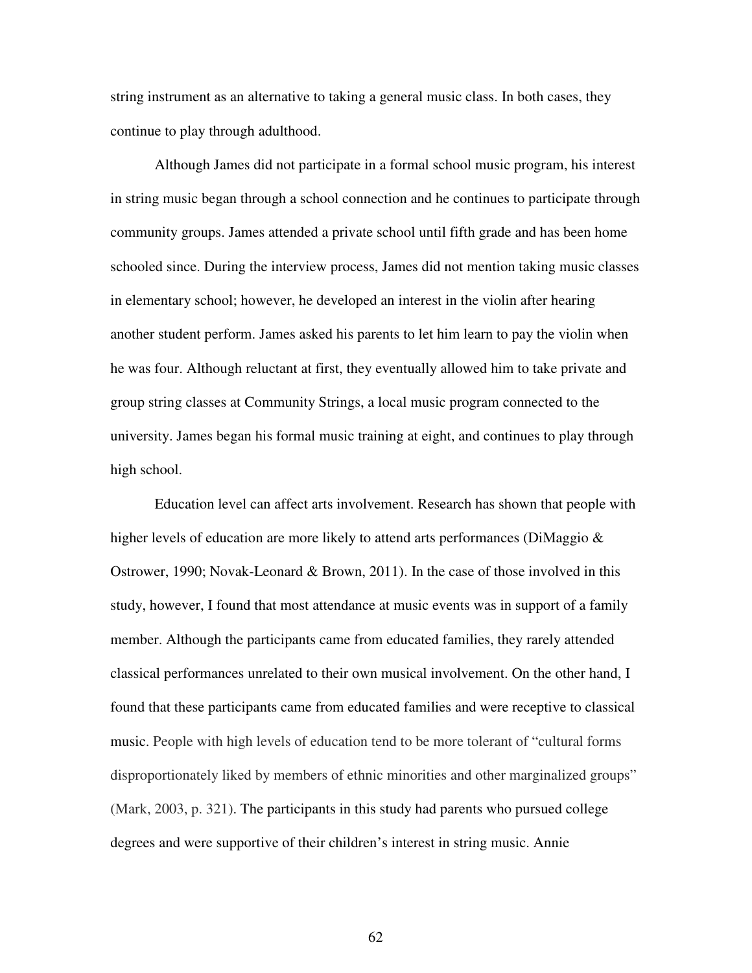string instrument as an alternative to taking a general music class. In both cases, they continue to play through adulthood.

 Although James did not participate in a formal school music program, his interest in string music began through a school connection and he continues to participate through community groups. James attended a private school until fifth grade and has been home schooled since. During the interview process, James did not mention taking music classes in elementary school; however, he developed an interest in the violin after hearing another student perform. James asked his parents to let him learn to pay the violin when he was four. Although reluctant at first, they eventually allowed him to take private and group string classes at Community Strings, a local music program connected to the university. James began his formal music training at eight, and continues to play through high school.

 Education level can affect arts involvement. Research has shown that people with higher levels of education are more likely to attend arts performances (DiMaggio & Ostrower, 1990; Novak-Leonard & Brown, 2011). In the case of those involved in this study, however, I found that most attendance at music events was in support of a family member. Although the participants came from educated families, they rarely attended classical performances unrelated to their own musical involvement. On the other hand, I found that these participants came from educated families and were receptive to classical music. People with high levels of education tend to be more tolerant of "cultural forms disproportionately liked by members of ethnic minorities and other marginalized groups" (Mark, 2003, p. 321). The participants in this study had parents who pursued college degrees and were supportive of their children's interest in string music. Annie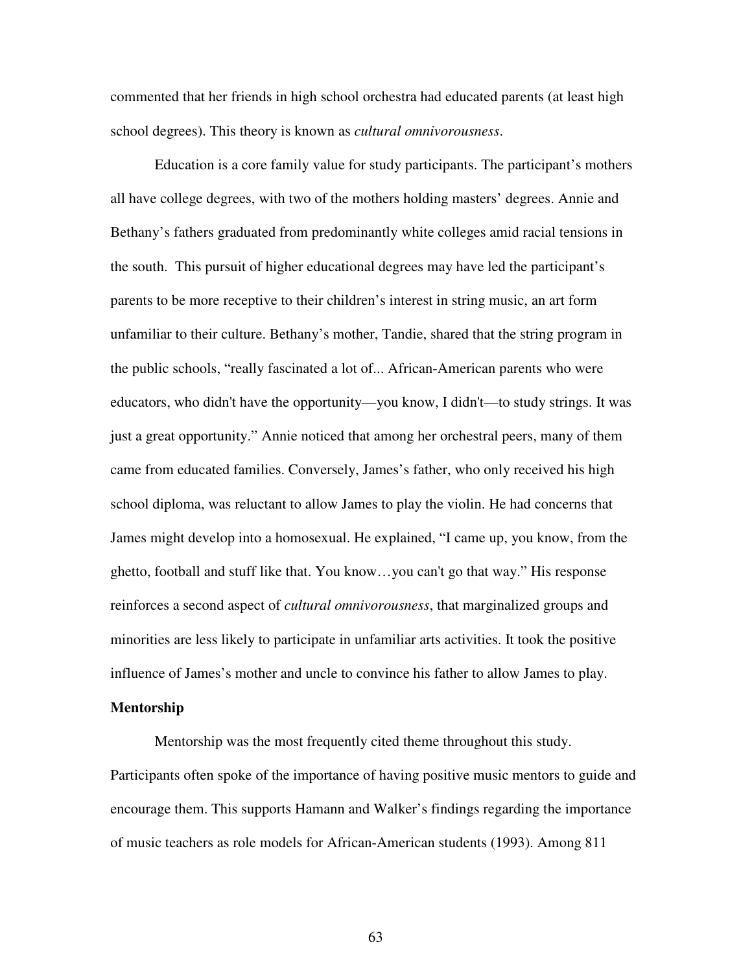commented that her friends in high school orchestra had educated parents (at least high school degrees). This theory is known as *cultural omnivorousness*.

 Education is a core family value for study participants. The participant's mothers all have college degrees, with two of the mothers holding masters' degrees. Annie and Bethany's fathers graduated from predominantly white colleges amid racial tensions in the south. This pursuit of higher educational degrees may have led the participant's parents to be more receptive to their children's interest in string music, an art form unfamiliar to their culture. Bethany's mother, Tandie, shared that the string program in the public schools, "really fascinated a lot of... African-American parents who were educators, who didn't have the opportunity—you know, I didn't—to study strings. It was just a great opportunity." Annie noticed that among her orchestral peers, many of them came from educated families. Conversely, James's father, who only received his high school diploma, was reluctant to allow James to play the violin. He had concerns that James might develop into a homosexual. He explained, "I came up, you know, from the ghetto, football and stuff like that. You know…you can't go that way." His response reinforces a second aspect of *cultural omnivorousness*, that marginalized groups and minorities are less likely to participate in unfamiliar arts activities. It took the positive influence of James's mother and uncle to convince his father to allow James to play.

#### **Mentorship**

Mentorship was the most frequently cited theme throughout this study. Participants often spoke of the importance of having positive music mentors to guide and encourage them. This supports Hamann and Walker's findings regarding the importance of music teachers as role models for African-American students (1993). Among 811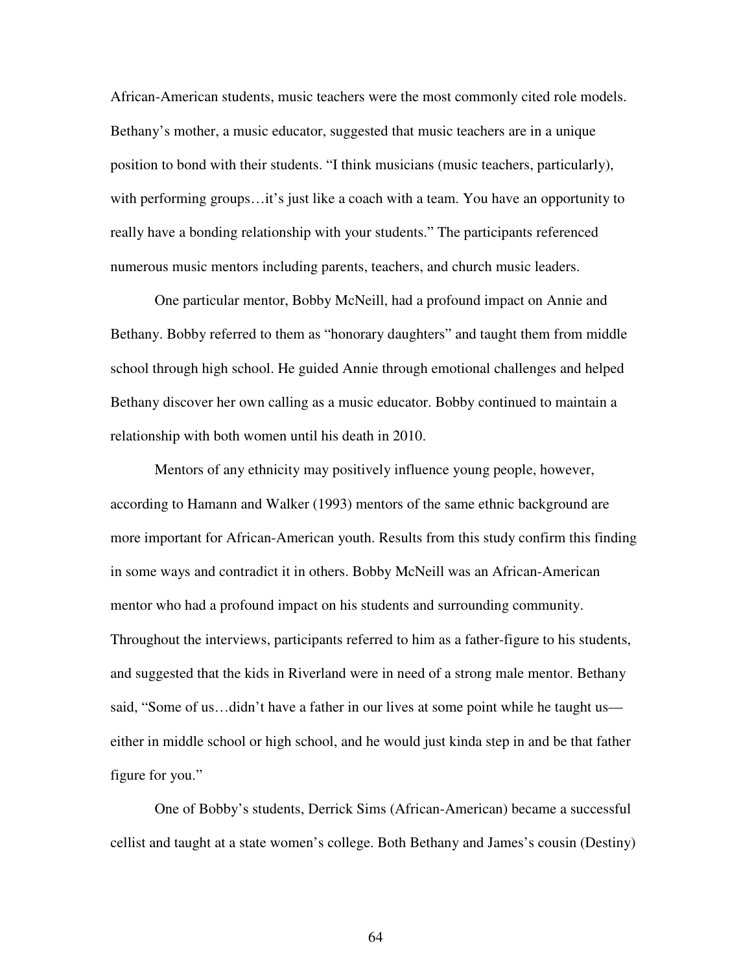African-American students, music teachers were the most commonly cited role models. Bethany's mother, a music educator, suggested that music teachers are in a unique position to bond with their students. "I think musicians (music teachers, particularly), with performing groups…it's just like a coach with a team. You have an opportunity to really have a bonding relationship with your students." The participants referenced numerous music mentors including parents, teachers, and church music leaders.

 One particular mentor, Bobby McNeill, had a profound impact on Annie and Bethany. Bobby referred to them as "honorary daughters" and taught them from middle school through high school. He guided Annie through emotional challenges and helped Bethany discover her own calling as a music educator. Bobby continued to maintain a relationship with both women until his death in 2010.

Mentors of any ethnicity may positively influence young people, however, according to Hamann and Walker (1993) mentors of the same ethnic background are more important for African-American youth. Results from this study confirm this finding in some ways and contradict it in others. Bobby McNeill was an African-American mentor who had a profound impact on his students and surrounding community. Throughout the interviews, participants referred to him as a father-figure to his students, and suggested that the kids in Riverland were in need of a strong male mentor. Bethany said, "Some of us…didn't have a father in our lives at some point while he taught us either in middle school or high school, and he would just kinda step in and be that father figure for you."

 One of Bobby's students, Derrick Sims (African-American) became a successful cellist and taught at a state women's college. Both Bethany and James's cousin (Destiny)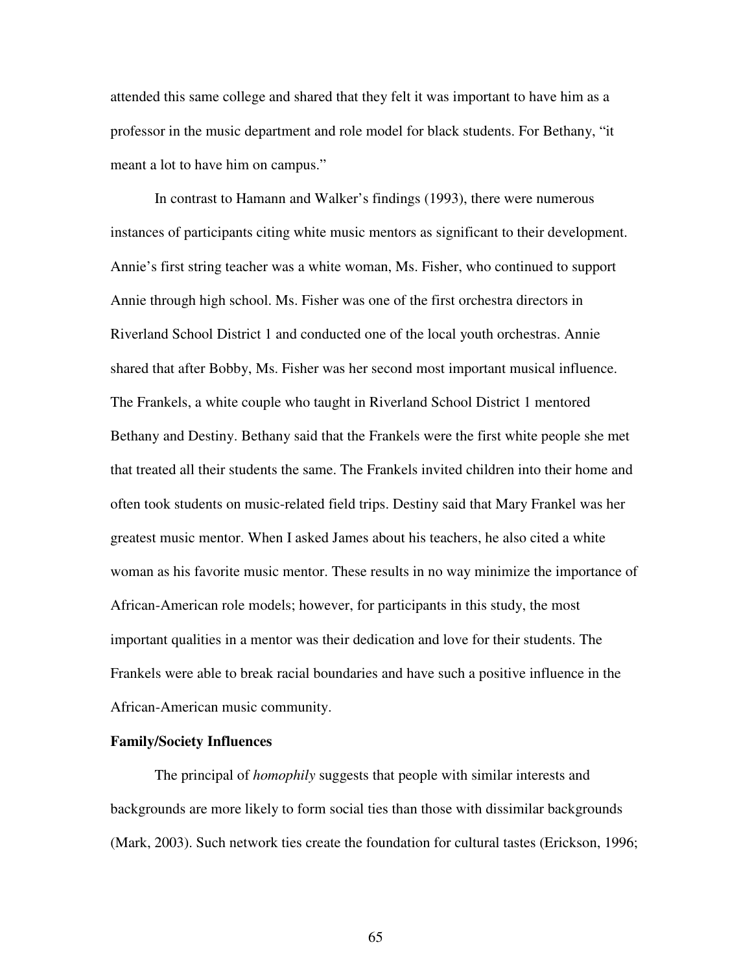attended this same college and shared that they felt it was important to have him as a professor in the music department and role model for black students. For Bethany, "it meant a lot to have him on campus."

In contrast to Hamann and Walker's findings (1993), there were numerous instances of participants citing white music mentors as significant to their development. Annie's first string teacher was a white woman, Ms. Fisher, who continued to support Annie through high school. Ms. Fisher was one of the first orchestra directors in Riverland School District 1 and conducted one of the local youth orchestras. Annie shared that after Bobby, Ms. Fisher was her second most important musical influence. The Frankels, a white couple who taught in Riverland School District 1 mentored Bethany and Destiny. Bethany said that the Frankels were the first white people she met that treated all their students the same. The Frankels invited children into their home and often took students on music-related field trips. Destiny said that Mary Frankel was her greatest music mentor. When I asked James about his teachers, he also cited a white woman as his favorite music mentor. These results in no way minimize the importance of African-American role models; however, for participants in this study, the most important qualities in a mentor was their dedication and love for their students. The Frankels were able to break racial boundaries and have such a positive influence in the African-American music community.

#### **Family/Society Influences**

The principal of *homophily* suggests that people with similar interests and backgrounds are more likely to form social ties than those with dissimilar backgrounds (Mark, 2003). Such network ties create the foundation for cultural tastes (Erickson, 1996;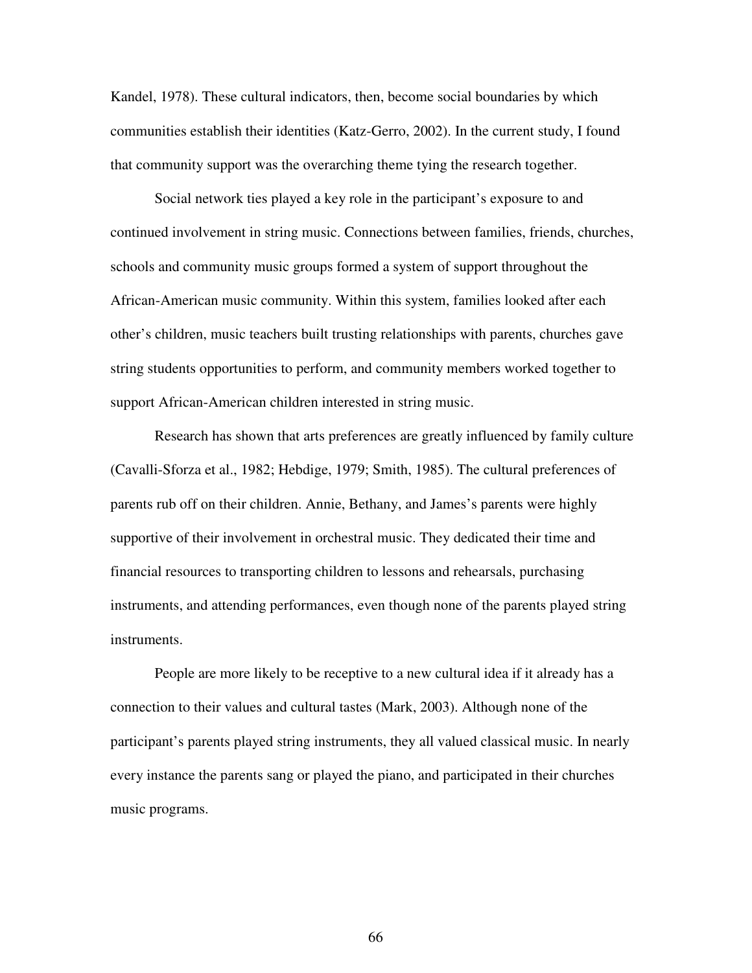Kandel, 1978). These cultural indicators, then, become social boundaries by which communities establish their identities (Katz-Gerro, 2002). In the current study, I found that community support was the overarching theme tying the research together.

 Social network ties played a key role in the participant's exposure to and continued involvement in string music. Connections between families, friends, churches, schools and community music groups formed a system of support throughout the African-American music community. Within this system, families looked after each other's children, music teachers built trusting relationships with parents, churches gave string students opportunities to perform, and community members worked together to support African-American children interested in string music.

 Research has shown that arts preferences are greatly influenced by family culture (Cavalli-Sforza et al., 1982; Hebdige, 1979; Smith, 1985). The cultural preferences of parents rub off on their children. Annie, Bethany, and James's parents were highly supportive of their involvement in orchestral music. They dedicated their time and financial resources to transporting children to lessons and rehearsals, purchasing instruments, and attending performances, even though none of the parents played string instruments.

 People are more likely to be receptive to a new cultural idea if it already has a connection to their values and cultural tastes (Mark, 2003). Although none of the participant's parents played string instruments, they all valued classical music. In nearly every instance the parents sang or played the piano, and participated in their churches music programs.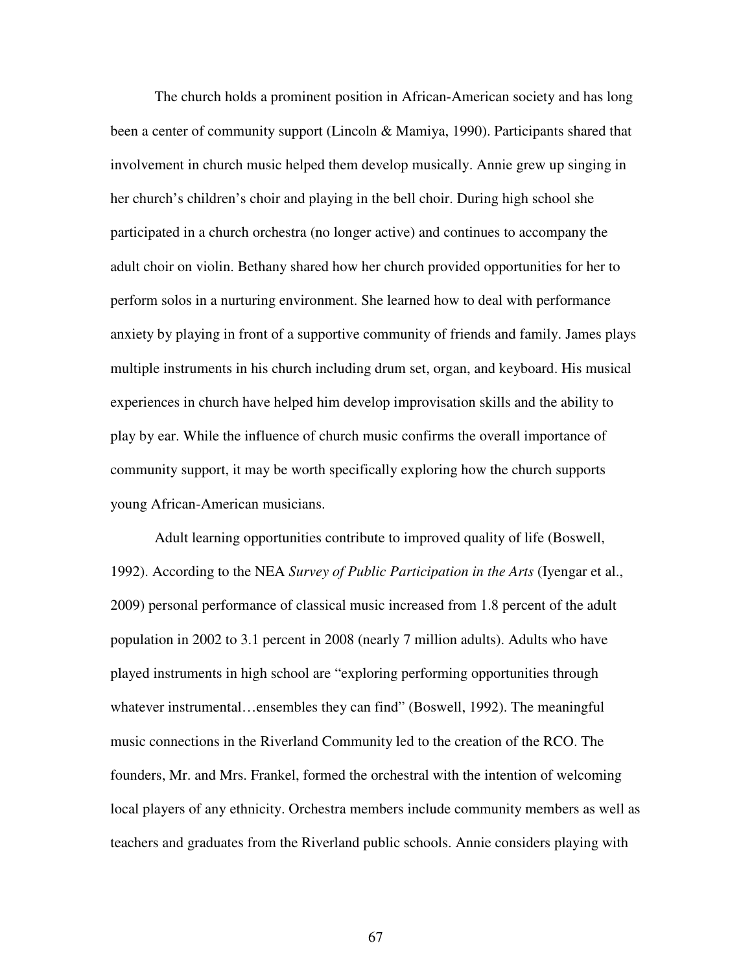The church holds a prominent position in African-American society and has long been a center of community support (Lincoln & Mamiya, 1990). Participants shared that involvement in church music helped them develop musically. Annie grew up singing in her church's children's choir and playing in the bell choir. During high school she participated in a church orchestra (no longer active) and continues to accompany the adult choir on violin. Bethany shared how her church provided opportunities for her to perform solos in a nurturing environment. She learned how to deal with performance anxiety by playing in front of a supportive community of friends and family. James plays multiple instruments in his church including drum set, organ, and keyboard. His musical experiences in church have helped him develop improvisation skills and the ability to play by ear. While the influence of church music confirms the overall importance of community support, it may be worth specifically exploring how the church supports young African-American musicians.

Adult learning opportunities contribute to improved quality of life (Boswell, 1992). According to the NEA *Survey of Public Participation in the Arts* (Iyengar et al., 2009) personal performance of classical music increased from 1.8 percent of the adult population in 2002 to 3.1 percent in 2008 (nearly 7 million adults). Adults who have played instruments in high school are "exploring performing opportunities through whatever instrumental…ensembles they can find" (Boswell, 1992). The meaningful music connections in the Riverland Community led to the creation of the RCO. The founders, Mr. and Mrs. Frankel, formed the orchestral with the intention of welcoming local players of any ethnicity. Orchestra members include community members as well as teachers and graduates from the Riverland public schools. Annie considers playing with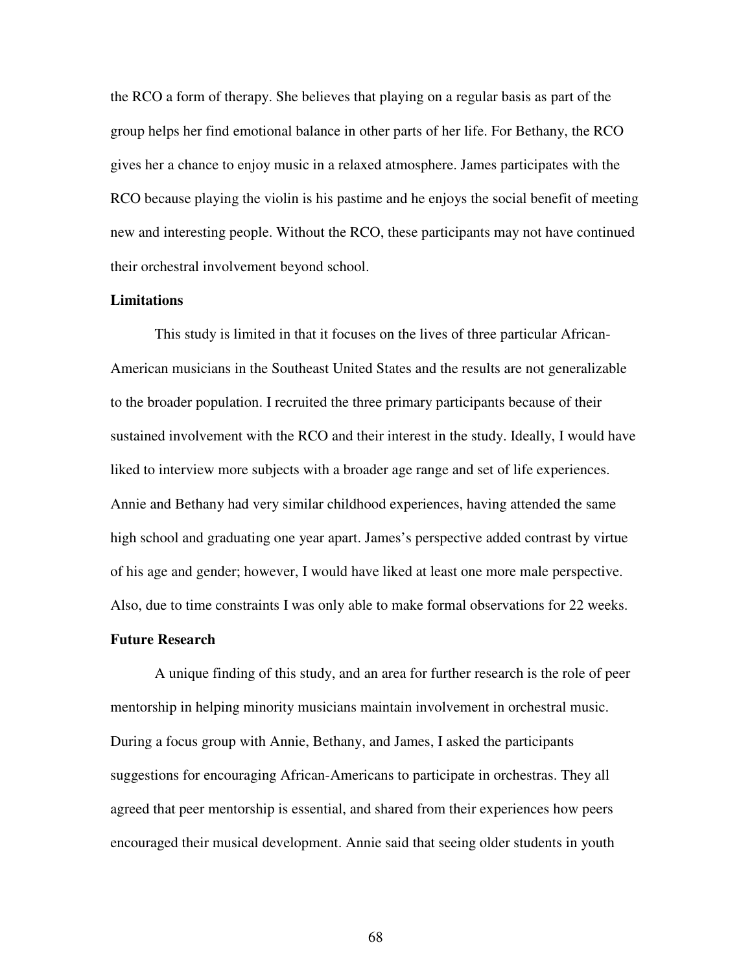the RCO a form of therapy. She believes that playing on a regular basis as part of the group helps her find emotional balance in other parts of her life. For Bethany, the RCO gives her a chance to enjoy music in a relaxed atmosphere. James participates with the RCO because playing the violin is his pastime and he enjoys the social benefit of meeting new and interesting people. Without the RCO, these participants may not have continued their orchestral involvement beyond school.

### **Limitations**

 This study is limited in that it focuses on the lives of three particular African-American musicians in the Southeast United States and the results are not generalizable to the broader population. I recruited the three primary participants because of their sustained involvement with the RCO and their interest in the study. Ideally, I would have liked to interview more subjects with a broader age range and set of life experiences. Annie and Bethany had very similar childhood experiences, having attended the same high school and graduating one year apart. James's perspective added contrast by virtue of his age and gender; however, I would have liked at least one more male perspective. Also, due to time constraints I was only able to make formal observations for 22 weeks.

#### **Future Research**

 A unique finding of this study, and an area for further research is the role of peer mentorship in helping minority musicians maintain involvement in orchestral music. During a focus group with Annie, Bethany, and James, I asked the participants suggestions for encouraging African-Americans to participate in orchestras. They all agreed that peer mentorship is essential, and shared from their experiences how peers encouraged their musical development. Annie said that seeing older students in youth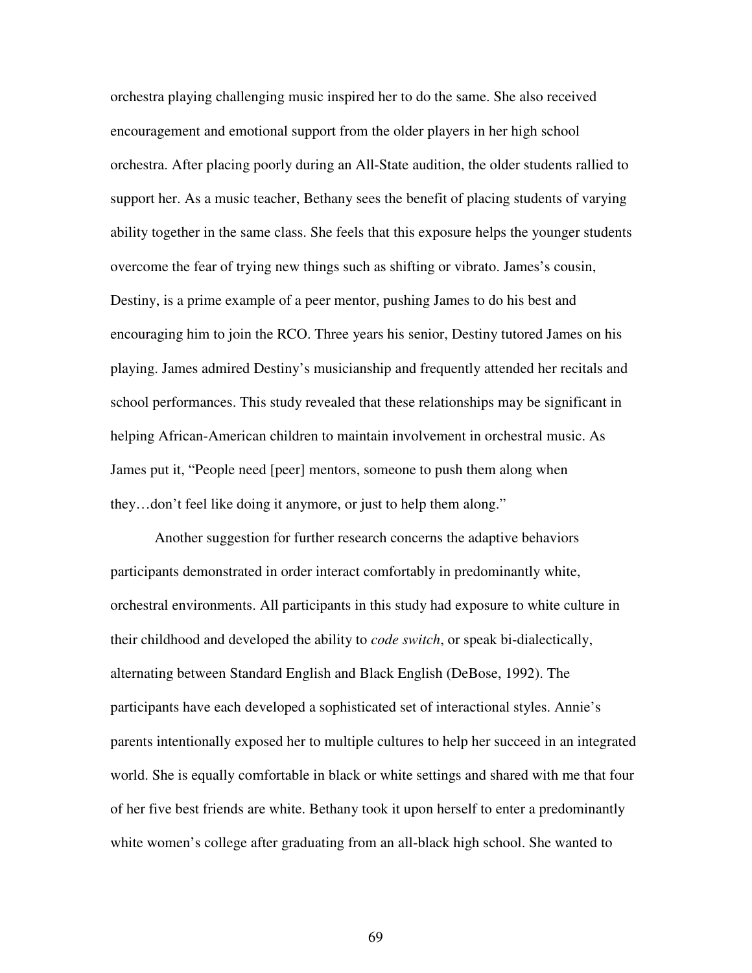orchestra playing challenging music inspired her to do the same. She also received encouragement and emotional support from the older players in her high school orchestra. After placing poorly during an All-State audition, the older students rallied to support her. As a music teacher, Bethany sees the benefit of placing students of varying ability together in the same class. She feels that this exposure helps the younger students overcome the fear of trying new things such as shifting or vibrato. James's cousin, Destiny, is a prime example of a peer mentor, pushing James to do his best and encouraging him to join the RCO. Three years his senior, Destiny tutored James on his playing. James admired Destiny's musicianship and frequently attended her recitals and school performances. This study revealed that these relationships may be significant in helping African-American children to maintain involvement in orchestral music. As James put it, "People need [peer] mentors, someone to push them along when they…don't feel like doing it anymore, or just to help them along."

 Another suggestion for further research concerns the adaptive behaviors participants demonstrated in order interact comfortably in predominantly white, orchestral environments. All participants in this study had exposure to white culture in their childhood and developed the ability to *code switch*, or speak bi-dialectically, alternating between Standard English and Black English (DeBose, 1992). The participants have each developed a sophisticated set of interactional styles. Annie's parents intentionally exposed her to multiple cultures to help her succeed in an integrated world. She is equally comfortable in black or white settings and shared with me that four of her five best friends are white. Bethany took it upon herself to enter a predominantly white women's college after graduating from an all-black high school. She wanted to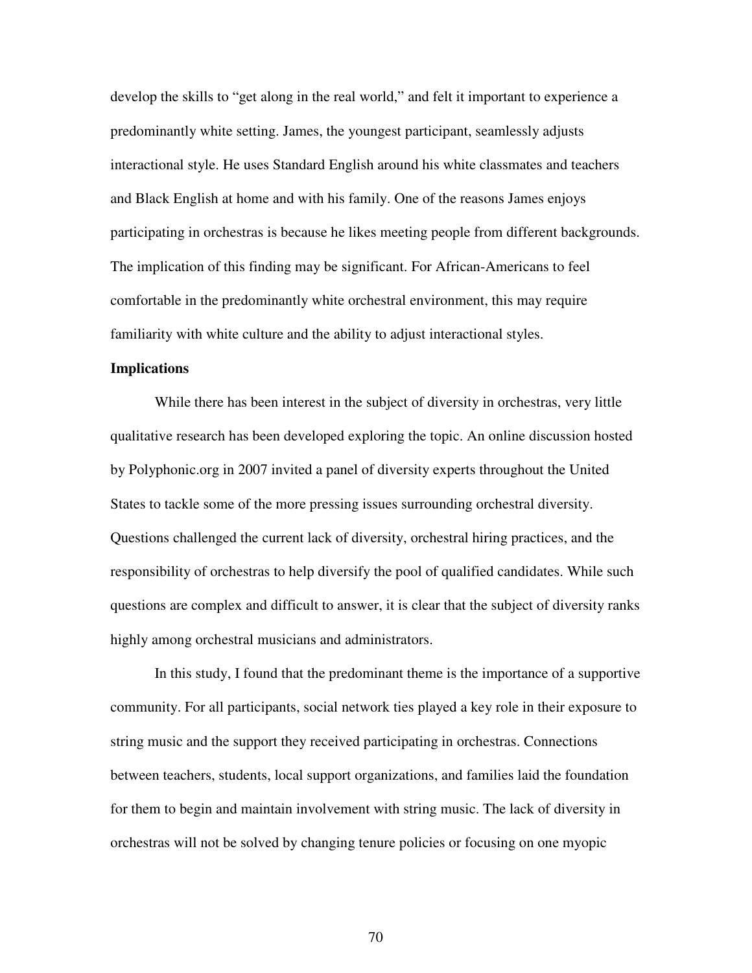develop the skills to "get along in the real world," and felt it important to experience a predominantly white setting. James, the youngest participant, seamlessly adjusts interactional style. He uses Standard English around his white classmates and teachers and Black English at home and with his family. One of the reasons James enjoys participating in orchestras is because he likes meeting people from different backgrounds. The implication of this finding may be significant. For African-Americans to feel comfortable in the predominantly white orchestral environment, this may require familiarity with white culture and the ability to adjust interactional styles.

## **Implications**

While there has been interest in the subject of diversity in orchestras, very little qualitative research has been developed exploring the topic. An online discussion hosted by Polyphonic.org in 2007 invited a panel of diversity experts throughout the United States to tackle some of the more pressing issues surrounding orchestral diversity. Questions challenged the current lack of diversity, orchestral hiring practices, and the responsibility of orchestras to help diversify the pool of qualified candidates. While such questions are complex and difficult to answer, it is clear that the subject of diversity ranks highly among orchestral musicians and administrators.

In this study, I found that the predominant theme is the importance of a supportive community. For all participants, social network ties played a key role in their exposure to string music and the support they received participating in orchestras. Connections between teachers, students, local support organizations, and families laid the foundation for them to begin and maintain involvement with string music. The lack of diversity in orchestras will not be solved by changing tenure policies or focusing on one myopic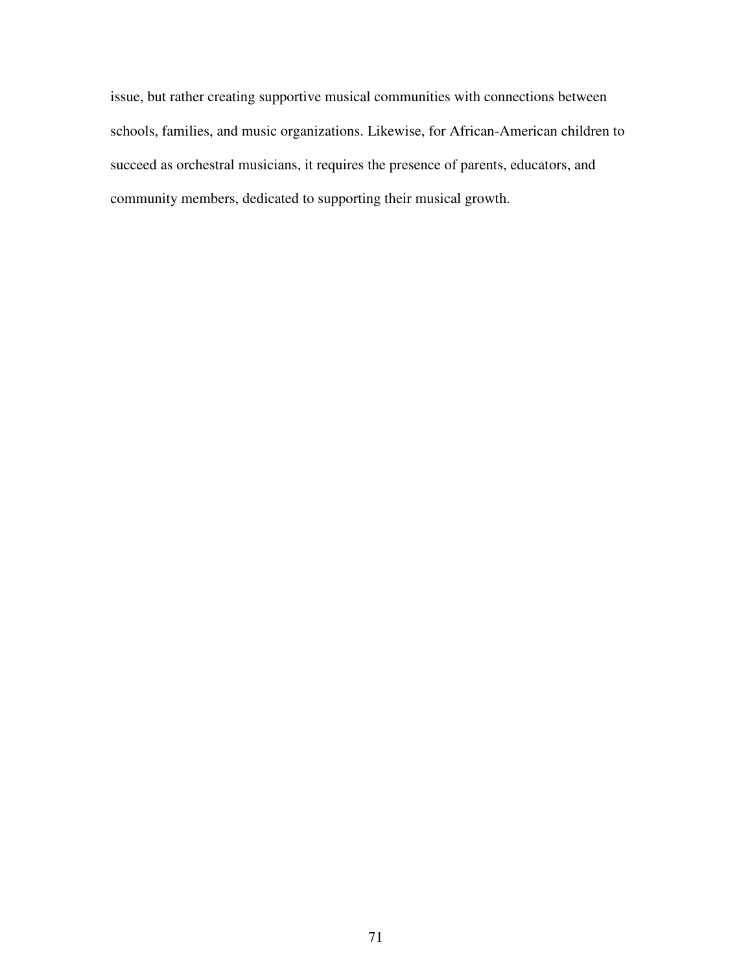issue, but rather creating supportive musical communities with connections between schools, families, and music organizations. Likewise, for African-American children to succeed as orchestral musicians, it requires the presence of parents, educators, and community members, dedicated to supporting their musical growth.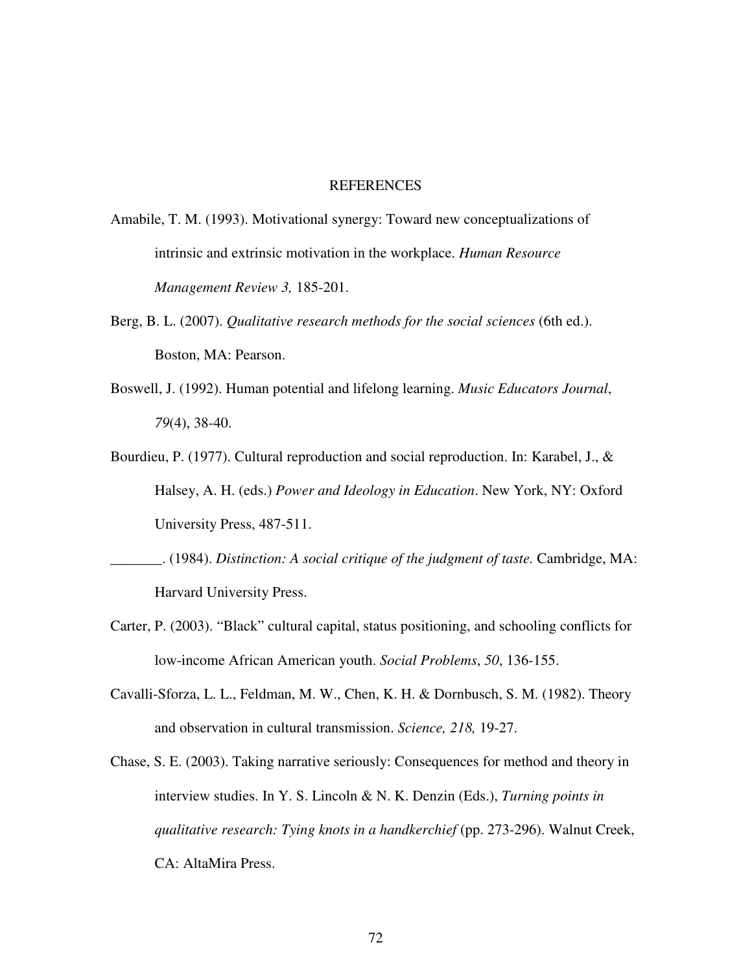#### REFERENCES

- Amabile, T. M. (1993). Motivational synergy: Toward new conceptualizations of intrinsic and extrinsic motivation in the workplace. *Human Resource Management Review 3,* 185-201.
- Berg, B. L. (2007). *Qualitative research methods for the social sciences* (6th ed.). Boston, MA: Pearson.
- Boswell, J. (1992). Human potential and lifelong learning. *Music Educators Journal*, *79*(4), 38-40.
- Bourdieu, P. (1977). Cultural reproduction and social reproduction. In: Karabel, J., & Halsey, A. H. (eds.) *Power and Ideology in Education*. New York, NY: Oxford University Press, 487-511.
- \_\_\_\_\_\_\_. (1984). *Distinction: A social critique of the judgment of taste.* Cambridge, MA: Harvard University Press.
- Carter, P. (2003). "Black" cultural capital, status positioning, and schooling conflicts for low-income African American youth. *Social Problems*, *50*, 136-155.
- Cavalli-Sforza, L. L., Feldman, M. W., Chen, K. H. & Dornbusch, S. M. (1982). Theory and observation in cultural transmission. *Science, 218,* 19-27.
- Chase, S. E. (2003). Taking narrative seriously: Consequences for method and theory in interview studies. In Y. S. Lincoln & N. K. Denzin (Eds.), *Turning points in qualitative research: Tying knots in a handkerchief* (pp. 273-296). Walnut Creek, CA: AltaMira Press.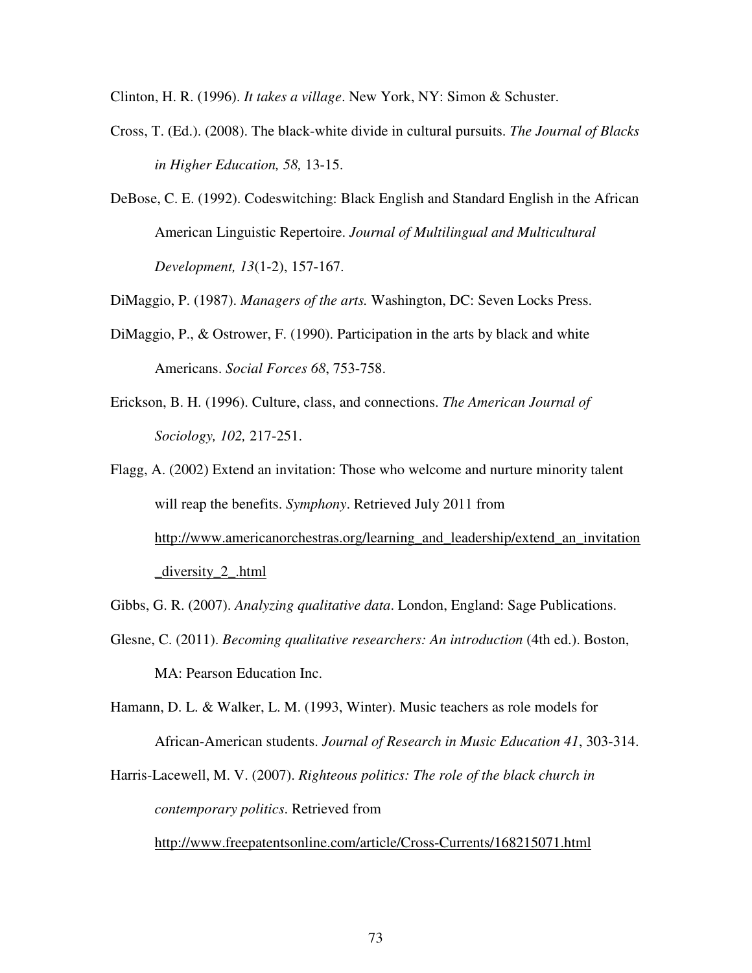Clinton, H. R. (1996). *It takes a village*. New York, NY: Simon & Schuster.

- Cross, T. (Ed.). (2008). The black-white divide in cultural pursuits. *The Journal of Blacks in Higher Education, 58,* 13-15.
- DeBose, C. E. (1992). Codeswitching: Black English and Standard English in the African American Linguistic Repertoire. *Journal of Multilingual and Multicultural Development, 13*(1-2), 157-167.

DiMaggio, P. (1987). *Managers of the arts.* Washington, DC: Seven Locks Press.

- DiMaggio, P., & Ostrower, F. (1990). Participation in the arts by black and white Americans. *Social Forces 68*, 753-758.
- Erickson, B. H. (1996). Culture, class, and connections. *The American Journal of Sociology, 102,* 217-251.

Flagg, A. (2002) Extend an invitation: Those who welcome and nurture minority talent will reap the benefits. *Symphony*. Retrieved July 2011 from http://www.americanorchestras.org/learning\_and\_leadership/extend\_an\_invitation \_diversity\_2\_.html

Gibbs, G. R. (2007). *Analyzing qualitative data*. London, England: Sage Publications.

Glesne, C. (2011). *Becoming qualitative researchers: An introduction* (4th ed.). Boston, MA: Pearson Education Inc.

Hamann, D. L. & Walker, L. M. (1993, Winter). Music teachers as role models for African-American students. *Journal of Research in Music Education 41*, 303-314.

Harris-Lacewell, M. V. (2007). *Righteous politics: The role of the black church in contemporary politics*. Retrieved from

http://www.freepatentsonline.com/article/Cross-Currents/168215071.html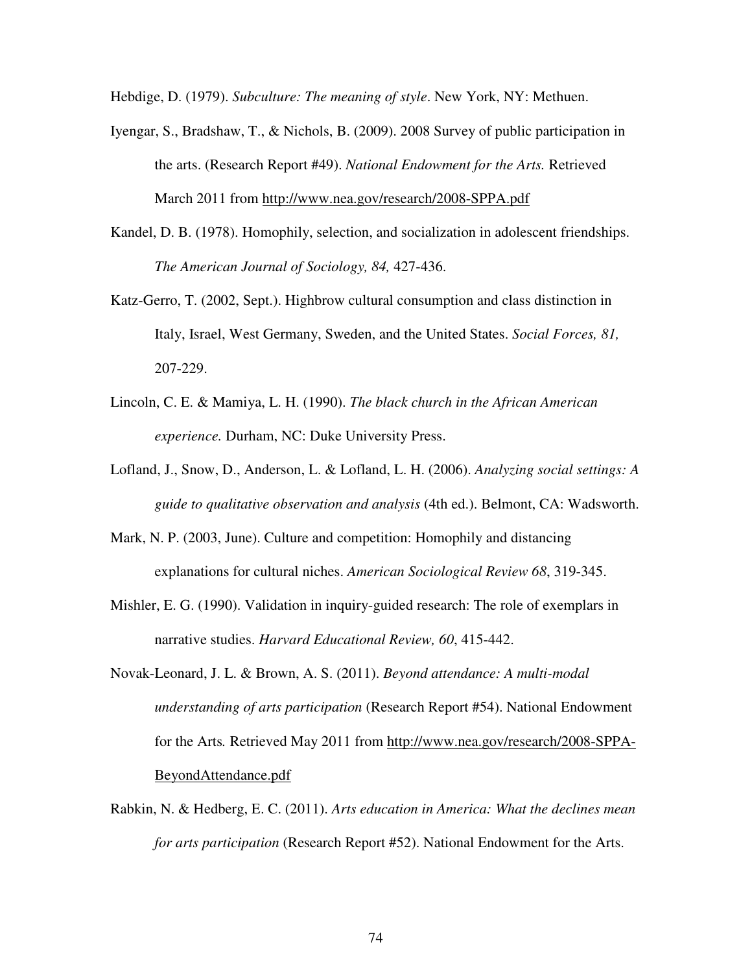Hebdige, D. (1979). *Subculture: The meaning of style*. New York, NY: Methuen.

- Iyengar, S., Bradshaw, T., & Nichols, B. (2009). 2008 Survey of public participation in the arts. (Research Report #49). *National Endowment for the Arts.* Retrieved March 2011 from http://www.nea.gov/research/2008-SPPA.pdf
- Kandel, D. B. (1978). Homophily, selection, and socialization in adolescent friendships. *The American Journal of Sociology, 84,* 427-436.
- Katz-Gerro, T. (2002, Sept.). Highbrow cultural consumption and class distinction in Italy, Israel, West Germany, Sweden, and the United States. *Social Forces, 81,*  207-229.
- Lincoln, C. E. & Mamiya, L. H. (1990). *The black church in the African American experience.* Durham, NC: Duke University Press.
- Lofland, J., Snow, D., Anderson, L. & Lofland, L. H. (2006). *Analyzing social settings: A guide to qualitative observation and analysis* (4th ed.). Belmont, CA: Wadsworth.
- Mark, N. P. (2003, June). Culture and competition: Homophily and distancing explanations for cultural niches. *American Sociological Review 68*, 319-345.
- Mishler, E. G. (1990). Validation in inquiry-guided research: The role of exemplars in narrative studies. *Harvard Educational Review, 60*, 415-442.
- Novak-Leonard, J. L. & Brown, A. S. (2011). *Beyond attendance: A multi-modal understanding of arts participation* (Research Report #54). National Endowment for the Arts*.* Retrieved May 2011 from http://www.nea.gov/research/2008-SPPA-BeyondAttendance.pdf
- Rabkin, N. & Hedberg, E. C. (2011). *Arts education in America: What the declines mean for arts participation* (Research Report #52). National Endowment for the Arts.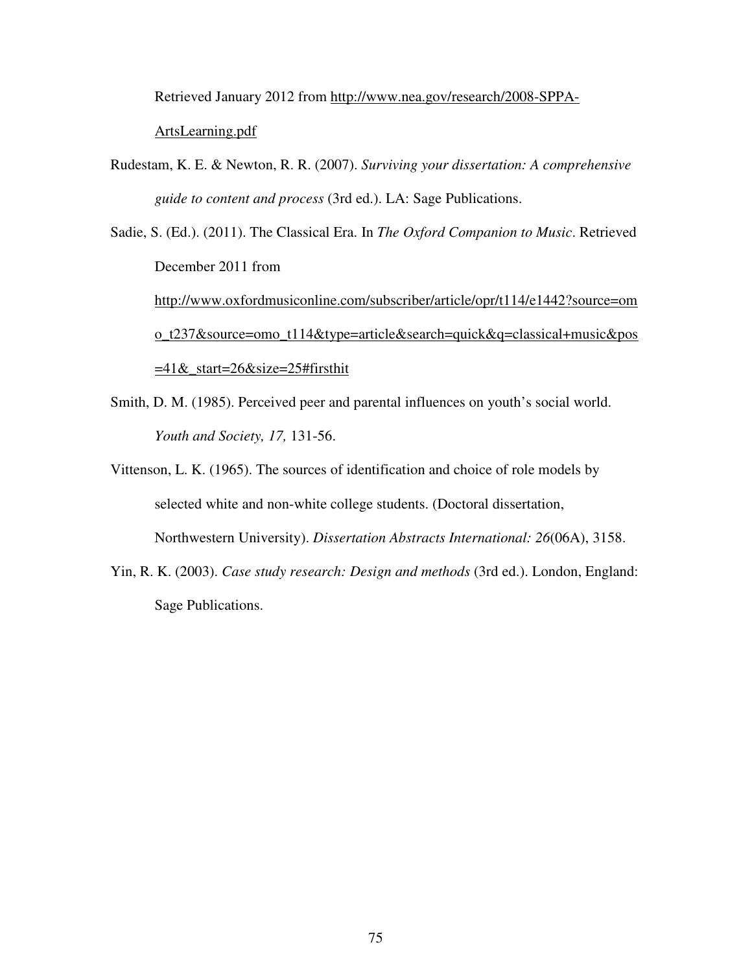Retrieved January 2012 from http://www.nea.gov/research/2008-SPPA-

# ArtsLearning.pdf

- Rudestam, K. E. & Newton, R. R. (2007). *Surviving your dissertation: A comprehensive guide to content and process* (3rd ed.). LA: Sage Publications.
- Sadie, S. (Ed.). (2011). The Classical Era. In *The Oxford Companion to Music*. Retrieved December 2011 from

http://www.oxfordmusiconline.com/subscriber/article/opr/t114/e1442?source=om o\_t237&source=omo\_t114&type=article&search=quick&q=classical+music&pos  $=41\&$ \_start=26 $&$ size=25#firsthit

- Smith, D. M. (1985). Perceived peer and parental influences on youth's social world. *Youth and Society, 17,* 131-56.
- Vittenson, L. K. (1965). The sources of identification and choice of role models by selected white and non-white college students. (Doctoral dissertation, Northwestern University). *Dissertation Abstracts International: 26*(06A), 3158.
- Yin, R. K. (2003). *Case study research: Design and methods* (3rd ed.). London, England: Sage Publications.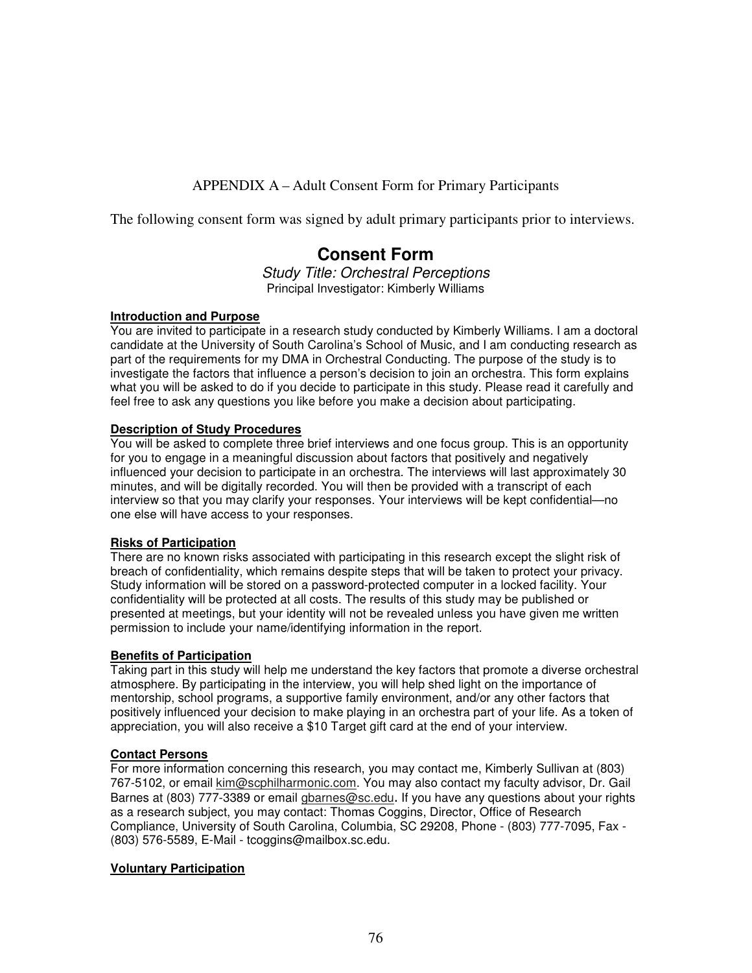APPENDIX A – Adult Consent Form for Primary Participants

The following consent form was signed by adult primary participants prior to interviews.

# **Consent Form**

Study Title: Orchestral Perceptions Principal Investigator: Kimberly Williams

## **Introduction and Purpose**

You are invited to participate in a research study conducted by Kimberly Williams. I am a doctoral candidate at the University of South Carolina's School of Music, and I am conducting research as part of the requirements for my DMA in Orchestral Conducting. The purpose of the study is to investigate the factors that influence a person's decision to join an orchestra. This form explains what you will be asked to do if you decide to participate in this study. Please read it carefully and feel free to ask any questions you like before you make a decision about participating.

## **Description of Study Procedures**

You will be asked to complete three brief interviews and one focus group. This is an opportunity for you to engage in a meaningful discussion about factors that positively and negatively influenced your decision to participate in an orchestra. The interviews will last approximately 30 minutes, and will be digitally recorded. You will then be provided with a transcript of each interview so that you may clarify your responses. Your interviews will be kept confidential—no one else will have access to your responses.

## **Risks of Participation**

There are no known risks associated with participating in this research except the slight risk of breach of confidentiality, which remains despite steps that will be taken to protect your privacy. Study information will be stored on a password-protected computer in a locked facility. Your confidentiality will be protected at all costs. The results of this study may be published or presented at meetings, but your identity will not be revealed unless you have given me written permission to include your name/identifying information in the report.

## **Benefits of Participation**

Taking part in this study will help me understand the key factors that promote a diverse orchestral atmosphere. By participating in the interview, you will help shed light on the importance of mentorship, school programs, a supportive family environment, and/or any other factors that positively influenced your decision to make playing in an orchestra part of your life. As a token of appreciation, you will also receive a \$10 Target gift card at the end of your interview.

#### **Contact Persons**

For more information concerning this research, you may contact me, Kimberly Sullivan at (803) 767-5102, or email kim@scphilharmonic.com. You may also contact my faculty advisor, Dr. Gail Barnes at (803) 777-3389 or email gbarnes@sc.edu. If you have any questions about your rights as a research subject, you may contact: Thomas Coggins, Director, Office of Research Compliance, University of South Carolina, Columbia, SC 29208, Phone - (803) 777-7095, Fax - (803) 576-5589, E-Mail - tcoggins@mailbox.sc.edu.

## **Voluntary Participation**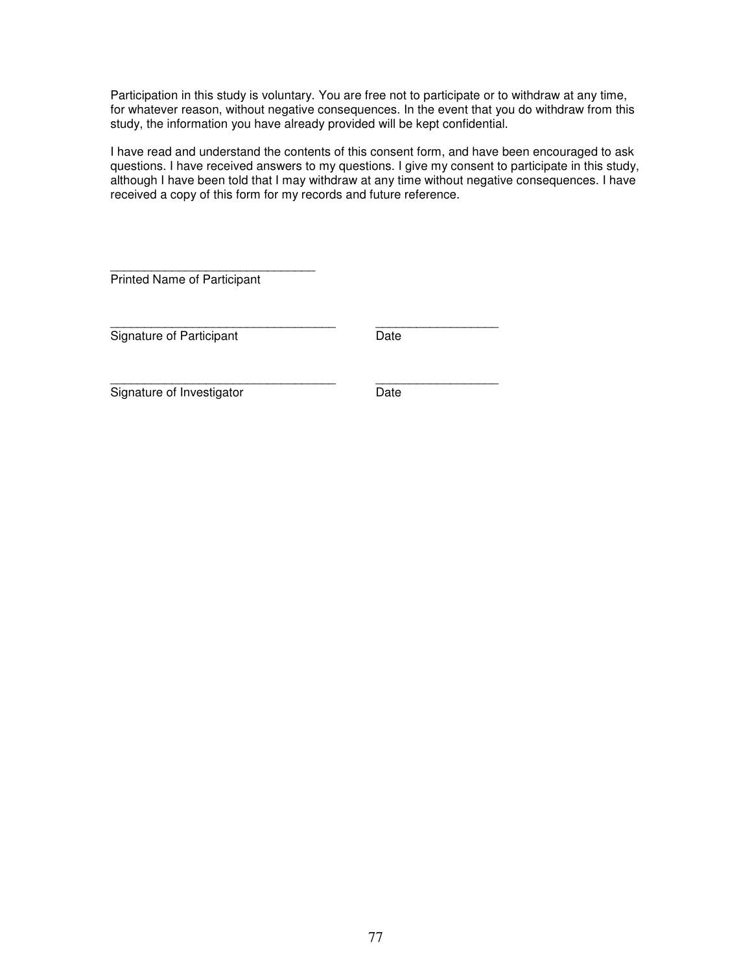Participation in this study is voluntary. You are free not to participate or to withdraw at any time, for whatever reason, without negative consequences. In the event that you do withdraw from this study, the information you have already provided will be kept confidential.

I have read and understand the contents of this consent form, and have been encouraged to ask questions. I have received answers to my questions. I give my consent to participate in this study, although I have been told that I may withdraw at any time without negative consequences. I have received a copy of this form for my records and future reference.

\_\_\_\_\_\_\_\_\_\_\_\_\_\_\_\_\_\_\_\_\_\_\_\_\_\_\_\_\_\_ Printed Name of Participant

\_\_\_\_\_\_\_\_\_\_\_\_\_\_\_\_\_\_\_\_\_\_\_\_\_\_\_\_\_\_\_\_\_ \_\_\_\_\_\_\_\_\_\_\_\_\_\_\_\_\_\_ Signature of Participant **Date** 

\_\_\_\_\_\_\_\_\_\_\_\_\_\_\_\_\_\_\_\_\_\_\_\_\_\_\_\_\_\_\_\_\_ \_\_\_\_\_\_\_\_\_\_\_\_\_\_\_\_\_\_ Signature of Investigator Date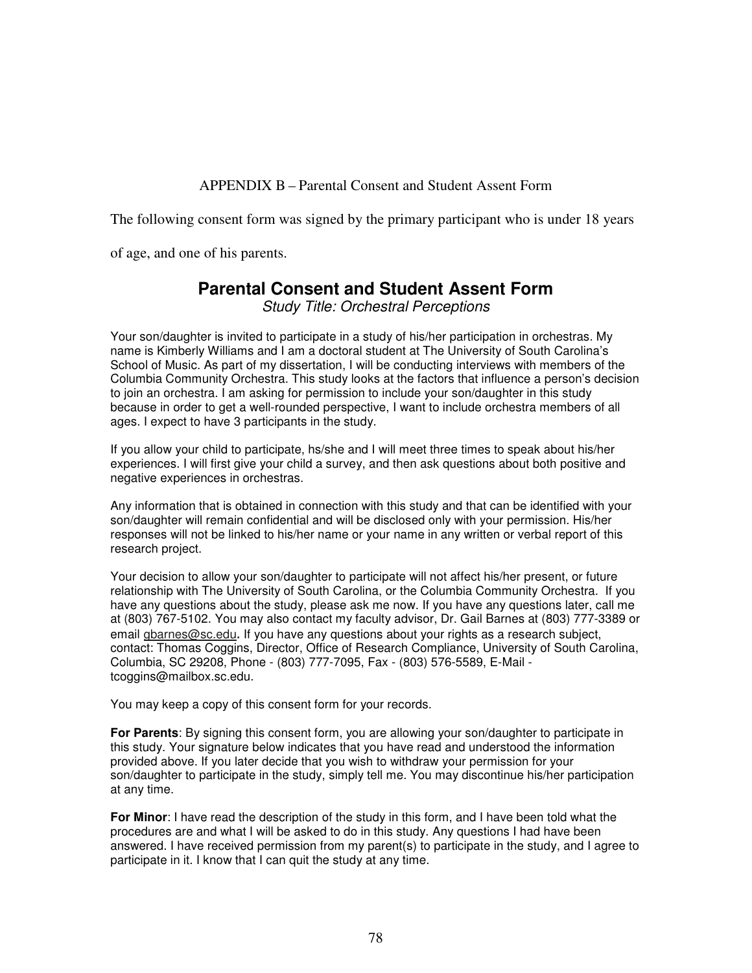APPENDIX B – Parental Consent and Student Assent Form

The following consent form was signed by the primary participant who is under 18 years

of age, and one of his parents.

# **Parental Consent and Student Assent Form**

Study Title: Orchestral Perceptions

Your son/daughter is invited to participate in a study of his/her participation in orchestras. My name is Kimberly Williams and I am a doctoral student at The University of South Carolina's School of Music. As part of my dissertation, I will be conducting interviews with members of the Columbia Community Orchestra. This study looks at the factors that influence a person's decision to join an orchestra. I am asking for permission to include your son/daughter in this study because in order to get a well-rounded perspective, I want to include orchestra members of all ages. I expect to have 3 participants in the study.

If you allow your child to participate, hs/she and I will meet three times to speak about his/her experiences. I will first give your child a survey, and then ask questions about both positive and negative experiences in orchestras.

Any information that is obtained in connection with this study and that can be identified with your son/daughter will remain confidential and will be disclosed only with your permission. His/her responses will not be linked to his/her name or your name in any written or verbal report of this research project.

Your decision to allow your son/daughter to participate will not affect his/her present, or future relationship with The University of South Carolina, or the Columbia Community Orchestra. If you have any questions about the study, please ask me now. If you have any questions later, call me at (803) 767-5102. You may also contact my faculty advisor, Dr. Gail Barnes at (803) 777-3389 or email gbarnes@sc.edu. If you have any questions about your rights as a research subject, contact: Thomas Coggins, Director, Office of Research Compliance, University of South Carolina, Columbia, SC 29208, Phone - (803) 777-7095, Fax - (803) 576-5589, E-Mail tcoggins@mailbox.sc.edu.

You may keep a copy of this consent form for your records.

**For Parents**: By signing this consent form, you are allowing your son/daughter to participate in this study. Your signature below indicates that you have read and understood the information provided above. If you later decide that you wish to withdraw your permission for your son/daughter to participate in the study, simply tell me. You may discontinue his/her participation at any time.

**For Minor**: I have read the description of the study in this form, and I have been told what the procedures are and what I will be asked to do in this study. Any questions I had have been answered. I have received permission from my parent(s) to participate in the study, and I agree to participate in it. I know that I can quit the study at any time.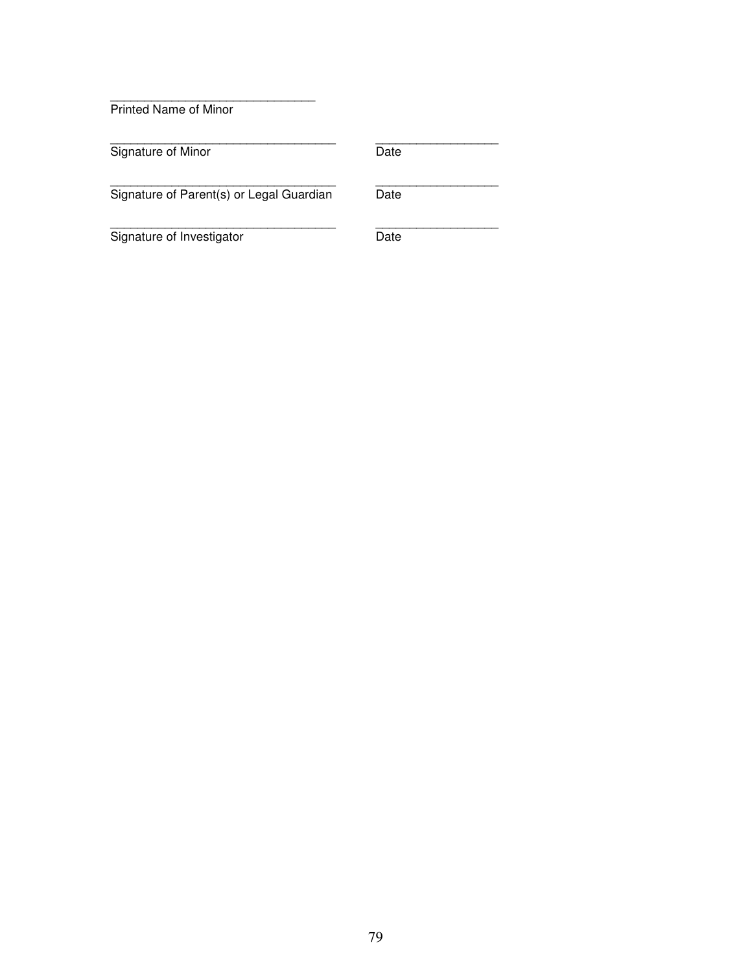Printed Name of Minor

\_\_\_\_\_\_\_\_\_\_\_\_\_\_\_\_\_\_\_\_\_\_\_\_\_\_\_\_\_\_

| Signature of Minor                       | Date |
|------------------------------------------|------|
| Signature of Parent(s) or Legal Guardian | Date |
| Signature of Investigator                | Date |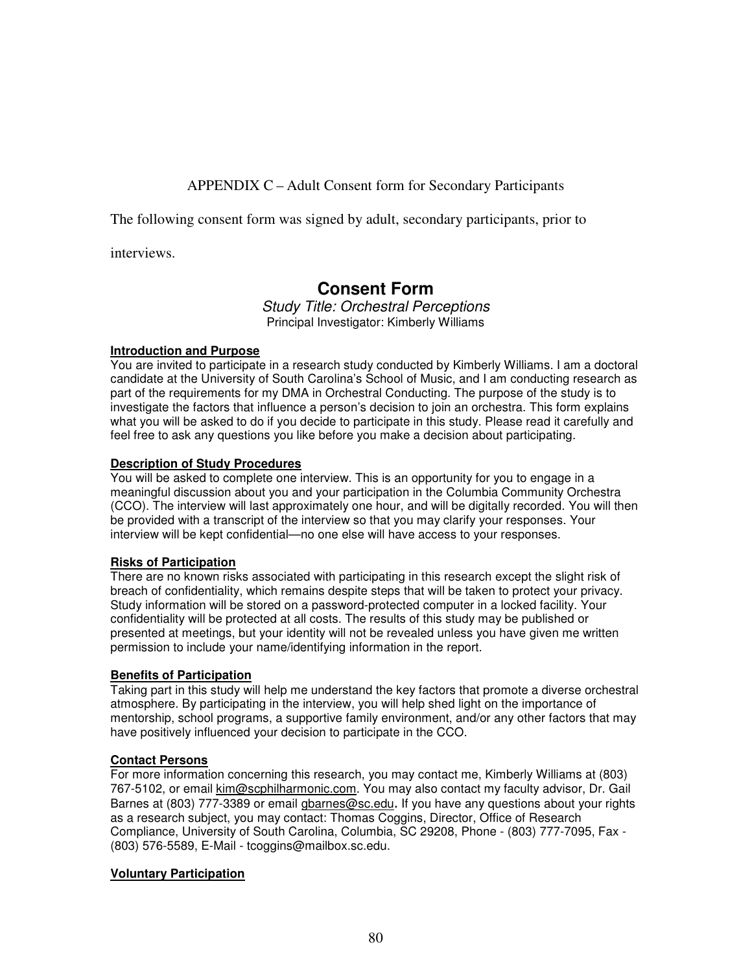APPENDIX C – Adult Consent form for Secondary Participants

The following consent form was signed by adult, secondary participants, prior to

interviews.

# **Consent Form**

Study Title: Orchestral Perceptions Principal Investigator: Kimberly Williams

#### **Introduction and Purpose**

You are invited to participate in a research study conducted by Kimberly Williams. I am a doctoral candidate at the University of South Carolina's School of Music, and I am conducting research as part of the requirements for my DMA in Orchestral Conducting. The purpose of the study is to investigate the factors that influence a person's decision to join an orchestra. This form explains what you will be asked to do if you decide to participate in this study. Please read it carefully and feel free to ask any questions you like before you make a decision about participating.

#### **Description of Study Procedures**

You will be asked to complete one interview. This is an opportunity for you to engage in a meaningful discussion about you and your participation in the Columbia Community Orchestra (CCO). The interview will last approximately one hour, and will be digitally recorded. You will then be provided with a transcript of the interview so that you may clarify your responses. Your interview will be kept confidential—no one else will have access to your responses.

#### **Risks of Participation**

There are no known risks associated with participating in this research except the slight risk of breach of confidentiality, which remains despite steps that will be taken to protect your privacy. Study information will be stored on a password-protected computer in a locked facility. Your confidentiality will be protected at all costs. The results of this study may be published or presented at meetings, but your identity will not be revealed unless you have given me written permission to include your name/identifying information in the report.

## **Benefits of Participation**

Taking part in this study will help me understand the key factors that promote a diverse orchestral atmosphere. By participating in the interview, you will help shed light on the importance of mentorship, school programs, a supportive family environment, and/or any other factors that may have positively influenced your decision to participate in the CCO.

### **Contact Persons**

For more information concerning this research, you may contact me, Kimberly Williams at (803) 767-5102, or email kim@scphilharmonic.com. You may also contact my faculty advisor, Dr. Gail Barnes at (803) 777-3389 or email gbarnes@sc.edu. If you have any questions about your rights as a research subject, you may contact: Thomas Coggins, Director, Office of Research Compliance, University of South Carolina, Columbia, SC 29208, Phone - (803) 777-7095, Fax - (803) 576-5589, E-Mail - tcoggins@mailbox.sc.edu.

#### **Voluntary Participation**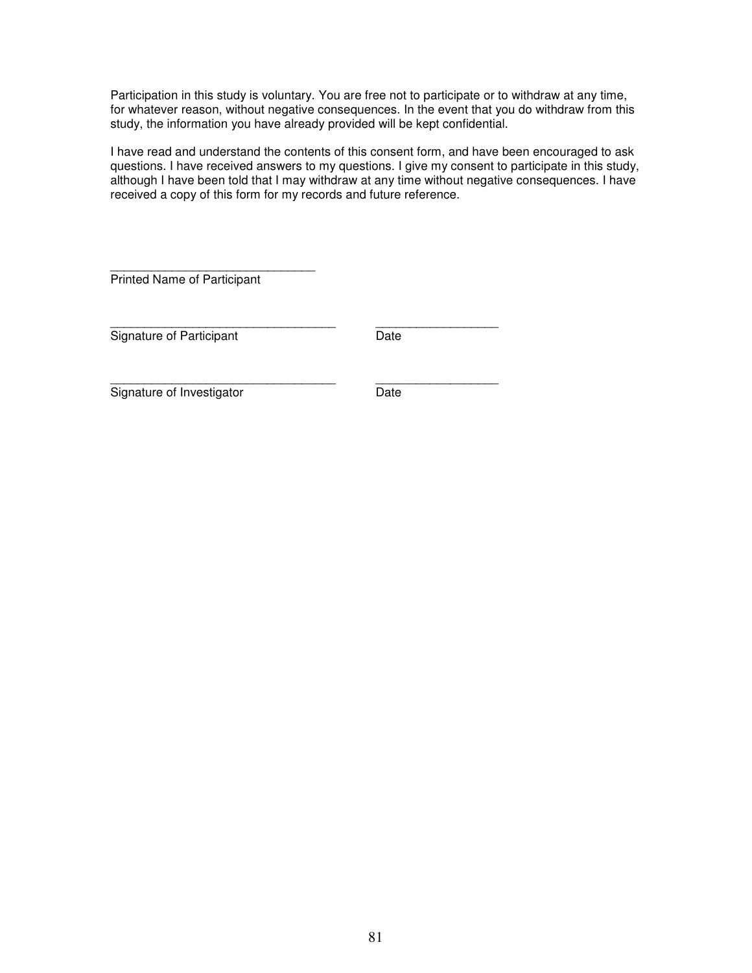Participation in this study is voluntary. You are free not to participate or to withdraw at any time, for whatever reason, without negative consequences. In the event that you do withdraw from this study, the information you have already provided will be kept confidential.

I have read and understand the contents of this consent form, and have been encouraged to ask questions. I have received answers to my questions. I give my consent to participate in this study, although I have been told that I may withdraw at any time without negative consequences. I have received a copy of this form for my records and future reference.

\_\_\_\_\_\_\_\_\_\_\_\_\_\_\_\_\_\_\_\_\_\_\_\_\_\_\_\_\_\_ Printed Name of Participant

\_\_\_\_\_\_\_\_\_\_\_\_\_\_\_\_\_\_\_\_\_\_\_\_\_\_\_\_\_\_\_\_\_ \_\_\_\_\_\_\_\_\_\_\_\_\_\_\_\_\_\_ Signature of Participant **Date** 

\_\_\_\_\_\_\_\_\_\_\_\_\_\_\_\_\_\_\_\_\_\_\_\_\_\_\_\_\_\_\_\_\_ \_\_\_\_\_\_\_\_\_\_\_\_\_\_\_\_\_\_ Signature of Investigator Date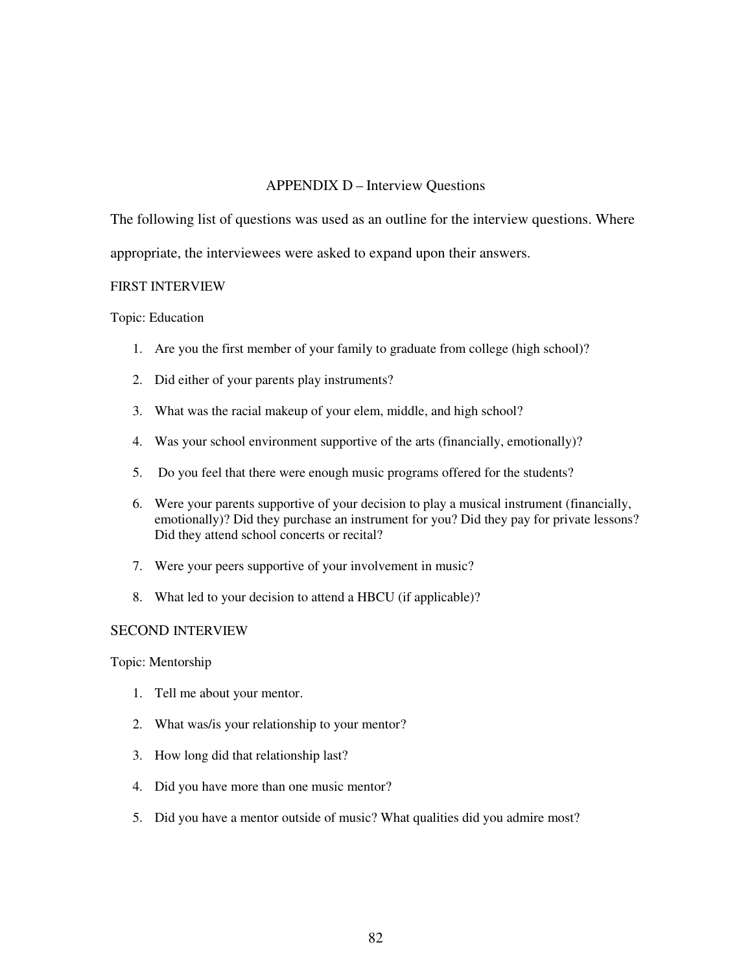## APPENDIX D – Interview Questions

The following list of questions was used as an outline for the interview questions. Where

appropriate, the interviewees were asked to expand upon their answers.

#### FIRST INTERVIEW

#### Topic: Education

- 1. Are you the first member of your family to graduate from college (high school)?
- 2. Did either of your parents play instruments?
- 3. What was the racial makeup of your elem, middle, and high school?
- 4. Was your school environment supportive of the arts (financially, emotionally)?
- 5. Do you feel that there were enough music programs offered for the students?
- 6. Were your parents supportive of your decision to play a musical instrument (financially, emotionally)? Did they purchase an instrument for you? Did they pay for private lessons? Did they attend school concerts or recital?
- 7. Were your peers supportive of your involvement in music?
- 8. What led to your decision to attend a HBCU (if applicable)?

#### SECOND INTERVIEW

Topic: Mentorship

- 1. Tell me about your mentor.
- 2. What was/is your relationship to your mentor?
- 3. How long did that relationship last?
- 4. Did you have more than one music mentor?
- 5. Did you have a mentor outside of music? What qualities did you admire most?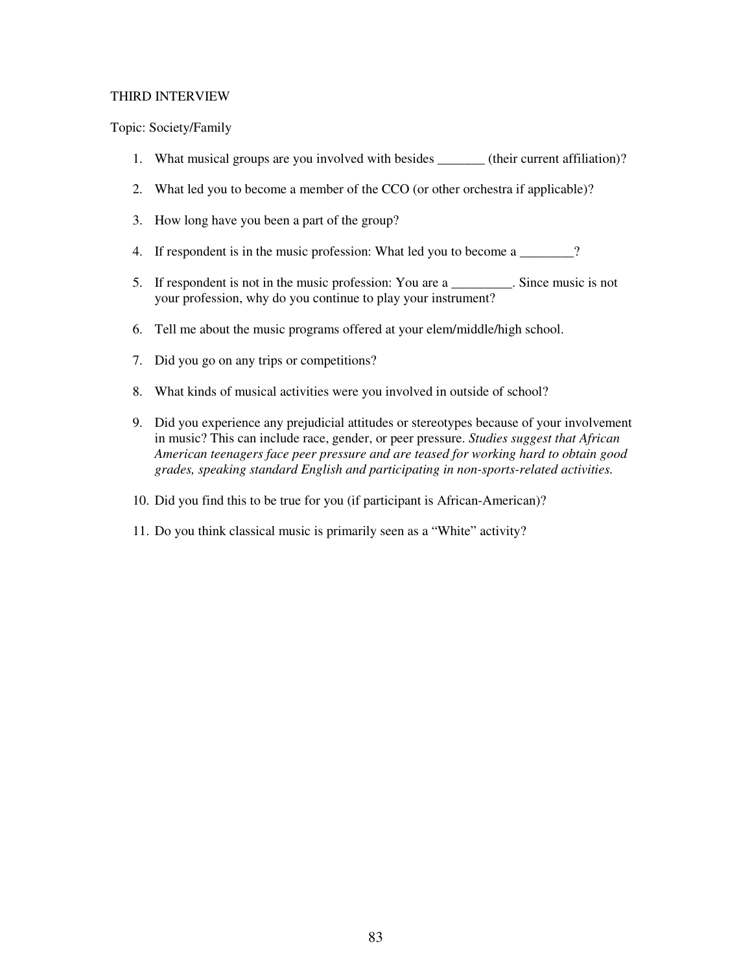#### THIRD INTERVIEW

Topic: Society/Family

- 1. What musical groups are you involved with besides \_\_\_\_\_\_\_ (their current affiliation)?
- 2. What led you to become a member of the CCO (or other orchestra if applicable)?
- 3. How long have you been a part of the group?
- 4. If respondent is in the music profession: What led you to become a \_\_\_\_\_\_?
- 5. If respondent is not in the music profession: You are a \_\_\_\_\_\_\_\_\_. Since music is not your profession, why do you continue to play your instrument?
- 6. Tell me about the music programs offered at your elem/middle/high school.
- 7. Did you go on any trips or competitions?
- 8. What kinds of musical activities were you involved in outside of school?
- 9. Did you experience any prejudicial attitudes or stereotypes because of your involvement in music? This can include race, gender, or peer pressure. *Studies suggest that African American teenagers face peer pressure and are teased for working hard to obtain good grades, speaking standard English and participating in non-sports-related activities.*
- 10. Did you find this to be true for you (if participant is African-American)?
- 11. Do you think classical music is primarily seen as a "White" activity?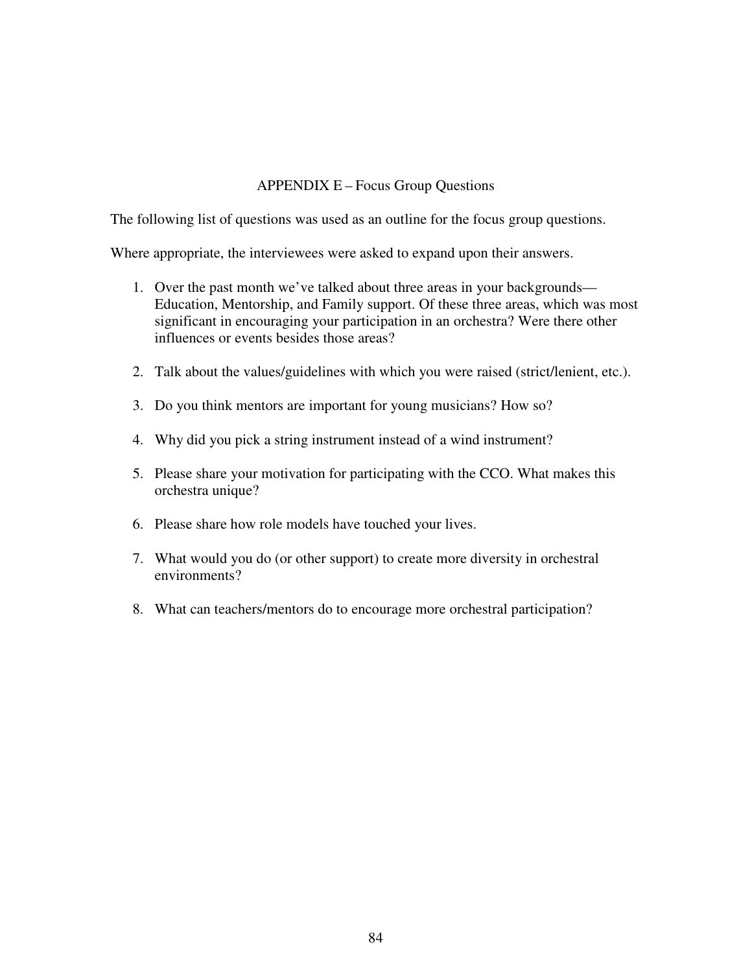# APPENDIX E – Focus Group Questions

The following list of questions was used as an outline for the focus group questions.

Where appropriate, the interviewees were asked to expand upon their answers.

- 1. Over the past month we've talked about three areas in your backgrounds— Education, Mentorship, and Family support. Of these three areas, which was most significant in encouraging your participation in an orchestra? Were there other influences or events besides those areas?
- 2. Talk about the values/guidelines with which you were raised (strict/lenient, etc.).
- 3. Do you think mentors are important for young musicians? How so?
- 4. Why did you pick a string instrument instead of a wind instrument?
- 5. Please share your motivation for participating with the CCO. What makes this orchestra unique?
- 6. Please share how role models have touched your lives.
- 7. What would you do (or other support) to create more diversity in orchestral environments?
- 8. What can teachers/mentors do to encourage more orchestral participation?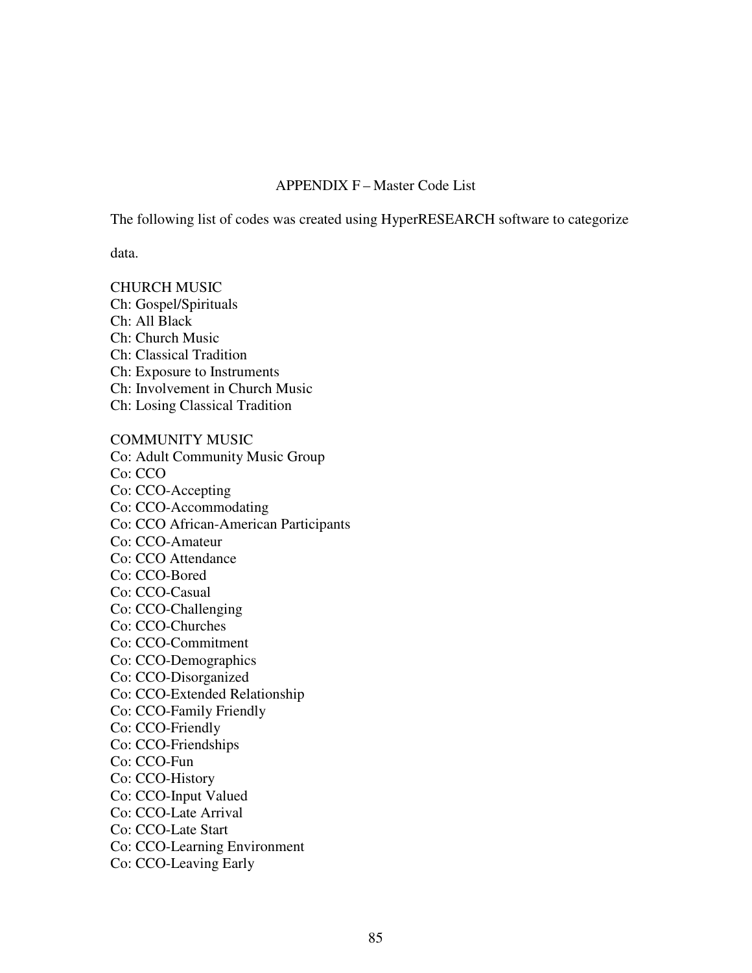## APPENDIX F – Master Code List

The following list of codes was created using HyperRESEARCH software to categorize

data.

CHURCH MUSIC Ch: Gospel/Spirituals Ch: All Black Ch: Church Music Ch: Classical Tradition Ch: Exposure to Instruments Ch: Involvement in Church Music Ch: Losing Classical Tradition

COMMUNITY MUSIC Co: Adult Community Music Group Co: CCO Co: CCO-Accepting Co: CCO-Accommodating Co: CCO African-American Participants Co: CCO-Amateur Co: CCO Attendance Co: CCO-Bored Co: CCO-Casual Co: CCO-Challenging Co: CCO-Churches Co: CCO-Commitment Co: CCO-Demographics Co: CCO-Disorganized Co: CCO-Extended Relationship Co: CCO-Family Friendly Co: CCO-Friendly Co: CCO-Friendships Co: CCO-Fun Co: CCO-History Co: CCO-Input Valued Co: CCO-Late Arrival Co: CCO-Late Start Co: CCO-Learning Environment Co: CCO-Leaving Early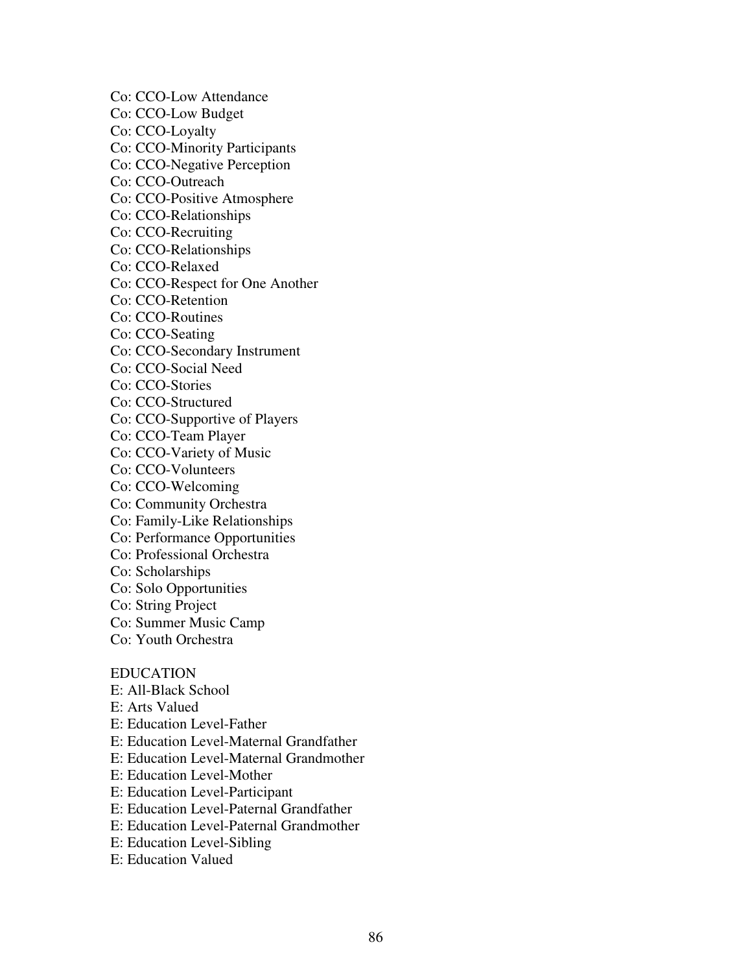Co: CCO-Low Attendance Co: CCO-Low Budget Co: CCO-Loyalty Co: CCO-Minority Participants Co: CCO-Negative Perception Co: CCO-Outreach Co: CCO-Positive Atmosphere Co: CCO-Relationships Co: CCO-Recruiting Co: CCO-Relationships Co: CCO-Relaxed Co: CCO-Respect for One Another Co: CCO-Retention Co: CCO-Routines Co: CCO-Seating Co: CCO-Secondary Instrument Co: CCO-Social Need Co: CCO-Stories Co: CCO-Structured Co: CCO-Supportive of Players Co: CCO-Team Player Co: CCO-Variety of Music Co: CCO-Volunteers Co: CCO-Welcoming Co: Community Orchestra Co: Family-Like Relationships Co: Performance Opportunities Co: Professional Orchestra Co: Scholarships Co: Solo Opportunities Co: String Project Co: Summer Music Camp Co: Youth Orchestra

## EDUCATION

- E: All-Black School
- E: Arts Valued
- E: Education Level-Father
- E: Education Level-Maternal Grandfather
- E: Education Level-Maternal Grandmother
- E: Education Level-Mother
- E: Education Level-Participant
- E: Education Level-Paternal Grandfather
- E: Education Level-Paternal Grandmother
- E: Education Level-Sibling
- E: Education Valued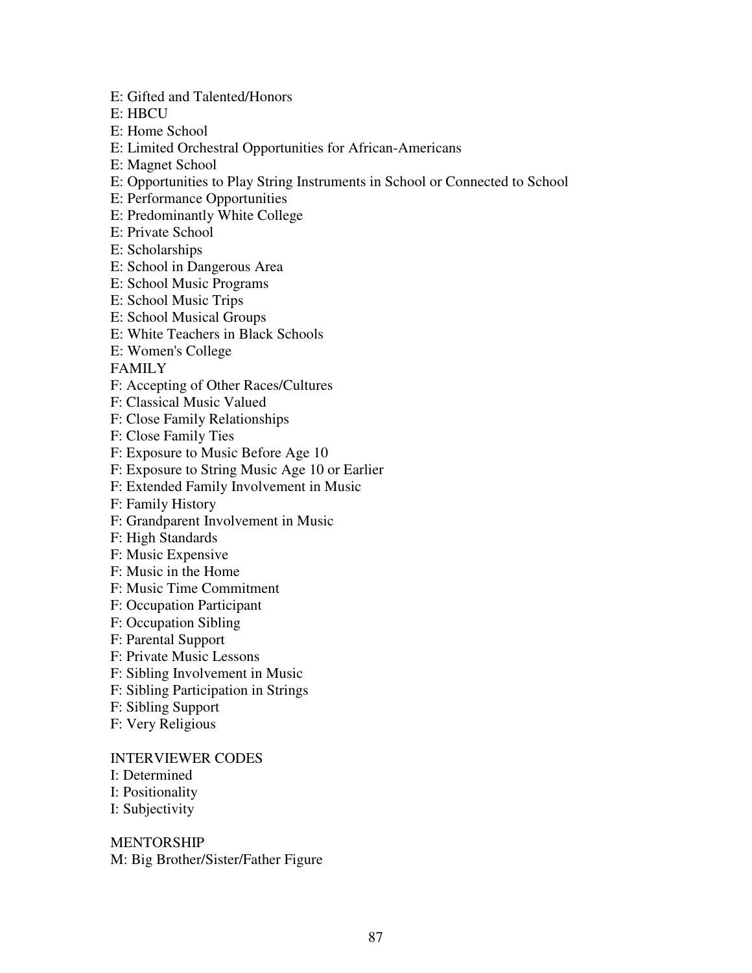E: Gifted and Talented/Honors

E: HBCU

E: Home School

E: Limited Orchestral Opportunities for African-Americans

E: Magnet School

E: Opportunities to Play String Instruments in School or Connected to School

E: Performance Opportunities

E: Predominantly White College

E: Private School

E: Scholarships

E: School in Dangerous Area

E: School Music Programs

E: School Music Trips

E: School Musical Groups

E: White Teachers in Black Schools

E: Women's College

FAMILY

F: Accepting of Other Races/Cultures

F: Classical Music Valued

F: Close Family Relationships

F: Close Family Ties

F: Exposure to Music Before Age 10

F: Exposure to String Music Age 10 or Earlier

F: Extended Family Involvement in Music

F: Family History

F: Grandparent Involvement in Music

F: High Standards

F: Music Expensive

F: Music in the Home

F: Music Time Commitment

F: Occupation Participant

F: Occupation Sibling

F: Parental Support

F: Private Music Lessons

F: Sibling Involvement in Music

F: Sibling Participation in Strings

F: Sibling Support

F: Very Religious

## INTERVIEWER CODES

I: Determined

I: Positionality

I: Subjectivity

MENTORSHIP M: Big Brother/Sister/Father Figure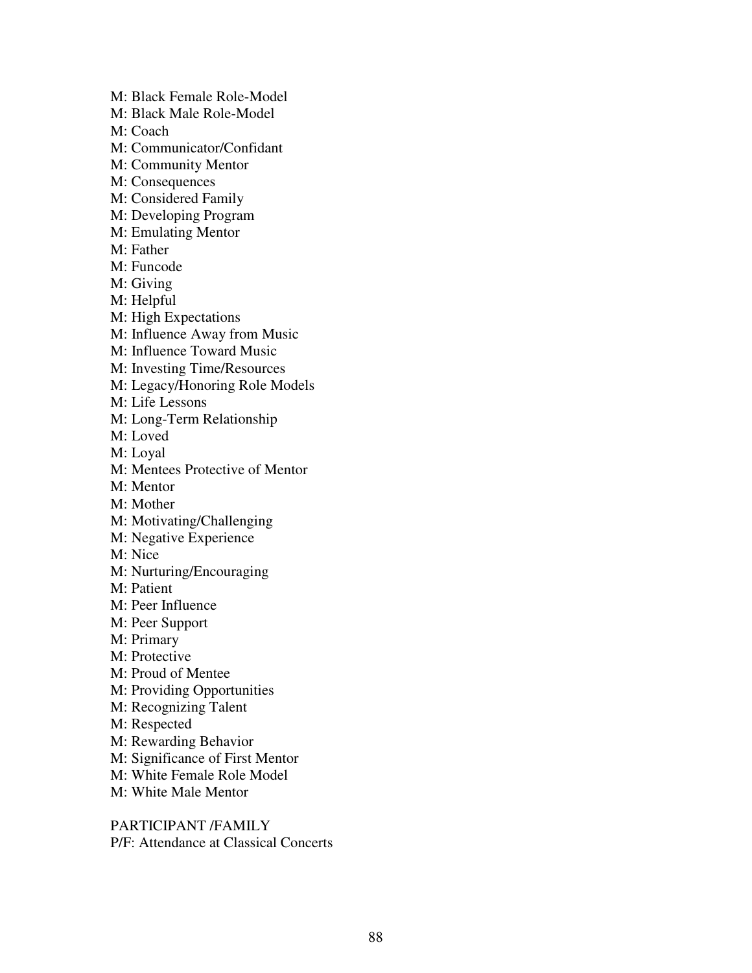M: Black Female Role-Model

M: Black Male Role-Model

M: Coach

- M: Communicator/Confidant
- M: Community Mentor
- M: Consequences
- M: Considered Family
- M: Developing Program
- M: Emulating Mentor
- M: Father
- M: Funcode
- M: Giving
- M: Helpful
- M: High Expectations
- M: Influence Away from Music
- M: Influence Toward Music
- M: Investing Time/Resources
- M: Legacy/Honoring Role Models
- M: Life Lessons
- M: Long-Term Relationship
- M: Loved
- M: Loyal
- M: Mentees Protective of Mentor
- M: Mentor
- M: Mother
- M: Motivating/Challenging
- M: Negative Experience
- M: Nice
- M: Nurturing/Encouraging
- M: Patient
- M: Peer Influence
- M: Peer Support
- M: Primary
- M: Protective
- M: Proud of Mentee
- M: Providing Opportunities
- M: Recognizing Talent
- M: Respected
- M: Rewarding Behavior
- M: Significance of First Mentor
- M: White Female Role Model
- M: White Male Mentor

PARTICIPANT /FAMILY P/F: Attendance at Classical Concerts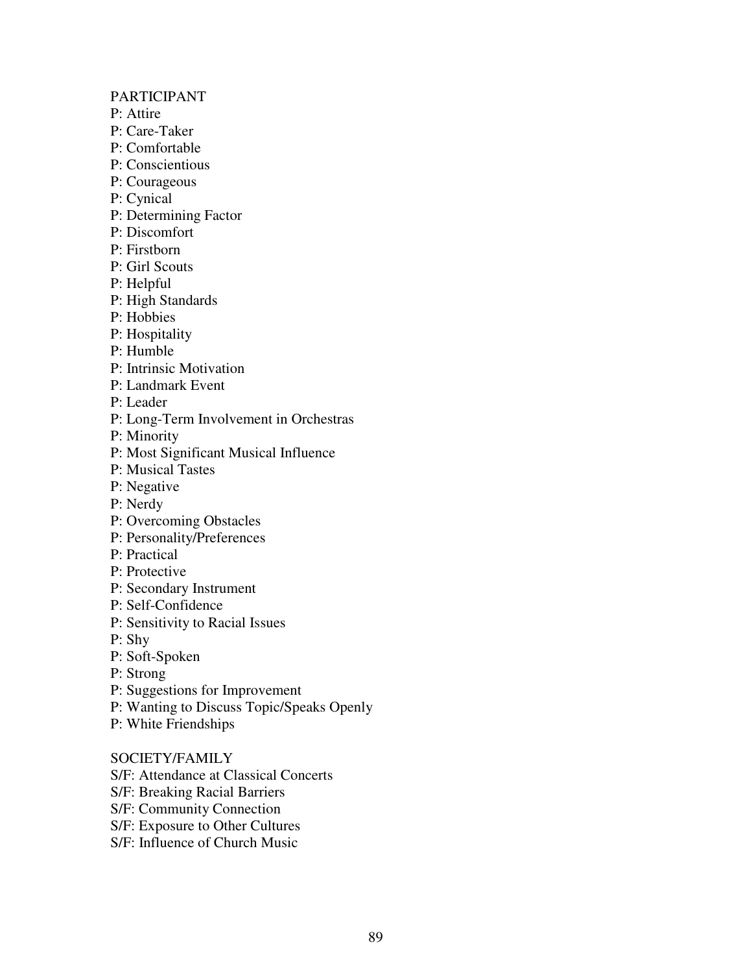### PARTICIPANT

- P: Attire
- P: Care-Taker
- P: Comfortable
- P: Conscientious
- P: Courageous
- P: Cynical
- P: Determining Factor
- P: Discomfort
- P: Firstborn
- P: Girl Scouts
- P: Helpful
- P: High Standards
- P: Hobbies
- P: Hospitality
- P: Humble
- P: Intrinsic Motivation
- P: Landmark Event
- P: Leader
- P: Long-Term Involvement in Orchestras
- P: Minority
- P: Most Significant Musical Influence
- P: Musical Tastes
- P: Negative
- P: Nerdy
- P: Overcoming Obstacles
- P: Personality/Preferences
- P: Practical
- P: Protective
- P: Secondary Instrument
- P: Self-Confidence
- P: Sensitivity to Racial Issues
- P: Shy
- P: Soft-Spoken
- P: Strong
- P: Suggestions for Improvement
- P: Wanting to Discuss Topic/Speaks Openly
- P: White Friendships

## SOCIETY/FAMILY

- S/F: Attendance at Classical Concerts
- S/F: Breaking Racial Barriers
- S/F: Community Connection
- S/F: Exposure to Other Cultures
- S/F: Influence of Church Music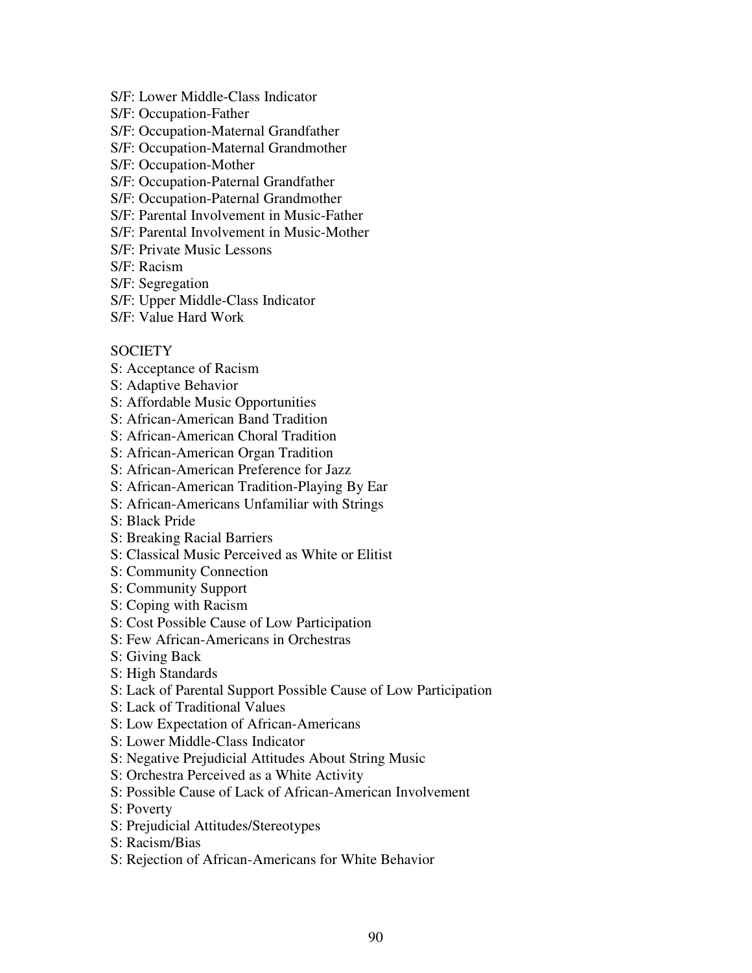- S/F: Lower Middle-Class Indicator
- S/F: Occupation-Father
- S/F: Occupation-Maternal Grandfather
- S/F: Occupation-Maternal Grandmother
- S/F: Occupation-Mother
- S/F: Occupation-Paternal Grandfather
- S/F: Occupation-Paternal Grandmother
- S/F: Parental Involvement in Music-Father
- S/F: Parental Involvement in Music-Mother
- S/F: Private Music Lessons
- S/F: Racism
- S/F: Segregation
- S/F: Upper Middle-Class Indicator
- S/F: Value Hard Work

## **SOCIETY**

- S: Acceptance of Racism
- S: Adaptive Behavior
- S: Affordable Music Opportunities
- S: African-American Band Tradition
- S: African-American Choral Tradition
- S: African-American Organ Tradition
- S: African-American Preference for Jazz
- S: African-American Tradition-Playing By Ear
- S: African-Americans Unfamiliar with Strings
- S: Black Pride
- S: Breaking Racial Barriers
- S: Classical Music Perceived as White or Elitist
- S: Community Connection
- S: Community Support
- S: Coping with Racism
- S: Cost Possible Cause of Low Participation
- S: Few African-Americans in Orchestras
- S: Giving Back
- S: High Standards
- S: Lack of Parental Support Possible Cause of Low Participation
- S: Lack of Traditional Values
- S: Low Expectation of African-Americans
- S: Lower Middle-Class Indicator
- S: Negative Prejudicial Attitudes About String Music
- S: Orchestra Perceived as a White Activity
- S: Possible Cause of Lack of African-American Involvement
- S: Poverty
- S: Prejudicial Attitudes/Stereotypes
- S: Racism/Bias
- S: Rejection of African-Americans for White Behavior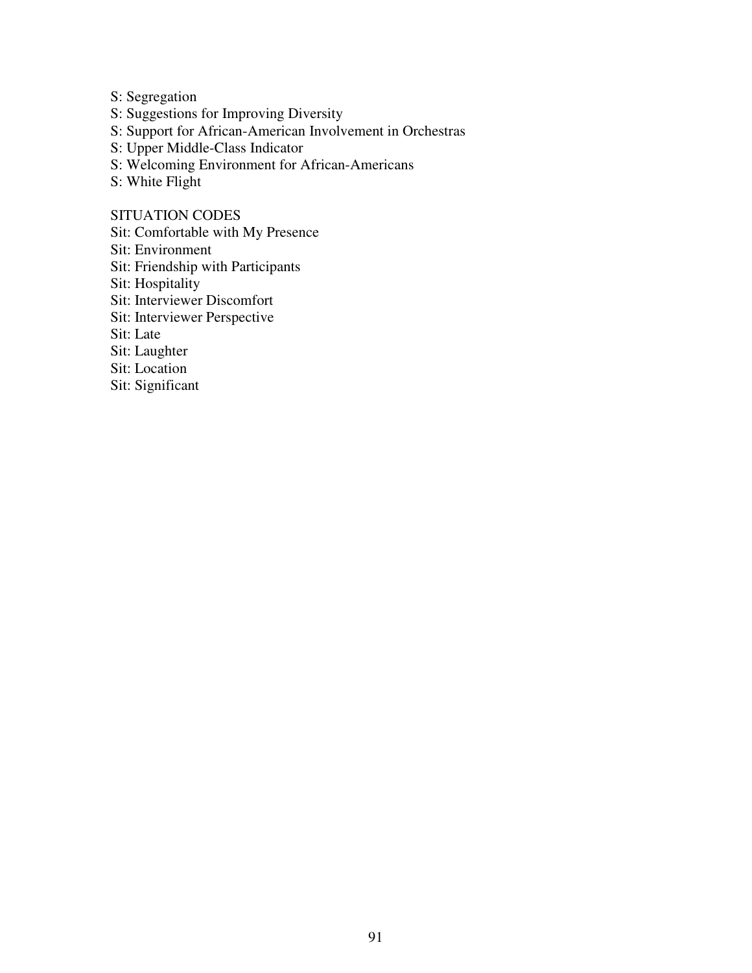- S: Segregation
- S: Suggestions for Improving Diversity
- S: Support for African-American Involvement in Orchestras
- S: Upper Middle-Class Indicator
- S: Welcoming Environment for African-Americans
- S: White Flight

## SITUATION CODES

- Sit: Comfortable with My Presence
- Sit: Environment
- Sit: Friendship with Participants
- Sit: Hospitality
- Sit: Interviewer Discomfort
- Sit: Interviewer Perspective
- Sit: Late
- Sit: Laughter
- Sit: Location
- Sit: Significant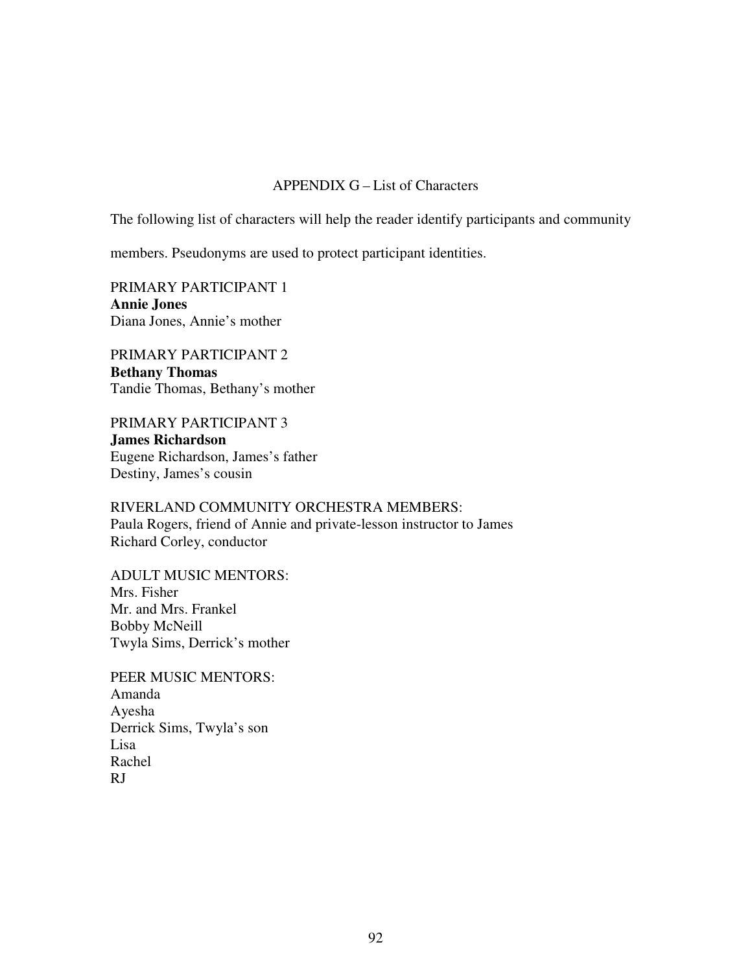## APPENDIX G – List of Characters

The following list of characters will help the reader identify participants and community

members. Pseudonyms are used to protect participant identities.

PRIMARY PARTICIPANT 1 **Annie Jones**  Diana Jones, Annie's mother

PRIMARY PARTICIPANT 2 **Bethany Thomas**  Tandie Thomas, Bethany's mother

PRIMARY PARTICIPANT 3 **James Richardson**  Eugene Richardson, James's father Destiny, James's cousin

RIVERLAND COMMUNITY ORCHESTRA MEMBERS: Paula Rogers, friend of Annie and private-lesson instructor to James Richard Corley, conductor

ADULT MUSIC MENTORS: Mrs. Fisher Mr. and Mrs. Frankel Bobby McNeill Twyla Sims, Derrick's mother

PEER MUSIC MENTORS: Amanda Ayesha Derrick Sims, Twyla's son Lisa Rachel RJ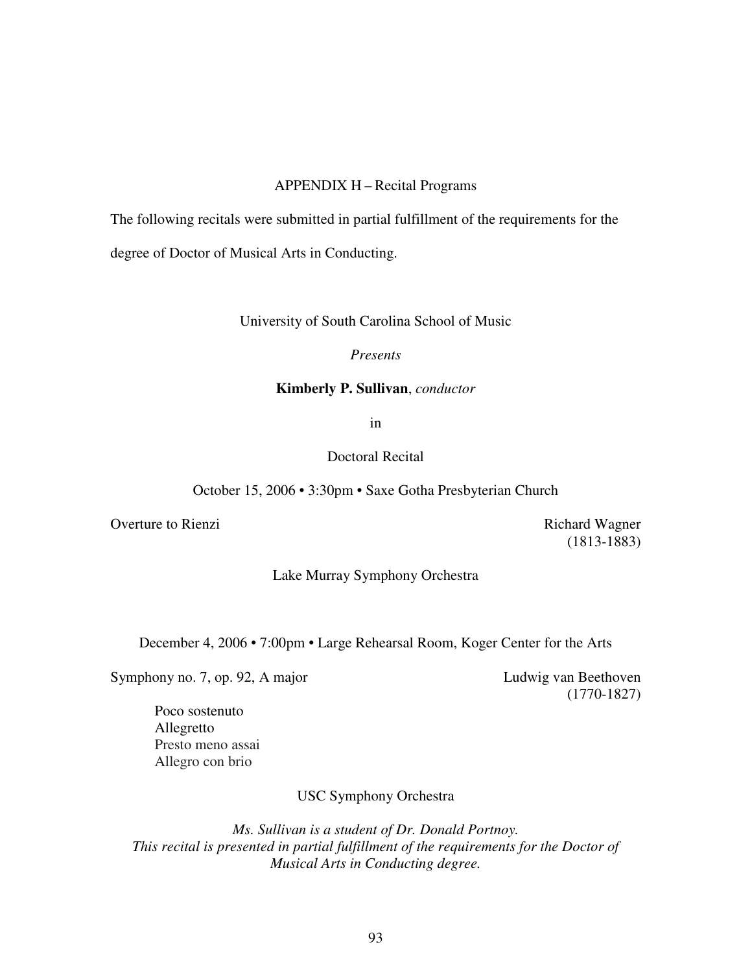## APPENDIX H – Recital Programs

The following recitals were submitted in partial fulfillment of the requirements for the

degree of Doctor of Musical Arts in Conducting.

University of South Carolina School of Music

*Presents* 

#### **Kimberly P. Sullivan**, *conductor*

in

Doctoral Recital

October 15, 2006 • 3:30pm • Saxe Gotha Presbyterian Church

Overture to Rienzi Richard Wagner

(1813-1883)

Lake Murray Symphony Orchestra

December 4, 2006 • 7:00pm • Large Rehearsal Room, Koger Center for the Arts

Symphony no. 7, op. 92, A major Ludwig van Beethoven

(1770-1827)

 Poco sostenuto Allegretto Presto meno assai Allegro con brio

USC Symphony Orchestra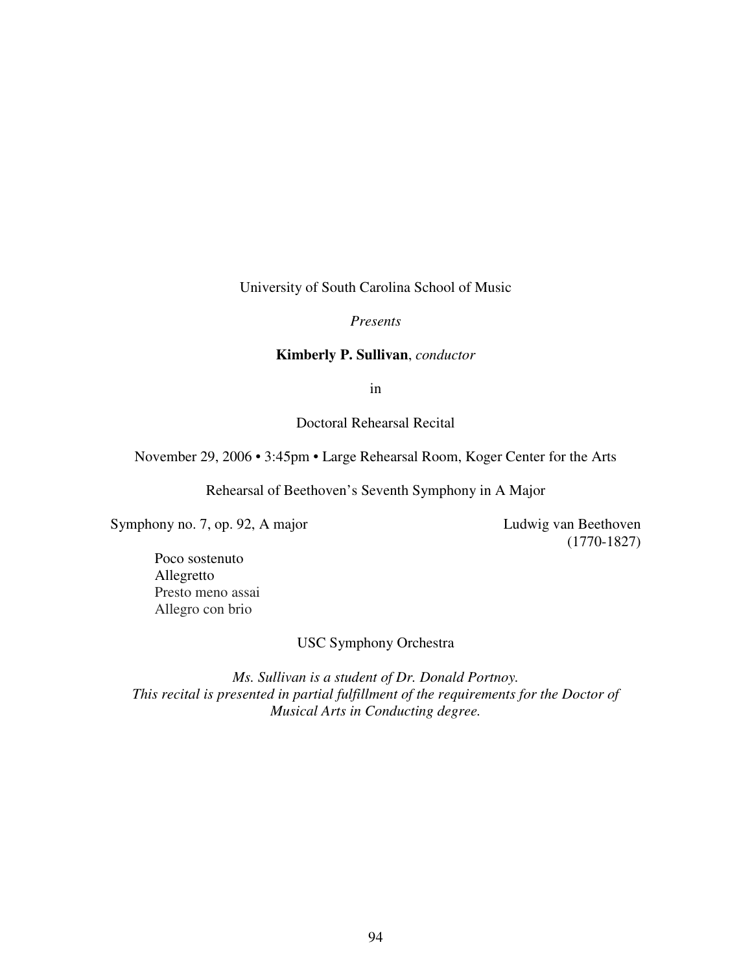University of South Carolina School of Music

*Presents* 

## **Kimberly P. Sullivan**, *conductor*

in

## Doctoral Rehearsal Recital

November 29, 2006 • 3:45pm • Large Rehearsal Room, Koger Center for the Arts

Rehearsal of Beethoven's Seventh Symphony in A Major

Symphony no. 7, op. 92, A major Ludwig van Beethoven

(1770-1827)

 Poco sostenuto Allegretto Presto meno assai Allegro con brio

USC Symphony Orchestra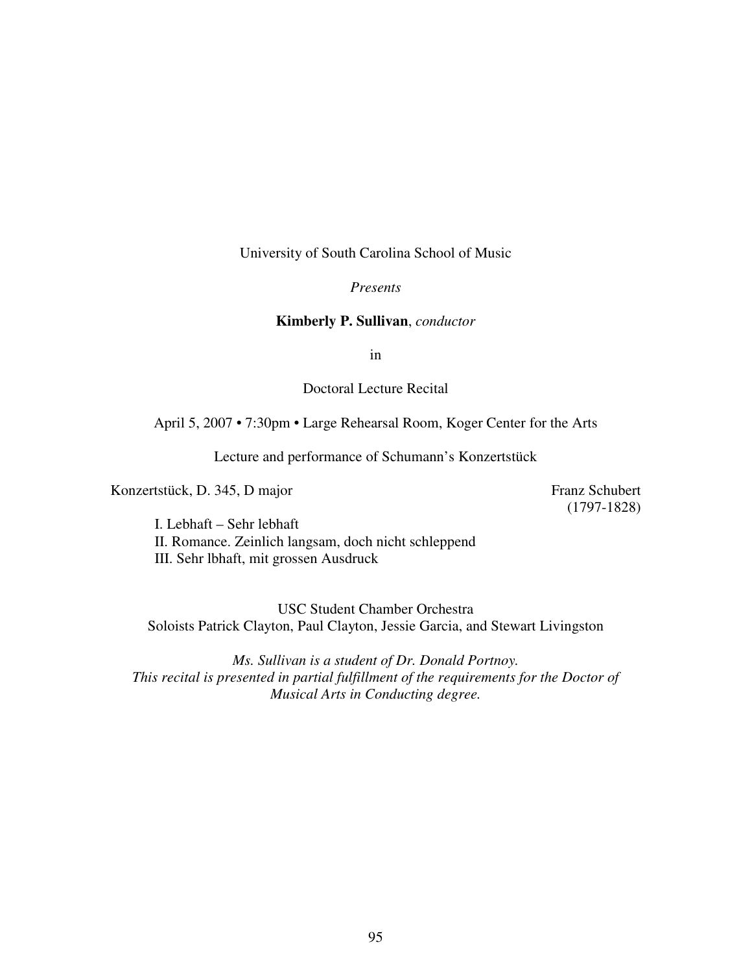University of South Carolina School of Music

## *Presents*

#### **Kimberly P. Sullivan**, *conductor*

in

Doctoral Lecture Recital

## April 5, 2007 • 7:30pm • Large Rehearsal Room, Koger Center for the Arts

Lecture and performance of Schumann's Konzertstück

Konzertstück, D. 345, D major Franz Schubert

(1797-1828)

 I. Lebhaft – Sehr lebhaft II. Romance. Zeinlich langsam, doch nicht schleppend III. Sehr lbhaft, mit grossen Ausdruck

USC Student Chamber Orchestra Soloists Patrick Clayton, Paul Clayton, Jessie Garcia, and Stewart Livingston